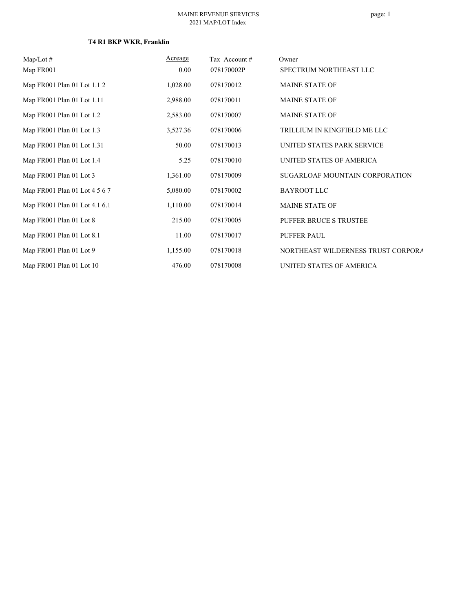| $Map/Lot \#$                  | Acreage  | Tax Account# | Owner                              |
|-------------------------------|----------|--------------|------------------------------------|
| Map FR001                     | 0.00     | 078170002P   | SPECTRUM NORTHEAST LLC             |
| Map FR001 Plan 01 Lot 1.1 2   | 1,028.00 | 078170012    | <b>MAINE STATE OF</b>              |
| Map FR001 Plan 01 Lot 1.11    | 2,988.00 | 078170011    | <b>MAINE STATE OF</b>              |
| Map FR001 Plan 01 Lot 1.2     | 2,583.00 | 078170007    | <b>MAINE STATE OF</b>              |
| Map FR001 Plan 01 Lot 1.3     | 3,527.36 | 078170006    | TRILLIUM IN KINGFIELD ME LLC       |
| Map FR001 Plan 01 Lot 1.31    | 50.00    | 078170013    | UNITED STATES PARK SERVICE         |
| Map FR001 Plan 01 Lot 1.4     | 5.25     | 078170010    | UNITED STATES OF AMERICA           |
| Map FR001 Plan 01 Lot 3       | 1,361.00 | 078170009    | SUGARLOAF MOUNTAIN CORPORATION     |
| Map FR001 Plan 01 Lot 4 5 6 7 | 5,080.00 | 078170002    | <b>BAYROOT LLC</b>                 |
| Map FR001 Plan 01 Lot 4.1 6.1 | 1,110.00 | 078170014    | <b>MAINE STATE OF</b>              |
| Map FR001 Plan 01 Lot 8       | 215.00   | 078170005    | PUFFER BRUCE S TRUSTEE             |
| Map FR001 Plan 01 Lot 8.1     | 11.00    | 078170017    | PUFFER PAUL                        |
| Map FR001 Plan 01 Lot 9       | 1,155.00 | 078170018    | NORTHEAST WILDERNESS TRUST CORPORA |
| Map FR001 Plan 01 Lot 10      | 476.00   | 078170008    | UNITED STATES OF AMERICA           |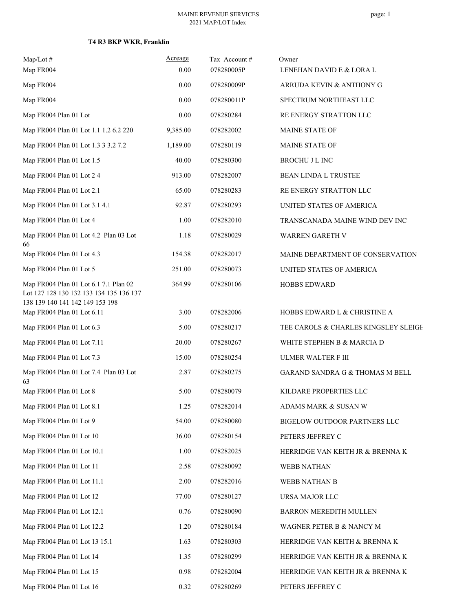| $Map/Lot \#$                                                                                                        | Acreage  | Tax Account# | Owner                                      |
|---------------------------------------------------------------------------------------------------------------------|----------|--------------|--------------------------------------------|
| Map FR004                                                                                                           | 0.00     | 078280005P   | LENEHAN DAVID E & LORA L                   |
| Map FR004                                                                                                           | 0.00     | 078280009P   | ARRUDA KEVIN & ANTHONY G                   |
| Map FR004                                                                                                           | 0.00     | 078280011P   | SPECTRUM NORTHEAST LLC                     |
| Map FR004 Plan 01 Lot                                                                                               | 0.00     | 078280284    | RE ENERGY STRATTON LLC                     |
| Map FR004 Plan 01 Lot 1.1 1.2 6.2 220                                                                               | 9,385.00 | 078282002    | <b>MAINE STATE OF</b>                      |
| Map FR004 Plan 01 Lot 1.3 3 3.2 7.2                                                                                 | 1,189.00 | 078280119    | <b>MAINE STATE OF</b>                      |
| Map FR004 Plan 01 Lot 1.5                                                                                           | 40.00    | 078280300    | <b>BROCHU J L INC</b>                      |
| Map FR004 Plan 01 Lot 2 4                                                                                           | 913.00   | 078282007    | <b>BEAN LINDA L TRUSTEE</b>                |
| Map FR004 Plan 01 Lot 2.1                                                                                           | 65.00    | 078280283    | RE ENERGY STRATTON LLC                     |
| Map FR004 Plan 01 Lot 3.1 4.1                                                                                       | 92.87    | 078280293    | UNITED STATES OF AMERICA                   |
| Map FR004 Plan 01 Lot 4                                                                                             | 1.00     | 078282010    | TRANSCANADA MAINE WIND DEV INC             |
| Map FR004 Plan 01 Lot 4.2 Plan 03 Lot<br>66                                                                         | 1.18     | 078280029    | <b>WARREN GARETH V</b>                     |
| Map FR004 Plan 01 Lot 4.3                                                                                           | 154.38   | 078282017    | MAINE DEPARTMENT OF CONSERVATION           |
| Map FR004 Plan 01 Lot 5                                                                                             | 251.00   | 078280073    | UNITED STATES OF AMERICA                   |
| Map FR004 Plan 01 Lot 6.1 7.1 Plan 02<br>Lot 127 128 130 132 133 134 135 136 137<br>138 139 140 141 142 149 153 198 | 364.99   | 078280106    | <b>HOBBS EDWARD</b>                        |
| Map FR004 Plan 01 Lot 6.11                                                                                          | 3.00     | 078282006    | HOBBS EDWARD L & CHRISTINE A               |
| Map FR004 Plan 01 Lot 6.3                                                                                           | 5.00     | 078280217    | TEE CAROLS & CHARLES KINGSLEY SLEIGH       |
| Map FR004 Plan 01 Lot 7.11                                                                                          | 20.00    | 078280267    | WHITE STEPHEN B & MARCIA D                 |
| Map FR004 Plan 01 Lot 7.3                                                                                           | 15.00    | 078280254    | <b>ULMER WALTER F III</b>                  |
| Map FR004 Plan 01 Lot 7.4 Plan 03 Lot<br>63                                                                         | 2.87     | 078280275    | <b>GARAND SANDRA G &amp; THOMAS M BELL</b> |
| Map FR004 Plan 01 Lot 8                                                                                             | 5.00     | 078280079    | KILDARE PROPERTIES LLC                     |
| Map FR004 Plan 01 Lot 8.1                                                                                           | 1.25     | 078282014    | ADAMS MARK & SUSAN W                       |
| Map FR004 Plan 01 Lot 9                                                                                             | 54.00    | 078280080    | BIGELOW OUTDOOR PARTNERS LLC               |
| Map FR004 Plan 01 Lot 10                                                                                            | 36.00    | 078280154    | PETERS JEFFREY C                           |
| Map FR004 Plan 01 Lot 10.1                                                                                          | 1.00     | 078282025    | HERRIDGE VAN KEITH JR & BRENNA K           |
| Map FR004 Plan 01 Lot 11                                                                                            | 2.58     | 078280092    | <b>WEBB NATHAN</b>                         |
| Map FR004 Plan 01 Lot 11.1                                                                                          | 2.00     | 078282016    | WEBB NATHAN B                              |
| Map FR004 Plan 01 Lot 12                                                                                            | 77.00    | 078280127    | URSA MAJOR LLC                             |
| Map FR004 Plan 01 Lot 12.1                                                                                          | 0.76     | 078280090    | BARRON MEREDITH MULLEN                     |
| Map FR004 Plan 01 Lot 12.2                                                                                          | 1.20     | 078280184    | WAGNER PETER B & NANCY M                   |
| Map FR004 Plan 01 Lot 13 15.1                                                                                       | 1.63     | 078280303    | HERRIDGE VAN KEITH & BRENNA K              |
| Map FR004 Plan 01 Lot 14                                                                                            | 1.35     | 078280299    | HERRIDGE VAN KEITH JR & BRENNA K           |
| Map FR004 Plan 01 Lot 15                                                                                            | 0.98     | 078282004    | HERRIDGE VAN KEITH JR & BRENNA K           |
| Map FR004 Plan 01 Lot 16                                                                                            | 0.32     | 078280269    | PETERS JEFFREY C                           |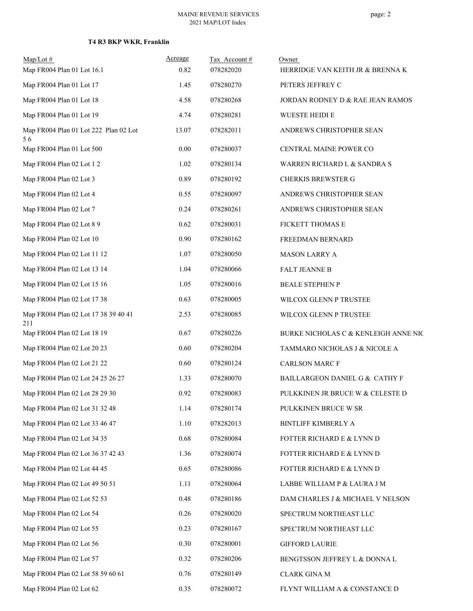| $Map/Lot \#$                                | Acreage | Tax Account# | Owner                                |
|---------------------------------------------|---------|--------------|--------------------------------------|
| Map FR004 Plan 01 Lot 16.1                  | 0.82    | 078282020    | HERRIDGE VAN KEITH JR & BRENNA K     |
| Map FR004 Plan 01 Lot 17                    | 1.45    | 078280270    | PETERS JEFFREY C                     |
| Map FR004 Plan 01 Lot 18                    | 4.58    | 078280268    | JORDAN RODNEY D & RAE JEAN RAMOS     |
| Map FR004 Plan 01 Lot 19                    | 4.74    | 078280281    | <b>WUESTE HEIDI E</b>                |
| Map FR004 Plan 01 Lot 222 Plan 02 Lot<br>56 | 13.07   | 078282011    | ANDREWS CHRISTOPHER SEAN             |
| Map FR004 Plan 01 Lot 500                   | 0.00    | 078280037    | CENTRAL MAINE POWER CO               |
| Map FR004 Plan 02 Lot 1 2                   | 1.02    | 078280134    | WARREN RICHARD L & SANDRA S          |
| Map FR004 Plan 02 Lot 3                     | 0.89    | 078280192    | <b>CHERKIS BREWSTER G</b>            |
| Map FR004 Plan 02 Lot 4                     | 0.55    | 078280097    | ANDREWS CHRISTOPHER SEAN             |
| Map FR004 Plan 02 Lot 7                     | 0.24    | 078280261    | ANDREWS CHRISTOPHER SEAN             |
| Map FR004 Plan 02 Lot 8 9                   | 0.62    | 078280031    | FICKETT THOMAS E                     |
| Map FR004 Plan 02 Lot 10                    | 0.90    | 078280162    | FREEDMAN BERNARD                     |
| Map FR004 Plan 02 Lot 11 12                 | 1.07    | 078280050    | <b>MASON LARRY A</b>                 |
| Map FR004 Plan 02 Lot 13 14                 | 1.04    | 078280066    | <b>FALT JEANNE B</b>                 |
| Map FR004 Plan 02 Lot 15 16                 | 1.05    | 078280016    | <b>BEALE STEPHEN P</b>               |
| Map FR004 Plan 02 Lot 17 38                 | 0.63    | 078280005    | WILCOX GLENN P TRUSTEE               |
| Map FR004 Plan 02 Lot 17 38 39 40 41<br>211 | 2.53    | 078280085    | WILCOX GLENN P TRUSTEE               |
| Map FR004 Plan 02 Lot 18 19                 | 0.67    | 078280226    | BURKE NICHOLAS C & KENLEIGH ANNE NIC |
| Map FR004 Plan 02 Lot 20 23                 | 0.60    | 078280204    | TAMMARO NICHOLAS J & NICOLE A        |
| Map FR004 Plan 02 Lot 21 22                 | 0.60    | 078280124    | <b>CARLSON MARC F</b>                |
| Map FR004 Plan 02 Lot 24 25 26 27           | 1.33    | 078280070    | BAILLARGEON DANIEL G & CATHY F       |
| Map FR004 Plan 02 Lot 28 29 30              | 0.92    | 078280083    | PULKKINEN JR BRUCE W & CELESTE D     |
| Map FR004 Plan 02 Lot 31 32 48              | 1.14    | 078280174    | PULKKINEN BRUCE W SR                 |
| Map FR004 Plan 02 Lot 33 46 47              | 1.10    | 078282013    | <b>BINTLIFF KIMBERLY A</b>           |
| Map FR004 Plan 02 Lot 34 35                 | 0.68    | 078280084    | FOTTER RICHARD E & LYNN D            |
| Map FR004 Plan 02 Lot 36 37 42 43           | 1.36    | 078280074    | FOTTER RICHARD E & LYNN D            |
| Map FR004 Plan 02 Lot 44 45                 | 0.65    | 078280086    | FOTTER RICHARD E & LYNN D            |
| Map FR004 Plan 02 Lot 49 50 51              | 1.11    | 078280064    | LABBE WILLIAM P & LAURA J M          |
| Map FR004 Plan 02 Lot 52 53                 | 0.48    | 078280186    | DAM CHARLES J & MICHAEL V NELSON     |
| Map FR004 Plan 02 Lot 54                    | 0.26    | 078280020    | SPECTRUM NORTHEAST LLC               |
| Map FR004 Plan 02 Lot 55                    | 0.23    | 078280167    | SPECTRUM NORTHEAST LLC               |
| Map FR004 Plan 02 Lot 56                    | 0.30    | 078280001    | <b>GIFFORD LAURIE</b>                |
| Map FR004 Plan 02 Lot 57                    | 0.32    | 078280206    | BENGTSSON JEFFREY L & DONNA L        |
| Map FR004 Plan 02 Lot 58 59 60 61           | 0.76    | 078280149    | <b>CLARK GINA M</b>                  |
| Map FR004 Plan 02 Lot 62                    | 0.35    | 078280072    | FLYNT WILLIAM A & CONSTANCE D        |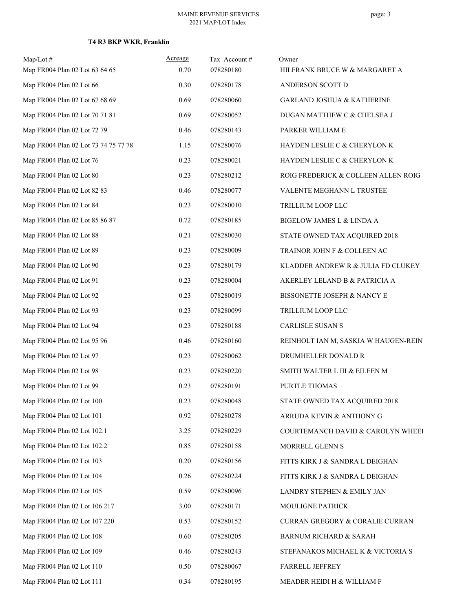| $Map/Lot \#$<br>Map FR004 Plan 02 Lot 63 64 65 | Acreage<br>0.70 | Tax Account#<br>078280180 | Owner<br>HILFRANK BRUCE W & MARGARET A |
|------------------------------------------------|-----------------|---------------------------|----------------------------------------|
| Map FR004 Plan 02 Lot 66                       | 0.30            | 078280178                 | ANDERSON SCOTT D                       |
| Map FR004 Plan 02 Lot 67 68 69                 | 0.69            | 078280060                 | <b>GARLAND JOSHUA &amp; KATHERINE</b>  |
| Map FR004 Plan 02 Lot 70 71 81                 | 0.69            | 078280052                 | DUGAN MATTHEW C & CHELSEA J            |
| Map FR004 Plan 02 Lot 72 79                    | 0.46            | 078280143                 | PARKER WILLIAM E                       |
| Map FR004 Plan 02 Lot 73 74 75 77 78           | 1.15            | 078280076                 | HAYDEN LESLIE C & CHERYLON K           |
| Map FR004 Plan 02 Lot 76                       | 0.23            | 078280021                 | HAYDEN LESLIE C & CHERYLON K           |
| Map FR004 Plan 02 Lot 80                       | 0.23            | 078280212                 | ROIG FREDERICK & COLLEEN ALLEN ROIG    |
| Map FR004 Plan 02 Lot 82 83                    | 0.46            | 078280077                 | VALENTE MEGHANN L TRUSTEE              |
| Map FR004 Plan 02 Lot 84                       | 0.23            | 078280010                 | TRILLIUM LOOP LLC                      |
| Map FR004 Plan 02 Lot 85 86 87                 | 0.72            | 078280185                 | BIGELOW JAMES L & LINDA A              |
| Map FR004 Plan 02 Lot 88                       | 0.21            | 078280030                 | STATE OWNED TAX ACQUIRED 2018          |
| Map FR004 Plan 02 Lot 89                       | 0.23            | 078280009                 | TRAINOR JOHN F & COLLEEN AC            |
| Map FR004 Plan 02 Lot 90                       | 0.23            | 078280179                 | KLADDER ANDREW R & JULIA FD CLUKEY     |
| Map FR004 Plan 02 Lot 91                       | 0.23            | 078280004                 | AKERLEY LELAND B & PATRICIA A          |
| Map FR004 Plan 02 Lot 92                       | 0.23            | 078280019                 | BISSONETTE JOSEPH & NANCY E            |
| Map FR004 Plan 02 Lot 93                       | 0.23            | 078280099                 | TRILLIUM LOOP LLC                      |
| Map FR004 Plan 02 Lot 94                       | 0.23            | 078280188                 | CARLISLE SUSAN S                       |
| Map FR004 Plan 02 Lot 95 96                    | 0.46            | 078280160                 | REINHOLT IAN M, SASKIA W HAUGEN-REIN   |
| Map FR004 Plan 02 Lot 97                       | 0.23            | 078280062                 | DRUMHELLER DONALD R                    |
| Map FR004 Plan 02 Lot 98                       | 0.23            | 078280220                 | SMITH WALTER L III & EILEEN M          |
| Map FR004 Plan 02 Lot 99                       | 0.23            | 078280191                 | PURTLE THOMAS                          |
| Map FR004 Plan 02 Lot 100                      | 0.23            | 078280048                 | STATE OWNED TAX ACQUIRED 2018          |
| Map FR004 Plan 02 Lot 101                      | 0.92            | 078280278                 | ARRUDA KEVIN & ANTHONY G               |
| Map FR004 Plan 02 Lot 102.1                    | 3.25            | 078280229                 | COURTEMANCH DAVID & CAROLYN WHEEI      |
| Map FR004 Plan 02 Lot 102.2                    | 0.85            | 078280158                 | MORRELL GLENN S                        |
| Map FR004 Plan 02 Lot 103                      | 0.20            | 078280156                 | FITTS KIRK J & SANDRA L DEIGHAN        |
| Map FR004 Plan 02 Lot 104                      | 0.26            | 078280224                 | FITTS KIRK J & SANDRA L DEIGHAN        |
| Map FR004 Plan 02 Lot 105                      | 0.59            | 078280096                 | LANDRY STEPHEN & EMILY JAN             |
| Map FR004 Plan 02 Lot 106 217                  | 3.00            | 078280171                 | MOULIGNE PATRICK                       |
| Map FR004 Plan 02 Lot 107 220                  | 0.53            | 078280152                 | CURRAN GREGORY & CORALIE CURRAN        |
| Map FR004 Plan 02 Lot 108                      | 0.60            | 078280205                 | BARNUM RICHARD & SARAH                 |
| Map FR004 Plan 02 Lot 109                      | 0.46            | 078280243                 | STEFANAKOS MICHAEL K & VICTORIA S      |
| Map FR004 Plan 02 Lot 110                      | 0.50            | 078280067                 | FARRELL JEFFREY                        |
| Map FR004 Plan 02 Lot 111                      | 0.34            | 078280195                 | MEADER HEIDI H & WILLIAM F             |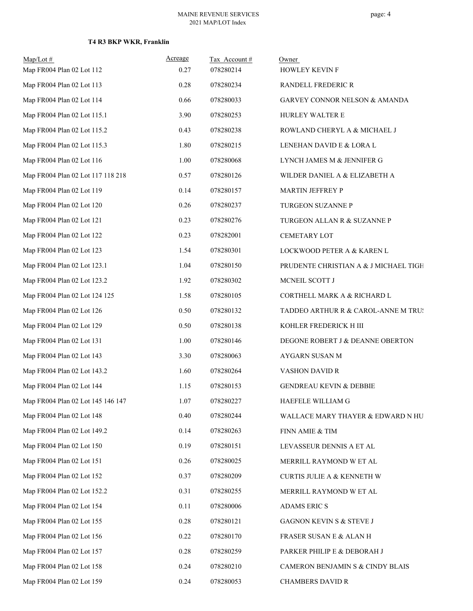| $Map/Lot$ #                       | Acreage | Tax Account# | Owner                                    |
|-----------------------------------|---------|--------------|------------------------------------------|
| Map FR004 Plan 02 Lot 112         | 0.27    | 078280214    | HOWLEY KEVIN F                           |
| Map FR004 Plan 02 Lot 113         | 0.28    | 078280234    | <b>RANDELL FREDERIC R</b>                |
| Map FR004 Plan 02 Lot 114         | 0.66    | 078280033    | <b>GARVEY CONNOR NELSON &amp; AMANDA</b> |
| Map FR004 Plan 02 Lot 115.1       | 3.90    | 078280253    | HURLEY WALTER E                          |
| Map FR004 Plan 02 Lot 115.2       | 0.43    | 078280238    | ROWLAND CHERYL A & MICHAEL J             |
| Map FR004 Plan 02 Lot 115.3       | 1.80    | 078280215    | LENEHAN DAVID E & LORA L                 |
| Map FR004 Plan 02 Lot 116         | 1.00    | 078280068    | LYNCH JAMES M & JENNIFER G               |
| Map FR004 Plan 02 Lot 117 118 218 | 0.57    | 078280126    | WILDER DANIEL A & ELIZABETH A            |
| Map FR004 Plan 02 Lot 119         | 0.14    | 078280157    | MARTIN JEFFREY P                         |
| Map FR004 Plan 02 Lot 120         | 0.26    | 078280237    | TURGEON SUZANNE P                        |
| Map FR004 Plan 02 Lot 121         | 0.23    | 078280276    | TURGEON ALLAN R & SUZANNE P              |
| Map FR004 Plan 02 Lot 122         | 0.23    | 078282001    | CEMETARY LOT                             |
| Map FR004 Plan 02 Lot 123         | 1.54    | 078280301    | LOCKWOOD PETER A & KAREN L               |
| Map FR004 Plan 02 Lot 123.1       | 1.04    | 078280150    | PRUDENTE CHRISTIAN A & J MICHAEL TIGH    |
| Map FR004 Plan 02 Lot 123.2       | 1.92    | 078280302    | MCNEIL SCOTT J                           |
| Map FR004 Plan 02 Lot 124 125     | 1.58    | 078280105    | CORTHELL MARK A & RICHARD L              |
| Map FR004 Plan 02 Lot 126         | 0.50    | 078280132    | TADDEO ARTHUR R & CAROL-ANNE M TRUS      |
| Map FR004 Plan 02 Lot 129         | 0.50    | 078280138    | KOHLER FREDERICK H III                   |
| Map FR004 Plan 02 Lot 131         | 1.00    | 078280146    | DEGONE ROBERT J & DEANNE OBERTON         |
| Map FR004 Plan 02 Lot 143         | 3.30    | 078280063    | AYGARN SUSAN M                           |
| Map FR004 Plan 02 Lot 143.2       | 1.60    | 078280264    | VASHON DAVID R                           |
| Map FR004 Plan 02 Lot 144         | 1.15    | 078280153    | <b>GENDREAU KEVIN &amp; DEBBIE</b>       |
| Map FR004 Plan 02 Lot 145 146 147 | 1.07    | 078280227    | HAEFELE WILLIAM G                        |
| Map FR004 Plan 02 Lot 148         | 0.40    | 078280244    | WALLACE MARY THAYER & EDWARD N HU        |
| Map FR004 Plan 02 Lot 149.2       | 0.14    | 078280263    | FINN AMIE & TIM                          |
| Map FR004 Plan 02 Lot 150         | 0.19    | 078280151    | LEVASSEUR DENNIS A ET AL                 |
| Map FR004 Plan 02 Lot 151         | 0.26    | 078280025    | MERRILL RAYMOND W ET AL                  |
| Map FR004 Plan 02 Lot 152         | 0.37    | 078280209    | <b>CURTIS JULIE A &amp; KENNETH W</b>    |
| Map FR004 Plan 02 Lot 152.2       | 0.31    | 078280255    | MERRILL RAYMOND W ET AL                  |
| Map FR004 Plan 02 Lot 154         | 0.11    | 078280006    | ADAMS ERIC S                             |
| Map FR004 Plan 02 Lot 155         | 0.28    | 078280121    | GAGNON KEVIN S & STEVE J                 |
| Map FR004 Plan 02 Lot 156         | 0.22    | 078280170    | FRASER SUSAN E & ALAN H                  |
| Map FR004 Plan 02 Lot 157         | 0.28    | 078280259    | PARKER PHILIP E & DEBORAH J              |
| Map FR004 Plan 02 Lot 158         | 0.24    | 078280210    | CAMERON BENJAMIN S & CINDY BLAIS         |
| Map FR004 Plan 02 Lot 159         | 0.24    | 078280053    | <b>CHAMBERS DAVID R</b>                  |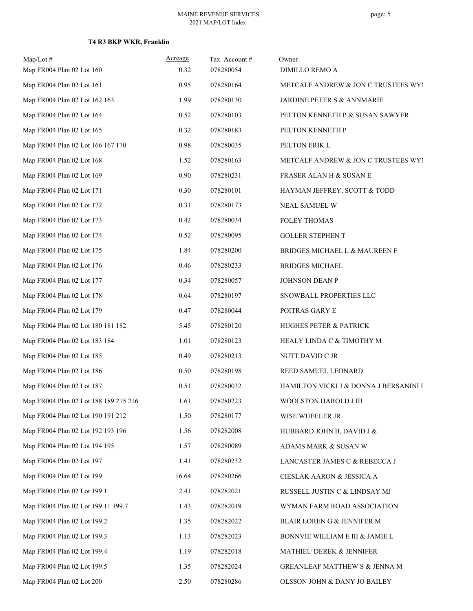| $Map/Lot$ #                           | Acreage | Tax Account# | Owner                                  |
|---------------------------------------|---------|--------------|----------------------------------------|
| Map FR004 Plan 02 Lot 160             | 0.32    | 078280054    | DIMILLO REMO A                         |
| Map FR004 Plan 02 Lot 161             | 0.95    | 078280164    | METCALF ANDREW & JON C TRUSTEES WY!    |
| Map FR004 Plan 02 Lot 162 163         | 1.99    | 078280130    | JARDINE PETER S & ANNMARIE             |
| Map FR004 Plan 02 Lot 164             | 0.52    | 078280103    | PELTON KENNETH P & SUSAN SAWYER        |
| Map FR004 Plan 02 Lot 165             | 0.32    | 078280183    | PELTON KENNETH P                       |
| Map FR004 Plan 02 Lot 166 167 170     | 0.98    | 078280035    | PELTON ERIK L                          |
| Map FR004 Plan 02 Lot 168             | 1.52    | 078280163    | METCALF ANDREW & JON C TRUSTEES WY!    |
| Map FR004 Plan 02 Lot 169             | 0.90    | 078280231    | FRASER ALAN H & SUSAN E                |
| Map FR004 Plan 02 Lot 171             | 0.30    | 078280101    | HAYMAN JEFFREY, SCOTT & TODD           |
| Map FR004 Plan 02 Lot 172             | 0.31    | 078280173    | NEAL SAMUEL W                          |
| Map FR004 Plan 02 Lot 173             | 0.42    | 078280034    | FOLEY THOMAS                           |
| Map FR004 Plan 02 Lot 174             | 0.52    | 078280095    | <b>GOLLER STEPHEN T</b>                |
| Map FR004 Plan 02 Lot 175             | 1.84    | 078280200    | BRIDGES MICHAEL L & MAUREEN F          |
| Map FR004 Plan 02 Lot 176             | 0.46    | 078280233    | <b>BRIDGES MICHAEL</b>                 |
| Map FR004 Plan 02 Lot 177             | 0.34    | 078280057    | JOHNSON DEAN P                         |
| Map FR004 Plan 02 Lot 178             | 0.64    | 078280197    | SNOWBALL PROPERTIES LLC                |
| Map FR004 Plan 02 Lot 179             | 0.47    | 078280044    | POITRAS GARY E                         |
| Map FR004 Plan 02 Lot 180 181 182     | 5.45    | 078280120    | HUGHES PETER & PATRICK                 |
| Map FR004 Plan 02 Lot 183 184         | 1.01    | 078280123    | HEALY LINDA C & TIMOTHY M              |
| Map FR004 Plan 02 Lot 185             | 0.49    | 078280213    | NUTT DAVID C JR                        |
| Map FR004 Plan 02 Lot 186             | 0.50    | 078280198    | REED SAMUEL LEONARD                    |
| Map FR004 Plan 02 Lot 187             | 0.51    | 078280032    | HAMILTON VICKI J & DONNA J BERSANINI F |
| Map FR004 Plan 02 Lot 188 189 215 216 | 1.61    | 078280223    | WOOLSTON HAROLD J III                  |
| Map FR004 Plan 02 Lot 190 191 212     | 1.50    | 078280177    | WISE WHEELER JR                        |
| Map FR004 Plan 02 Lot 192 193 196     | 1.56    | 078282008    | HUBBARD JOHN B, DAVID J &              |
| Map FR004 Plan 02 Lot 194 195         | 1.57    | 078280089    | ADAMS MARK & SUSAN W                   |
| Map FR004 Plan 02 Lot 197             | 1.41    | 078280232    | LANCASTER JAMES C & REBECCA J          |
| Map FR004 Plan 02 Lot 199             | 16.64   | 078280266    | CIESLAK AARON & JESSICA A              |
| Map FR004 Plan 02 Lot 199.1           | 2.41    | 078282021    | RUSSELL JUSTIN C & LINDSAY MJ          |
| Map FR004 Plan 02 Lot 199.11 199.7    | 1.43    | 078282019    | WYMAN FARM ROAD ASSOCIATION            |
| Map FR004 Plan 02 Lot 199.2           | 1.35    | 078282022    | BLAIR LOREN G & JENNIFER M             |
| Map FR004 Plan 02 Lot 199.3           | 1.13    | 078282023    | BONNVIE WILLIAM E III & JAMIE L        |
| Map FR004 Plan 02 Lot 199.4           | 1.19    | 078282018    | MATHIEU DEREK & JENNIFER               |
| Map FR004 Plan 02 Lot 199.5           | 1.35    | 078282024    | GREANLEAF MATTHEW S & JENNA M          |
| Map FR004 Plan 02 Lot 200             | 2.50    | 078280286    | OLSSON JOHN & DANY JO BAILEY           |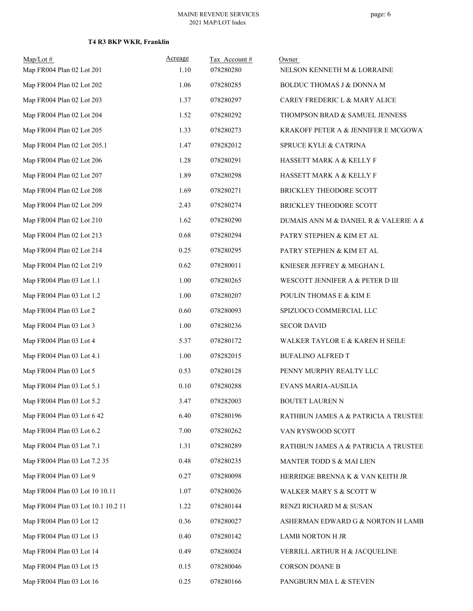| $Map/Lot$ #<br>Map FR004 Plan 02 Lot 201 | Acreage<br>1.10 | Tax Account#<br>078280280 | Owner<br>NELSON KENNETH M & LORRAINE  |
|------------------------------------------|-----------------|---------------------------|---------------------------------------|
| Map FR004 Plan 02 Lot 202                | 1.06            | 078280285                 | BOLDUC THOMAS J & DONNA M             |
| Map FR004 Plan 02 Lot 203                | 1.37            | 078280297                 | CAREY FREDERIC L & MARY ALICE         |
| Map FR004 Plan 02 Lot 204                | 1.52            | 078280292                 | THOMPSON BRAD & SAMUEL JENNESS        |
| Map FR004 Plan 02 Lot 205                | 1.33            | 078280273                 | KRAKOFF PETER A & JENNIFER E MCGOWAl  |
| Map FR004 Plan 02 Lot 205.1              | 1.47            | 078282012                 | SPRUCE KYLE & CATRINA                 |
| Map FR004 Plan 02 Lot 206                | 1.28            | 078280291                 | HASSETT MARK A & KELLY F              |
| Map FR004 Plan 02 Lot 207                | 1.89            | 078280298                 | HASSETT MARK A & KELLY F              |
| Map FR004 Plan 02 Lot 208                | 1.69            | 078280271                 | BRICKLEY THEODORE SCOTT               |
| Map FR004 Plan 02 Lot 209                | 2.43            | 078280274                 | BRICKLEY THEODORE SCOTT               |
| Map FR004 Plan 02 Lot 210                | 1.62            | 078280290                 | DUMAIS ANN M & DANIEL R & VALERIE A & |
| Map FR004 Plan 02 Lot 213                | 0.68            | 078280294                 | PATRY STEPHEN & KIM ET AL             |
| Map FR004 Plan 02 Lot 214                | 0.25            | 078280295                 | PATRY STEPHEN & KIM ET AL             |
| Map FR004 Plan 02 Lot 219                | 0.62            | 078280011                 | KNIESER JEFFREY & MEGHAN L            |
| Map FR004 Plan 03 Lot 1.1                | 1.00            | 078280265                 | WESCOTT JENNIFER A & PETER D III      |
| Map FR004 Plan 03 Lot 1.2                | 1.00            | 078280207                 | POULIN THOMAS E & KIM E               |
| Map FR004 Plan 03 Lot 2                  | 0.60            | 078280093                 | SPIZUOCO COMMERCIAL LLC               |
| Map FR004 Plan 03 Lot 3                  | 1.00            | 078280236                 | <b>SECOR DAVID</b>                    |
| Map FR004 Plan 03 Lot 4                  | 5.37            | 078280172                 | WALKER TAYLOR E & KAREN H SEILE       |
| Map FR004 Plan 03 Lot 4.1                | 1.00            | 078282015                 | <b>BUFALINO ALFRED T</b>              |
| Map FR004 Plan 03 Lot 5                  | 0.53            | 078280128                 | PENNY MURPHY REALTY LLC               |
| Map FR004 Plan 03 Lot 5.1                | $0.10\,$        | 078280288                 | <b>EVANS MARIA-AUSILIA</b>            |
| Map FR004 Plan 03 Lot 5.2                | 3.47            | 078282003                 | BOUTET LAUREN N                       |
| Map FR004 Plan 03 Lot 6 42               | 6.40            | 078280196                 | RATHBUN JAMES A & PATRICIA A TRUSTEE  |
| Map FR004 Plan 03 Lot 6.2                | 7.00            | 078280262                 | VAN RYSWOOD SCOTT                     |
| Map FR004 Plan 03 Lot 7.1                | 1.31            | 078280289                 | RATHBUN JAMES A & PATRICIA A TRUSTEE  |
| Map FR004 Plan 03 Lot 7.2 35             | 0.48            | 078280235                 | MANTER TODD S & MAI LIEN              |
| Map FR004 Plan 03 Lot 9                  | 0.27            | 078280098                 | HERRIDGE BRENNA K & VAN KEITH JR      |
| Map FR004 Plan 03 Lot 10 10.11           | 1.07            | 078280026                 | WALKER MARY S & SCOTT W               |
| Map FR004 Plan 03 Lot 10.1 10.2 11       | 1.22            | 078280144                 | RENZI RICHARD M & SUSAN               |
| Map FR004 Plan 03 Lot 12                 | 0.36            | 078280027                 | ASHERMAN EDWARD G & NORTON H LAMB     |
| Map FR004 Plan 03 Lot 13                 | 0.40            | 078280142                 | LAMB NORTON H JR                      |
| Map FR004 Plan 03 Lot 14                 | 0.49            | 078280024                 | VERRILL ARTHUR H & JACQUELINE         |
| Map FR004 Plan 03 Lot 15                 | 0.15            | 078280046                 | CORSON DOANE B                        |
| Map FR004 Plan 03 Lot 16                 | 0.25            | 078280166                 | PANGBURN MIA L & STEVEN               |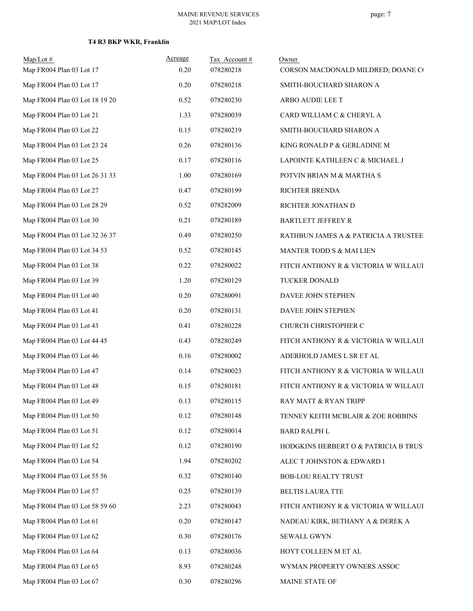| $Map/Lot$ #<br>Map FR004 Plan 03 Lot 17 | Acreage<br>0.20 | Tax Account#<br>078280218 | Owner<br>CORSON MACDONALD MILDRED; DOANE CO |
|-----------------------------------------|-----------------|---------------------------|---------------------------------------------|
| Map FR004 Plan 03 Lot 17                | 0.20            | 078280218                 | SMITH-BOUCHARD SHARON A                     |
| Map FR004 Plan 03 Lot 18 19 20          | 0.52            | 078280230                 | ARBO AUDIE LEE T                            |
| Map FR004 Plan 03 Lot 21                | 1.33            | 078280039                 | CARD WILLIAM C & CHERYL A                   |
| Map FR004 Plan 03 Lot 22                | 0.15            | 078280219                 | SMITH-BOUCHARD SHARON A                     |
| Map FR004 Plan 03 Lot 23 24             | 0.26            | 078280136                 | KING RONALD P & GERLADINE M                 |
| Map FR004 Plan 03 Lot 25                | 0.17            | 078280116                 | LAPOINTE KATHLEEN C & MICHAEL J             |
| Map FR004 Plan 03 Lot 26 31 33          | 1.00            | 078280169                 | POTVIN BRIAN M & MARTHA S                   |
| Map FR004 Plan 03 Lot 27                | 0.47            | 078280199                 | RICHTER BRENDA                              |
| Map FR004 Plan 03 Lot 28 29             | 0.52            | 078282009                 | RICHTER JONATHAN D                          |
| Map FR004 Plan 03 Lot 30                | 0.21            | 078280189                 | <b>BARTLETT JEFFREY R</b>                   |
| Map FR004 Plan 03 Lot 32 36 37          | 0.49            | 078280250                 | RATHBUN JAMES A & PATRICIA A TRUSTEE        |
| Map FR004 Plan 03 Lot 34 53             | 0.52            | 078280145                 | MANTER TODD S & MAI LIEN                    |
| Map FR004 Plan 03 Lot 38                | 0.22            | 078280022                 | FITCH ANTHONY R & VICTORIA W WILLAUI        |
| Map FR004 Plan 03 Lot 39                | 1.20            | 078280129                 | TUCKER DONALD                               |
| Map FR004 Plan 03 Lot 40                | 0.20            | 078280091                 | DAVEE JOHN STEPHEN                          |
| Map FR004 Plan 03 Lot 41                | 0.20            | 078280131                 | DAVEE JOHN STEPHEN                          |
| Map FR004 Plan 03 Lot 43                | 0.41            | 078280228                 | CHURCH CHRISTOPHER C                        |
| Map FR004 Plan 03 Lot 44 45             | 0.43            | 078280249                 | FITCH ANTHONY R & VICTORIA W WILLAUI        |
| Map FR004 Plan 03 Lot 46                | 0.16            | 078280002                 | ADERHOLD JAMES L SR ET AL                   |
| Map FR004 Plan 03 Lot 47                | 0.14            | 078280023                 | FITCH ANTHONY R & VICTORIA W WILLAUI        |
| Map FR004 Plan 03 Lot 48                | 0.15            | 078280181                 | FITCH ANTHONY R & VICTORIA W WILLAUI        |
| Map FR004 Plan 03 Lot 49                | 0.13            | 078280115                 | RAY MATT & RYAN TRIPP                       |
| Map FR004 Plan 03 Lot 50                | 0.12            | 078280148                 | TENNEY KEITH MCBLAIR & ZOE ROBBINS          |
| Map FR004 Plan 03 Lot 51                | 0.12            | 078280014                 | <b>BARD RALPH L</b>                         |
| Map FR004 Plan 03 Lot 52                | 0.12            | 078280190                 | HODGKINS HERBERT O & PATRICIA B TRUS'       |
| Map FR004 Plan 03 Lot 54                | 1.94            | 078280202                 | ALEC T JOHNSTON & EDWARD I                  |
| Map FR004 Plan 03 Lot 55 56             | 0.32            | 078280140                 | <b>BOB-LOU REALTY TRUST</b>                 |
| Map FR004 Plan 03 Lot 57                | 0.25            | 078280139                 | <b>BELTIS LAURA TTE</b>                     |
| Map FR004 Plan 03 Lot 58 59 60          | 2.23            | 078280043                 | FITCH ANTHONY R & VICTORIA W WILLAUI        |
| Map FR004 Plan 03 Lot 61                | 0.20            | 078280147                 | NADEAU KIRK, BETHANY A & DEREK A            |
| Map FR004 Plan 03 Lot 62                | 0.30            | 078280176                 | <b>SEWALL GWYN</b>                          |
| Map FR004 Plan 03 Lot 64                | 0.13            | 078280036                 | HOYT COLLEEN M ET AL                        |
| Map FR004 Plan 03 Lot 65                | 8.93            | 078280248                 | WYMAN PROPERTY OWNERS ASSOC                 |
| Map FR004 Plan 03 Lot 67                | 0.30            | 078280296                 | MAINE STATE OF                              |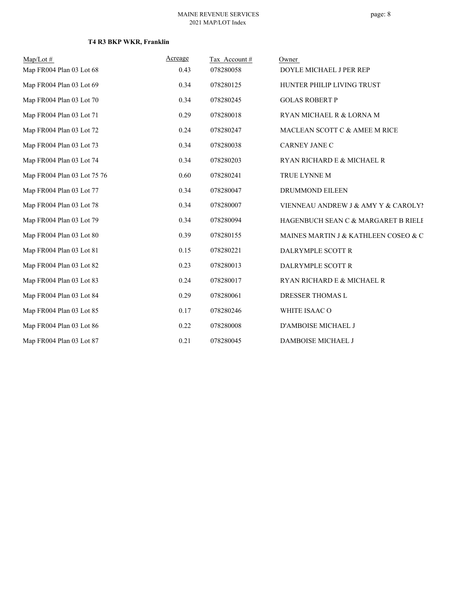| $Map/Lot \#$                | Acreage | Tax Account# | Owner                                |
|-----------------------------|---------|--------------|--------------------------------------|
| Map FR004 Plan 03 Lot 68    | 0.43    | 078280058    | DOYLE MICHAEL J PER REP              |
| Map FR004 Plan 03 Lot 69    | 0.34    | 078280125    | HUNTER PHILIP LIVING TRUST           |
| Map FR004 Plan 03 Lot 70    | 0.34    | 078280245    | <b>GOLAS ROBERT P</b>                |
| Map FR004 Plan 03 Lot 71    | 0.29    | 078280018    | RYAN MICHAEL R & LORNA M             |
| Map FR004 Plan 03 Lot 72    | 0.24    | 078280247    | MACLEAN SCOTT C & AMEE M RICE        |
| Map FR004 Plan 03 Lot 73    | 0.34    | 078280038    | <b>CARNEY JANE C</b>                 |
| Map FR004 Plan 03 Lot 74    | 0.34    | 078280203    | RYAN RICHARD E & MICHAEL R           |
| Map FR004 Plan 03 Lot 75 76 | 0.60    | 078280241    | TRUE LYNNE M                         |
| Map FR004 Plan 03 Lot 77    | 0.34    | 078280047    | DRUMMOND EILEEN                      |
| Map FR004 Plan 03 Lot 78    | 0.34    | 078280007    | VIENNEAU ANDREW J & AMY Y & CAROLY!  |
| Map FR004 Plan 03 Lot 79    | 0.34    | 078280094    | HAGENBUCH SEAN C & MARGARET B RIELE  |
| Map FR004 Plan 03 Lot 80    | 0.39    | 078280155    | MAINES MARTIN J & KATHLEEN COSEO & C |
| Map FR004 Plan 03 Lot 81    | 0.15    | 078280221    | DALRYMPLE SCOTT R                    |
| Map FR004 Plan 03 Lot 82    | 0.23    | 078280013    | DALRYMPLE SCOTT R                    |
| Map FR004 Plan 03 Lot 83    | 0.24    | 078280017    | RYAN RICHARD E & MICHAEL R           |
| Map FR004 Plan 03 Lot 84    | 0.29    | 078280061    | DRESSER THOMAS L                     |
| Map FR004 Plan 03 Lot 85    | 0.17    | 078280246    | WHITE ISAAC O                        |
| Map FR004 Plan 03 Lot 86    | 0.22    | 078280008    | <b>D'AMBOISE MICHAEL J</b>           |
| Map FR004 Plan 03 Lot 87    | 0.21    | 078280045    | DAMBOISE MICHAEL J                   |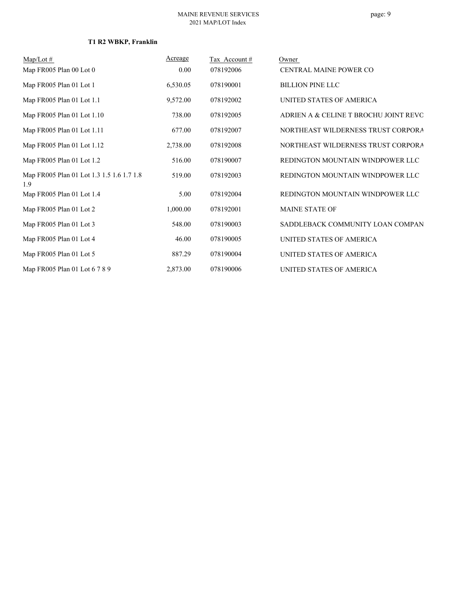# **T1 R2 WBKP, Franklin**

| $Map/Lot \#$                                     | Acreage  | Tax Account # | Owner                                 |
|--------------------------------------------------|----------|---------------|---------------------------------------|
| Map FR005 Plan 00 Lot 0                          | 0.00     | 078192006     | CENTRAL MAINE POWER CO                |
| Map FR005 Plan 01 Lot 1                          | 6,530.05 | 078190001     | <b>BILLION PINE LLC</b>               |
| Map FR005 Plan 01 Lot 1.1                        | 9,572.00 | 078192002     | UNITED STATES OF AMERICA              |
| Map FR005 Plan 01 Lot 1.10                       | 738.00   | 078192005     | ADRIEN A & CELINE T BROCHU JOINT REVO |
| Map FR005 Plan 01 Lot 1.11                       | 677.00   | 078192007     | NORTHEAST WILDERNESS TRUST CORPORA    |
| Map FR005 Plan 01 Lot 1.12                       | 2,738.00 | 078192008     | NORTHEAST WILDERNESS TRUST CORPORA    |
| Map FR005 Plan 01 Lot 1.2                        | 516.00   | 078190007     | REDINGTON MOUNTAIN WINDPOWER LLC      |
| Map FR005 Plan 01 Lot 1.3 1.5 1.6 1.7 1.8<br>1.9 | 519.00   | 078192003     | REDINGTON MOUNTAIN WINDPOWER LLC      |
| Map FR005 Plan 01 Lot 1.4                        | 5.00     | 078192004     | REDINGTON MOUNTAIN WINDPOWER LLC      |
| Map FR005 Plan 01 Lot 2                          | 1,000.00 | 078192001     | <b>MAINE STATE OF</b>                 |
| Map FR005 Plan 01 Lot 3                          | 548.00   | 078190003     | SADDLEBACK COMMUNITY LOAN COMPAN      |
| Map FR005 Plan 01 Lot 4                          | 46.00    | 078190005     | UNITED STATES OF AMERICA              |
| Map FR005 Plan 01 Lot 5                          | 887.29   | 078190004     | UNITED STATES OF AMERICA              |
| Map FR005 Plan 01 Lot 6 7 8 9                    | 2,873.00 | 078190006     | UNITED STATES OF AMERICA              |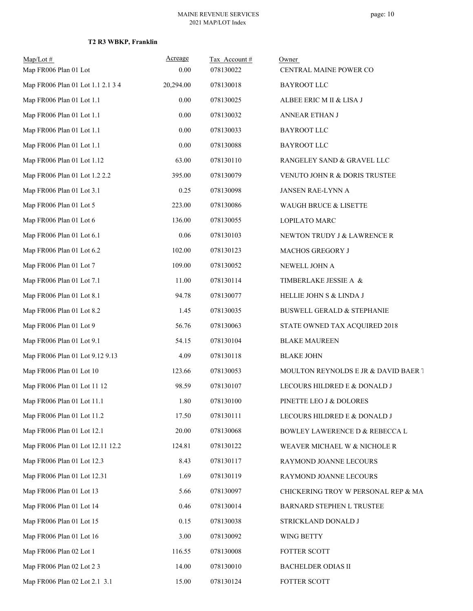| $Map/Lot \#$<br>Map FR006 Plan 01 Lot | Acreage<br>0.00 | Tax Account#<br>078130022 | Owner<br>CENTRAL MAINE POWER CO       |
|---------------------------------------|-----------------|---------------------------|---------------------------------------|
| Map FR006 Plan 01 Lot 1.1 2.1 3 4     | 20,294.00       | 078130018                 | <b>BAYROOT LLC</b>                    |
| Map FR006 Plan 01 Lot 1.1             | $0.00\,$        | 078130025                 | ALBEE ERIC M II & LISA J              |
| Map FR006 Plan 01 Lot 1.1             | $0.00\,$        | 078130032                 | ANNEAR ETHAN J                        |
| Map FR006 Plan 01 Lot 1.1             | $0.00\,$        | 078130033                 | <b>BAYROOT LLC</b>                    |
| Map FR006 Plan 01 Lot 1.1             | 0.00            | 078130088                 | <b>BAYROOT LLC</b>                    |
| Map FR006 Plan 01 Lot 1.12            | 63.00           | 078130110                 | RANGELEY SAND & GRAVEL LLC            |
| Map FR006 Plan 01 Lot 1.2 2.2         | 395.00          | 078130079                 | VENUTO JOHN R & DORIS TRUSTEE         |
| Map FR006 Plan 01 Lot 3.1             | 0.25            | 078130098                 | JANSEN RAE-LYNN A                     |
| Map FR006 Plan 01 Lot 5               | 223.00          | 078130086                 | WAUGH BRUCE & LISETTE                 |
| Map FR006 Plan 01 Lot 6               | 136.00          | 078130055                 | LOPILATO MARC                         |
| Map FR006 Plan 01 Lot 6.1             | 0.06            | 078130103                 | NEWTON TRUDY J & LAWRENCE R           |
| Map FR006 Plan 01 Lot 6.2             | 102.00          | 078130123                 | MACHOS GREGORY J                      |
| Map FR006 Plan 01 Lot 7               | 109.00          | 078130052                 | NEWELL JOHN A                         |
| Map FR006 Plan 01 Lot 7.1             | 11.00           | 078130114                 | TIMBERLAKE JESSIE A &                 |
| Map FR006 Plan 01 Lot 8.1             | 94.78           | 078130077                 | HELLIE JOHN S & LINDA J               |
| Map FR006 Plan 01 Lot 8.2             | 1.45            | 078130035                 | <b>BUSWELL GERALD &amp; STEPHANIE</b> |
| Map FR006 Plan 01 Lot 9               | 56.76           | 078130063                 | STATE OWNED TAX ACQUIRED 2018         |
| Map FR006 Plan 01 Lot 9.1             | 54.15           | 078130104                 | <b>BLAKE MAUREEN</b>                  |
| Map FR006 Plan 01 Lot 9.12 9.13       | 4.09            | 078130118                 | <b>BLAKE JOHN</b>                     |
| Map FR006 Plan 01 Lot 10              | 123.66          | 078130053                 | MOULTON REYNOLDS E JR & DAVID BAER 1  |
| Map FR006 Plan 01 Lot 11 12           | 98.59           | 078130107                 | LECOURS HILDRED E & DONALD J          |
| Map FR006 Plan 01 Lot 11.1            | 1.80            | 078130100                 | PINETTE LEO J & DOLORES               |
| Map FR006 Plan 01 Lot 11.2            | 17.50           | 078130111                 | LECOURS HILDRED E & DONALD J          |
| Map FR006 Plan 01 Lot 12.1            | 20.00           | 078130068                 | BOWLEY LAWERENCE D & REBECCA L        |
| Map FR006 Plan 01 Lot 12.11 12.2      | 124.81          | 078130122                 | WEAVER MICHAEL W & NICHOLE R          |
| Map FR006 Plan 01 Lot 12.3            | 8.43            | 078130117                 | RAYMOND JOANNE LECOURS                |
| Map FR006 Plan 01 Lot 12.31           | 1.69            | 078130119                 | RAYMOND JOANNE LECOURS                |
| Map FR006 Plan 01 Lot 13              | 5.66            | 078130097                 | CHICKERING TROY W PERSONAL REP & MA   |
| Map FR006 Plan 01 Lot 14              | 0.46            | 078130014                 | BARNARD STEPHEN L TRUSTEE             |
| Map FR006 Plan 01 Lot 15              | 0.15            | 078130038                 | STRICKLAND DONALD J                   |
| Map FR006 Plan 01 Lot 16              | 3.00            | 078130092                 | WING BETTY                            |
| Map FR006 Plan 02 Lot 1               | 116.55          | 078130008                 | FOTTER SCOTT                          |
| Map FR006 Plan 02 Lot 2 3             | 14.00           | 078130010                 | BACHELDER ODIAS II                    |
| Map FR006 Plan 02 Lot 2.1 3.1         | 15.00           | 078130124                 | FOTTER SCOTT                          |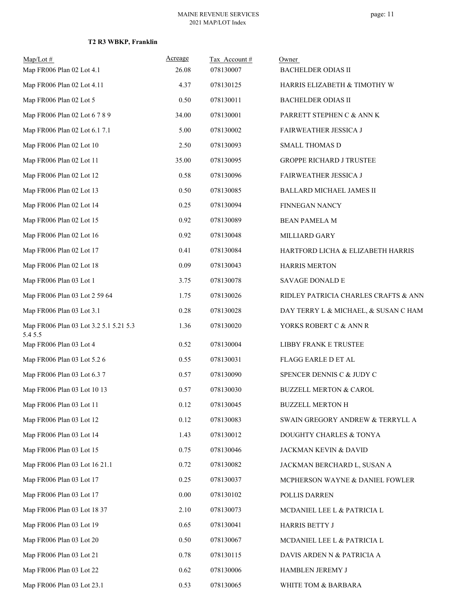| Map/Lot#                                          | Acreage | Tax Account # | Owner                                |
|---------------------------------------------------|---------|---------------|--------------------------------------|
| Map FR006 Plan 02 Lot 4.1                         | 26.08   | 078130007     | <b>BACHELDER ODIAS II</b>            |
| Map FR006 Plan 02 Lot 4.11                        | 4.37    | 078130125     | HARRIS ELIZABETH & TIMOTHY W         |
| Map FR006 Plan 02 Lot 5                           | 0.50    | 078130011     | <b>BACHELDER ODIAS II</b>            |
| Map FR006 Plan 02 Lot 6 7 8 9                     | 34.00   | 078130001     | PARRETT STEPHEN C & ANN K            |
| Map FR006 Plan 02 Lot 6.1 7.1                     | 5.00    | 078130002     | FAIRWEATHER JESSICA J                |
| Map FR006 Plan 02 Lot 10                          | 2.50    | 078130093     | <b>SMALL THOMAS D</b>                |
| Map FR006 Plan 02 Lot 11                          | 35.00   | 078130095     | <b>GROPPE RICHARD J TRUSTEE</b>      |
| Map FR006 Plan 02 Lot 12                          | 0.58    | 078130096     | FAIRWEATHER JESSICA J                |
| Map FR006 Plan 02 Lot 13                          | 0.50    | 078130085     | BALLARD MICHAEL JAMES II             |
| Map FR006 Plan 02 Lot 14                          | 0.25    | 078130094     | FINNEGAN NANCY                       |
| Map FR006 Plan 02 Lot 15                          | 0.92    | 078130089     | BEAN PAMELA M                        |
| Map FR006 Plan 02 Lot 16                          | 0.92    | 078130048     | MILLIARD GARY                        |
| Map FR006 Plan 02 Lot 17                          | 0.41    | 078130084     | HARTFORD LICHA & ELIZABETH HARRIS    |
| Map FR006 Plan 02 Lot 18                          | 0.09    | 078130043     | <b>HARRIS MERTON</b>                 |
| Map FR006 Plan 03 Lot 1                           | 3.75    | 078130078     | SAVAGE DONALD E                      |
| Map FR006 Plan 03 Lot 2 59 64                     | 1.75    | 078130026     | RIDLEY PATRICIA CHARLES CRAFTS & ANN |
| Map FR006 Plan 03 Lot 3.1                         | 0.28    | 078130028     | DAY TERRY L & MICHAEL, & SUSAN C HAM |
| Map FR006 Plan 03 Lot 3.2 5.1 5.21 5.3<br>5.4 5.5 | 1.36    | 078130020     | YORKS ROBERT C & ANN R               |
| Map FR006 Plan 03 Lot 4                           | 0.52    | 078130004     | LIBBY FRANK E TRUSTEE                |
| Map FR006 Plan 03 Lot 5.2 6                       | 0.55    | 078130031     | FLAGG EARLE D ET AL                  |
| Map FR006 Plan 03 Lot 6.3 7                       | 0.57    | 078130090     | SPENCER DENNIS C & JUDY C            |
| Map FR006 Plan 03 Lot 10 13                       | 0.57    | 078130030     | <b>BUZZELL MERTON &amp; CAROL</b>    |
| Map FR006 Plan 03 Lot 11                          | 0.12    | 078130045     | <b>BUZZELL MERTON H</b>              |
| Map FR006 Plan 03 Lot 12                          | 0.12    | 078130083     | SWAIN GREGORY ANDREW & TERRYLL A     |
| Map FR006 Plan 03 Lot 14                          | 1.43    | 078130012     | DOUGHTY CHARLES & TONYA              |
| Map FR006 Plan 03 Lot 15                          | 0.75    | 078130046     | JACKMAN KEVIN & DAVID                |
| Map FR006 Plan 03 Lot 16 21.1                     | 0.72    | 078130082     | JACKMAN BERCHARD L, SUSAN A          |
| Map FR006 Plan 03 Lot 17                          | 0.25    | 078130037     | MCPHERSON WAYNE & DANIEL FOWLER      |
| Map FR006 Plan 03 Lot 17                          | 0.00    | 078130102     | POLLIS DARREN                        |
| Map FR006 Plan 03 Lot 18 37                       | 2.10    | 078130073     | MCDANIEL LEE L & PATRICIA L          |
| Map FR006 Plan 03 Lot 19                          | 0.65    | 078130041     | HARRIS BETTY J                       |
| Map FR006 Plan 03 Lot 20                          | 0.50    | 078130067     | MCDANIEL LEE L & PATRICIA L          |
| Map FR006 Plan 03 Lot 21                          | 0.78    | 078130115     | DAVIS ARDEN N & PATRICIA A           |
| Map FR006 Plan 03 Lot 22                          | 0.62    | 078130006     | HAMBLEN JEREMY J                     |
| Map FR006 Plan 03 Lot 23.1                        | 0.53    | 078130065     | WHITE TOM & BARBARA                  |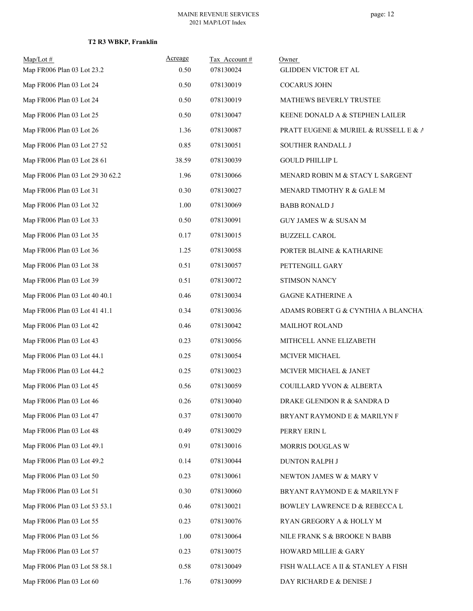| $Map/Lot \#$<br>Map FR006 Plan 03 Lot 23.2 | Acreage | Tax Account# | Owner                                 |
|--------------------------------------------|---------|--------------|---------------------------------------|
|                                            | 0.50    | 078130024    | GLIDDEN VICTOR ET AL                  |
| Map FR006 Plan 03 Lot 24                   | 0.50    | 078130019    | <b>COCARUS JOHN</b>                   |
| Map FR006 Plan 03 Lot 24                   | 0.50    | 078130019    | MATHEWS BEVERLY TRUSTEE               |
| Map FR006 Plan 03 Lot 25                   | 0.50    | 078130047    | KEENE DONALD A & STEPHEN LAILER       |
| Map FR006 Plan 03 Lot 26                   | 1.36    | 078130087    | PRATT EUGENE & MURIEL & RUSSELL E & A |
| Map FR006 Plan 03 Lot 27 52                | 0.85    | 078130051    | SOUTHER RANDALL J                     |
| Map FR006 Plan 03 Lot 28 61                | 38.59   | 078130039    | <b>GOULD PHILLIP L</b>                |
| Map FR006 Plan 03 Lot 29 30 62.2           | 1.96    | 078130066    | MENARD ROBIN M & STACY L SARGENT      |
| Map FR006 Plan 03 Lot 31                   | 0.30    | 078130027    | MENARD TIMOTHY R & GALE M             |
| Map FR006 Plan 03 Lot 32                   | 1.00    | 078130069    | <b>BABB RONALD J</b>                  |
| Map FR006 Plan 03 Lot 33                   | 0.50    | 078130091    | <b>GUY JAMES W &amp; SUSAN M</b>      |
| Map FR006 Plan 03 Lot 35                   | 0.17    | 078130015    | <b>BUZZELL CAROL</b>                  |
| Map FR006 Plan 03 Lot 36                   | 1.25    | 078130058    | PORTER BLAINE & KATHARINE             |
| Map FR006 Plan 03 Lot 38                   | 0.51    | 078130057    | PETTENGILL GARY                       |
| Map FR006 Plan 03 Lot 39                   | 0.51    | 078130072    | STIMSON NANCY                         |
| Map FR006 Plan 03 Lot 40 40.1              | 0.46    | 078130034    | <b>GAGNE KATHERINE A</b>              |
| Map FR006 Plan 03 Lot 41 41.1              | 0.34    | 078130036    | ADAMS ROBERT G & CYNTHIA A BLANCHAI   |
| Map FR006 Plan 03 Lot 42                   | 0.46    | 078130042    | <b>MAILHOT ROLAND</b>                 |
| Map FR006 Plan 03 Lot 43                   | 0.23    | 078130056    | MITHCELL ANNE ELIZABETH               |
| Map FR006 Plan 03 Lot 44.1                 | 0.25    | 078130054    | MCIVER MICHAEL                        |
| Map FR006 Plan 03 Lot 44.2                 | 0.25    | 078130023    | MCIVER MICHAEL & JANET                |
| Map FR006 Plan 03 Lot 45                   | 0.56    | 078130059    | COUILLARD YVON & ALBERTA              |
| Map FR006 Plan 03 Lot 46                   | 0.26    | 078130040    | DRAKE GLENDON R & SANDRA D            |
| Map FR006 Plan 03 Lot 47                   | 0.37    | 078130070    | BRYANT RAYMOND E & MARILYN F          |
| Map FR006 Plan 03 Lot 48                   | 0.49    | 078130029    | PERRY ERIN L                          |
| Map FR006 Plan 03 Lot 49.1                 | 0.91    | 078130016    | MORRIS DOUGLAS W                      |
| Map FR006 Plan 03 Lot 49.2                 | 0.14    | 078130044    | <b>DUNTON RALPH J</b>                 |
| Map FR006 Plan 03 Lot 50                   | 0.23    | 078130061    | NEWTON JAMES W & MARY V               |
| Map FR006 Plan 03 Lot 51                   | 0.30    | 078130060    | BRYANT RAYMOND E & MARILYN F          |
| Map FR006 Plan 03 Lot 53 53.1              | 0.46    | 078130021    | BOWLEY LAWRENCE D & REBECCA L         |
| Map FR006 Plan 03 Lot 55                   | 0.23    | 078130076    | RYAN GREGORY A & HOLLY M              |
| Map FR006 Plan 03 Lot 56                   | 1.00    | 078130064    | NILE FRANK S & BROOKE N BABB          |
| Map FR006 Plan 03 Lot 57                   | 0.23    | 078130075    | HOWARD MILLIE & GARY                  |
| Map FR006 Plan 03 Lot 58 58.1              | 0.58    | 078130049    | FISH WALLACE A II & STANLEY A FISH    |
| Map FR006 Plan 03 Lot 60                   | 1.76    | 078130099    | DAY RICHARD E & DENISE J              |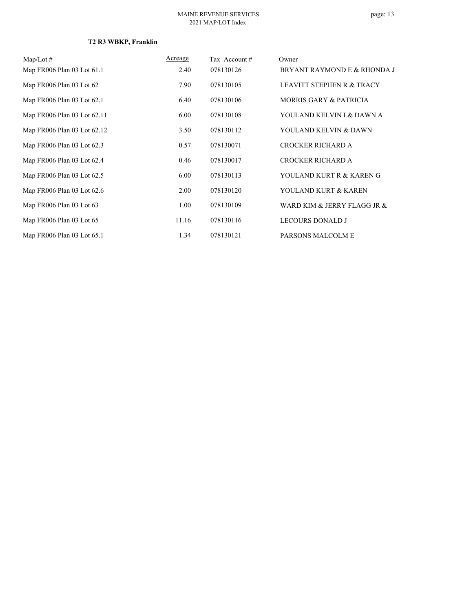| $Map/Lot \#$                | Acreage | Tax Account # | Owner                                |
|-----------------------------|---------|---------------|--------------------------------------|
| Map FR006 Plan 03 Lot 61.1  | 2.40    | 078130126     | BRYANT RAYMOND E & RHONDA J          |
| Map FR006 Plan 03 Lot 62    | 7.90    | 078130105     | <b>LEAVITT STEPHEN R &amp; TRACY</b> |
| Map FR006 Plan 03 Lot 62.1  | 6.40    | 078130106     | <b>MORRIS GARY &amp; PATRICIA</b>    |
| Map FR006 Plan 03 Lot 62.11 | 6.00    | 078130108     | YOULAND KELVIN I & DAWN A            |
| Map FR006 Plan 03 Lot 62.12 | 3.50    | 078130112     | YOULAND KELVIN & DAWN                |
| Map FR006 Plan 03 Lot 62.3  | 0.57    | 078130071     | <b>CROCKER RICHARD A</b>             |
| Map FR006 Plan 03 Lot 62.4  | 0.46    | 078130017     | <b>CROCKER RICHARD A</b>             |
| Map FR006 Plan 03 Lot 62.5  | 6.00    | 078130113     | YOULAND KURT R & KAREN G             |
| Map FR006 Plan 03 Lot 62.6  | 2.00    | 078130120     | YOULAND KURT & KAREN                 |
| Map FR006 Plan 03 Lot 63    | 1.00    | 078130109     | WARD KIM & JERRY FLAGG JR &          |
| Map FR006 Plan 03 Lot 65    | 11.16   | 078130116     | <b>LECOURS DONALD J</b>              |
| Map FR006 Plan 03 Lot 65.1  | 1.34    | 078130121     | PARSONS MALCOLM E                    |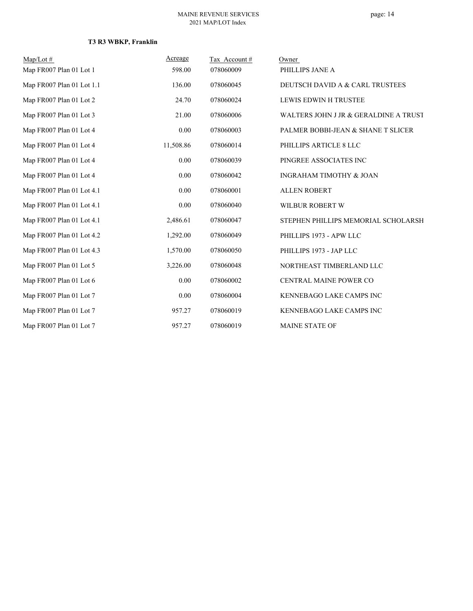| $Map/Lot \#$              | Acreage   | Tax Account# | Owner                                 |
|---------------------------|-----------|--------------|---------------------------------------|
| Map FR007 Plan 01 Lot 1   | 598.00    | 078060009    | PHILLIPS JANE A                       |
| Map FR007 Plan 01 Lot 1.1 | 136.00    | 078060045    | DEUTSCH DAVID A & CARL TRUSTEES       |
| Map FR007 Plan 01 Lot 2   | 24.70     | 078060024    | LEWIS EDWIN H TRUSTEE                 |
| Map FR007 Plan 01 Lot 3   | 21.00     | 078060006    | WALTERS JOHN J JR & GERALDINE A TRUST |
| Map FR007 Plan 01 Lot 4   | 0.00      | 078060003    | PALMER BOBBI-JEAN & SHANE T SLICER    |
| Map FR007 Plan 01 Lot 4   | 11,508.86 | 078060014    | PHILLIPS ARTICLE 8 LLC                |
| Map FR007 Plan 01 Lot 4   | 0.00      | 078060039    | PINGREE ASSOCIATES INC                |
| Map FR007 Plan 01 Lot 4   | 0.00      | 078060042    | INGRAHAM TIMOTHY & JOAN               |
| Map FR007 Plan 01 Lot 4.1 | 0.00      | 078060001    | <b>ALLEN ROBERT</b>                   |
| Map FR007 Plan 01 Lot 4.1 | 0.00      | 078060040    | WILBUR ROBERT W                       |
| Map FR007 Plan 01 Lot 4.1 | 2,486.61  | 078060047    | STEPHEN PHILLIPS MEMORIAL SCHOLARSH   |
| Map FR007 Plan 01 Lot 4.2 | 1,292.00  | 078060049    | PHILLIPS 1973 - APW LLC               |
| Map FR007 Plan 01 Lot 4.3 | 1,570.00  | 078060050    | PHILLIPS 1973 - JAP LLC               |
| Map FR007 Plan 01 Lot 5   | 3,226.00  | 078060048    | NORTHEAST TIMBERLAND LLC              |
| Map FR007 Plan 01 Lot 6   | 0.00      | 078060002    | CENTRAL MAINE POWER CO                |
| Map FR007 Plan 01 Lot 7   | 0.00      | 078060004    | KENNEBAGO LAKE CAMPS INC              |
| Map FR007 Plan 01 Lot 7   | 957.27    | 078060019    | KENNEBAGO LAKE CAMPS INC              |
| Map FR007 Plan 01 Lot 7   | 957.27    | 078060019    | <b>MAINE STATE OF</b>                 |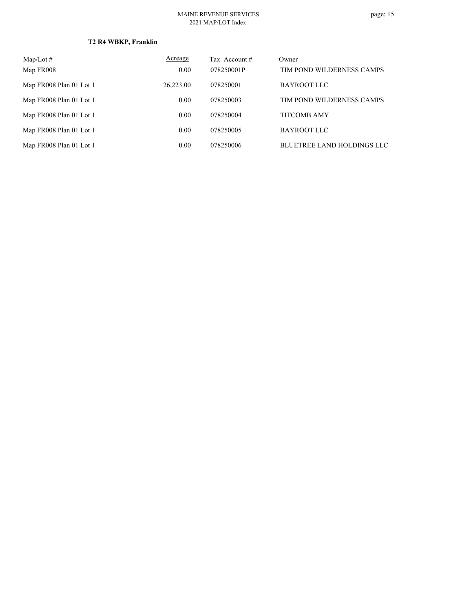| $Map/Lot \#$            | Acreage   | Tax Account # | Owner                             |
|-------------------------|-----------|---------------|-----------------------------------|
| Map FR008               | 0.00      | 078250001P    | TIM POND WILDERNESS CAMPS         |
| Map FR008 Plan 01 Lot 1 | 26,223.00 | 078250001     | BAYROOT LLC                       |
| Map FR008 Plan 01 Lot 1 | 0.00      | 078250003     | TIM POND WILDERNESS CAMPS         |
| Map FR008 Plan 01 Lot 1 | 0.00      | 078250004     | <b>TITCOMB AMY</b>                |
| Map FR008 Plan 01 Lot 1 | 0.00      | 078250005     | BAYROOT LLC                       |
| Map FR008 Plan 01 Lot 1 | 0.00      | 078250006     | <b>BLUETREE LAND HOLDINGS LLC</b> |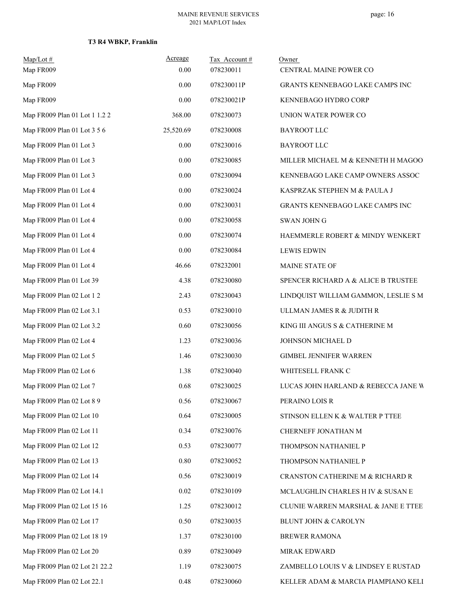# **T3 R4 WBKP, Franklin**

| Map/Lot#<br>Map FR009         | Acreage<br>0.00 | Tax Account#<br>078230011 | Owner<br>CENTRAL MAINE POWER CO      |
|-------------------------------|-----------------|---------------------------|--------------------------------------|
| Map FR009                     | 0.00            | 078230011P                | GRANTS KENNEBAGO LAKE CAMPS INC      |
| Map FR009                     | 0.00            | 078230021P                | KENNEBAGO HYDRO CORP                 |
| Map FR009 Plan 01 Lot 1 1.2 2 | 368.00          | 078230073                 | UNION WATER POWER CO                 |
| Map FR009 Plan 01 Lot 3 5 6   | 25,520.69       | 078230008                 | <b>BAYROOT LLC</b>                   |
| Map FR009 Plan 01 Lot 3       | 0.00            | 078230016                 | <b>BAYROOT LLC</b>                   |
| Map FR009 Plan 01 Lot 3       | 0.00            | 078230085                 | MILLER MICHAEL M & KENNETH H MAGOO!  |
| Map FR009 Plan 01 Lot 3       | 0.00            | 078230094                 | KENNEBAGO LAKE CAMP OWNERS ASSOC     |
| Map FR009 Plan 01 Lot 4       | 0.00            | 078230024                 | KASPRZAK STEPHEN M & PAULA J         |
| Map FR009 Plan 01 Lot 4       | 0.00            | 078230031                 | GRANTS KENNEBAGO LAKE CAMPS INC      |
| Map FR009 Plan 01 Lot 4       | 0.00            | 078230058                 | SWAN JOHN G                          |
| Map FR009 Plan 01 Lot 4       | 0.00            | 078230074                 | HAEMMERLE ROBERT & MINDY WENKERT     |
| Map FR009 Plan 01 Lot 4       | 0.00            | 078230084                 | <b>LEWIS EDWIN</b>                   |
| Map FR009 Plan 01 Lot 4       | 46.66           | 078232001                 | MAINE STATE OF                       |
| Map FR009 Plan 01 Lot 39      | 4.38            | 078230080                 | SPENCER RICHARD A & ALICE B TRUSTEE  |
| Map FR009 Plan 02 Lot 1 2     | 2.43            | 078230043                 | LINDQUIST WILLIAM GAMMON, LESLIE S M |
| Map FR009 Plan 02 Lot 3.1     | 0.53            | 078230010                 | ULLMAN JAMES R & JUDITH R            |
| Map FR009 Plan 02 Lot 3.2     | 0.60            | 078230056                 | KING III ANGUS S & CATHERINE M       |
| Map FR009 Plan 02 Lot 4       | 1.23            | 078230036                 | JOHNSON MICHAEL D                    |
| Map FR009 Plan 02 Lot 5       | 1.46            | 078230030                 | <b>GIMBEL JENNIFER WARREN</b>        |
| Map FR009 Plan 02 Lot 6       | 1.38            | 078230040                 | WHITESELL FRANK C                    |
| Map FR009 Plan 02 Lot 7       | 0.68            | 078230025                 | LUCAS JOHN HARLAND & REBECCA JANE W  |
| Map FR009 Plan 02 Lot 8 9     | 0.56            | 078230067                 | PERAINO LOIS R                       |
| Map FR009 Plan 02 Lot 10      | 0.64            | 078230005                 | STINSON ELLEN K & WALTER P TTEE      |
| Map FR009 Plan 02 Lot 11      | 0.34            | 078230076                 | CHERNEFF JONATHAN M                  |
| Map FR009 Plan 02 Lot 12      | 0.53            | 078230077                 | THOMPSON NATHANIEL P                 |
| Map FR009 Plan 02 Lot 13      | 0.80            | 078230052                 | THOMPSON NATHANIEL P                 |
| Map FR009 Plan 02 Lot 14      | 0.56            | 078230019                 | CRANSTON CATHERINE M & RICHARD R     |
| Map FR009 Plan 02 Lot 14.1    | $0.02\,$        | 078230109                 | MCLAUGHLIN CHARLES H IV & SUSAN E    |
| Map FR009 Plan 02 Lot 15 16   | 1.25            | 078230012                 | CLUNIE WARREN MARSHAL & JANE E TTEE  |
| Map FR009 Plan 02 Lot 17      | 0.50            | 078230035                 | BLUNT JOHN & CAROLYN                 |
| Map FR009 Plan 02 Lot 18 19   | 1.37            | 078230100                 | BREWER RAMONA                        |
| Map FR009 Plan 02 Lot 20      | 0.89            | 078230049                 | MIRAK EDWARD                         |
| Map FR009 Plan 02 Lot 21 22.2 | 1.19            | 078230075                 | ZAMBELLO LOUIS V & LINDSEY E RUSTAD  |
| Map FR009 Plan 02 Lot 22.1    | 0.48            | 078230060                 | KELLER ADAM & MARCIA PIAMPIANO KELI  |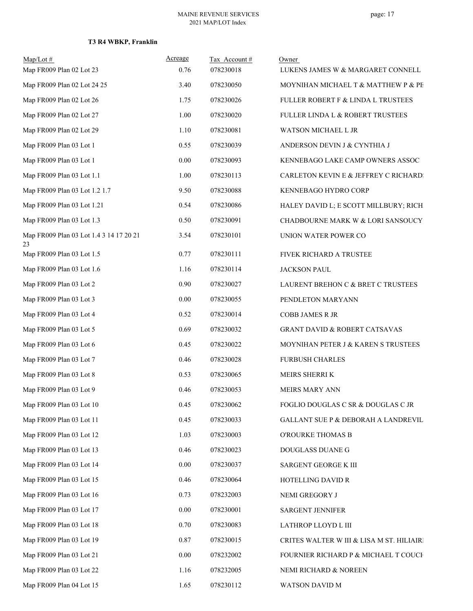# **T3 R4 WBKP, Franklin**

| $Map/Lot$ #<br>Map FR009 Plan 02 Lot 23       | Acreage<br>0.76 | Tax Account#<br>078230018 | Owner<br>LUKENS JAMES W & MARGARET CONNELL |
|-----------------------------------------------|-----------------|---------------------------|--------------------------------------------|
|                                               |                 |                           |                                            |
| Map FR009 Plan 02 Lot 24 25                   | 3.40            | 078230050                 | MOYNIHAN MICHAEL T & MATTHEW P & PE        |
| Map FR009 Plan 02 Lot 26                      | 1.75            | 078230026                 | FULLER ROBERT F & LINDA L TRUSTEES         |
| Map FR009 Plan 02 Lot 27                      | 1.00            | 078230020                 | FULLER LINDA L & ROBERT TRUSTEES           |
| Map FR009 Plan 02 Lot 29                      | 1.10            | 078230081                 | WATSON MICHAEL L JR                        |
| Map FR009 Plan 03 Lot 1                       | 0.55            | 078230039                 | ANDERSON DEVIN J & CYNTHIA J               |
| Map FR009 Plan 03 Lot 1                       | $0.00\,$        | 078230093                 | KENNEBAGO LAKE CAMP OWNERS ASSOC           |
| Map FR009 Plan 03 Lot 1.1                     | 1.00            | 078230113                 | CARLETON KEVIN E & JEFFREY C RICHARD:      |
| Map FR009 Plan 03 Lot 1.2 1.7                 | 9.50            | 078230088                 | KENNEBAGO HYDRO CORP                       |
| Map FR009 Plan 03 Lot 1.21                    | 0.54            | 078230086                 | HALEY DAVID L; E SCOTT MILLBURY; RICH      |
| Map FR009 Plan 03 Lot 1.3                     | 0.50            | 078230091                 | CHADBOURNE MARK W & LORI SANSOUCY          |
| Map FR009 Plan 03 Lot 1.4 3 14 17 20 21<br>23 | 3.54            | 078230101                 | UNION WATER POWER CO                       |
| Map FR009 Plan 03 Lot 1.5                     | 0.77            | 078230111                 | FIVEK RICHARD A TRUSTEE                    |
| Map FR009 Plan 03 Lot 1.6                     | 1.16            | 078230114                 | <b>JACKSON PAUL</b>                        |
| Map FR009 Plan 03 Lot 2                       | 0.90            | 078230027                 | LAURENT BREHON C & BRET C TRUSTEES         |
| Map FR009 Plan 03 Lot 3                       | $0.00\,$        | 078230055                 | PENDLETON MARYANN                          |
| Map FR009 Plan 03 Lot 4                       | 0.52            | 078230014                 | COBB JAMES R JR                            |
| Map FR009 Plan 03 Lot 5                       | 0.69            | 078230032                 | <b>GRANT DAVID &amp; ROBERT CATSAVAS</b>   |
| Map FR009 Plan 03 Lot 6                       | 0.45            | 078230022                 | MOYNIHAN PETER J & KAREN S TRUSTEES        |
| Map FR009 Plan 03 Lot 7                       | 0.46            | 078230028                 | <b>FURBUSH CHARLES</b>                     |
| Map FR009 Plan 03 Lot 8                       | 0.53            | 078230065                 | MEIRS SHERRI K                             |
| Map FR009 Plan 03 Lot 9                       | 0.46            | 078230053                 | MEIRS MARY ANN                             |
| Map FR009 Plan 03 Lot 10                      | 0.45            | 078230062                 | FOGLIO DOUGLAS C SR & DOUGLAS C JR         |
| Map FR009 Plan 03 Lot 11                      | 0.45            | 078230033                 | GALLANT SUE P & DEBORAH A LANDREVIL        |
| Map FR009 Plan 03 Lot 12                      | 1.03            | 078230003                 | O'ROURKE THOMAS B                          |
| Map FR009 Plan 03 Lot 13                      | 0.46            | 078230023                 | DOUGLASS DUANE G                           |
| Map FR009 Plan 03 Lot 14                      | $0.00\,$        | 078230037                 | SARGENT GEORGE K III                       |
| Map FR009 Plan 03 Lot 15                      | 0.46            | 078230064                 | HOTELLING DAVID R                          |
| Map FR009 Plan 03 Lot 16                      | 0.73            | 078232003                 | NEMI GREGORY J                             |
| Map FR009 Plan 03 Lot 17                      | $0.00\,$        | 078230001                 | <b>SARGENT JENNIFER</b>                    |
| Map FR009 Plan 03 Lot 18                      | 0.70            | 078230083                 | LATHROP LLOYD L III                        |
| Map FR009 Plan 03 Lot 19                      | 0.87            | 078230015                 | CRITES WALTER W III & LISA M ST. HILIAIRI  |
| Map FR009 Plan 03 Lot 21                      | 0.00            | 078232002                 | FOURNIER RICHARD P & MICHAEL T COUCH       |
| Map FR009 Plan 03 Lot 22                      | 1.16            | 078232005                 | NEMI RICHARD & NOREEN                      |
| Map FR009 Plan 04 Lot 15                      | 1.65            | 078230112                 | WATSON DAVID M                             |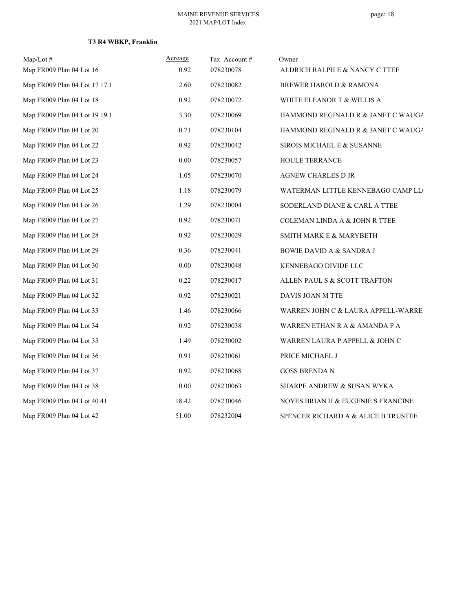# **T3 R4 WBKP, Franklin**

| $Map/Lot \#$                  | Acreage  | Tax Account# | Owner                                    |
|-------------------------------|----------|--------------|------------------------------------------|
| Map FR009 Plan 04 Lot 16      | 0.92     | 078230078    | ALDRICH RALPH E & NANCY C TTEE           |
| Map FR009 Plan 04 Lot 17 17.1 | 2.60     | 078230082    | BREWER HAROLD & RAMONA                   |
| Map FR009 Plan 04 Lot 18      | 0.92     | 078230072    | WHITE ELEANOR T & WILLIS A               |
| Map FR009 Plan 04 Lot 19 19.1 | 3.30     | 078230069    | HAMMOND REGINALD R & JANET C WAUGA       |
| Map FR009 Plan 04 Lot 20      | 0.71     | 078230104    | HAMMOND REGINALD R & JANET C WAUGA       |
| Map FR009 Plan 04 Lot 22      | 0.92     | 078230042    | SIROIS MICHAEL E & SUSANNE               |
| Map FR009 Plan 04 Lot 23      | 0.00     | 078230057    | HOULE TERRANCE                           |
| Map FR009 Plan 04 Lot 24      | 1.05     | 078230070    | AGNEW CHARLES D JR                       |
| Map FR009 Plan 04 Lot 25      | 1.18     | 078230079    | WATERMAN LITTLE KENNEBAGO CAMP LLO       |
| Map FR009 Plan 04 Lot 26      | 1.29     | 078230004    | SODERLAND DIANE & CARL A TTEE            |
| Map FR009 Plan 04 Lot 27      | 0.92     | 078230071    | <b>COLEMAN LINDA A &amp; JOHN R TTEE</b> |
| Map FR009 Plan 04 Lot 28      | 0.92     | 078230029    | SMITH MARK E & MARYBETH                  |
| Map FR009 Plan 04 Lot 29      | 0.36     | 078230041    | <b>BOWIE DAVID A &amp; SANDRA J</b>      |
| Map FR009 Plan 04 Lot 30      | $0.00\,$ | 078230048    | KENNEBAGO DIVIDE LLC                     |
| Map FR009 Plan 04 Lot 31      | 0.22     | 078230017    | ALLEN PAUL S & SCOTT TRAFTON             |
| Map FR009 Plan 04 Lot 32      | 0.92     | 078230021    | DAVIS JOAN M TTE                         |
| Map FR009 Plan 04 Lot 33      | 1.46     | 078230066    | WARREN JOHN C & LAURA APPELL-WARRE       |
| Map FR009 Plan 04 Lot 34      | 0.92     | 078230038    | WARREN ETHAN R A & AMANDA P A            |
| Map FR009 Plan 04 Lot 35      | 1.49     | 078230002    | WARREN LAURA P APPELL & JOHN C           |
| Map FR009 Plan 04 Lot 36      | 0.91     | 078230061    | PRICE MICHAEL J                          |
| Map FR009 Plan 04 Lot 37      | 0.92     | 078230068    | <b>GOSS BRENDA N</b>                     |
| Map FR009 Plan 04 Lot 38      | 0.00     | 078230063    | SHARPE ANDREW & SUSAN WYKA               |
| Map FR009 Plan 04 Lot 40 41   | 18.42    | 078230046    | NOYES BRIAN H & EUGENIE S FRANCINE       |
| Map FR009 Plan 04 Lot 42      | 51.00    | 078232004    | SPENCER RICHARD A & ALICE B TRUSTEE      |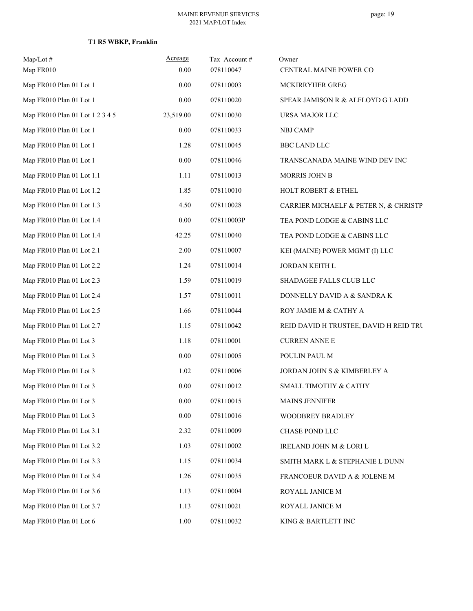# **T1 R5 WBKP, Franklin**

| $Map/Lot$ #<br>Map FR010        | Acreage<br>0.00 | Tax Account#<br>078110047 | Owner<br>CENTRAL MAINE POWER CO        |
|---------------------------------|-----------------|---------------------------|----------------------------------------|
| Map FR010 Plan 01 Lot 1         | 0.00            | 078110003                 | MCKIRRYHER GREG                        |
| Map FR010 Plan 01 Lot 1         | 0.00            | 078110020                 | SPEAR JAMISON R & ALFLOYD G LADD       |
| Map FR010 Plan 01 Lot 1 2 3 4 5 | 23,519.00       | 078110030                 | URSA MAJOR LLC                         |
| Map FR010 Plan 01 Lot 1         | 0.00            | 078110033                 | <b>NBJ CAMP</b>                        |
| Map FR010 Plan 01 Lot 1         | 1.28            | 078110045                 | <b>BBC LAND LLC</b>                    |
| Map FR010 Plan 01 Lot 1         | 0.00            | 078110046                 | TRANSCANADA MAINE WIND DEV INC         |
| Map FR010 Plan 01 Lot 1.1       | 1.11            | 078110013                 | MORRIS JOHN B                          |
| Map FR010 Plan 01 Lot 1.2       | 1.85            | 078110010                 | HOLT ROBERT & ETHEL                    |
| Map FR010 Plan 01 Lot 1.3       | 4.50            | 078110028                 | CARRIER MICHAELF & PETER N, & CHRISTP. |
| Map FR010 Plan 01 Lot 1.4       | $0.00\,$        | 078110003P                | TEA POND LODGE & CABINS LLC            |
| Map FR010 Plan 01 Lot 1.4       | 42.25           | 078110040                 | TEA POND LODGE & CABINS LLC            |
| Map FR010 Plan 01 Lot 2.1       | 2.00            | 078110007                 | KEI (MAINE) POWER MGMT (I) LLC         |
| Map FR010 Plan 01 Lot 2.2       | 1.24            | 078110014                 | JORDAN KEITH L                         |
| Map FR010 Plan 01 Lot 2.3       | 1.59            | 078110019                 | SHADAGEE FALLS CLUB LLC                |
| Map FR010 Plan 01 Lot 2.4       | 1.57            | 078110011                 | DONNELLY DAVID A & SANDRA K            |
| Map FR010 Plan 01 Lot 2.5       | 1.66            | 078110044                 | ROY JAMIE M & CATHY A                  |
| Map FR010 Plan 01 Lot 2.7       | 1.15            | 078110042                 | REID DAVID H TRUSTEE, DAVID H REID TRU |
| Map FR010 Plan 01 Lot 3         | 1.18            | 078110001                 | <b>CURREN ANNE E</b>                   |
| Map FR010 Plan 01 Lot 3         | $0.00\,$        | 078110005                 | POULIN PAUL M                          |
| Map FR010 Plan 01 Lot 3         | 1.02            | 078110006                 | JORDAN JOHN S & KIMBERLEY A            |
| Map FR010 Plan 01 Lot 3         | 0.00            | 078110012                 | SMALL TIMOTHY & CATHY                  |
| Map FR010 Plan 01 Lot 3         | $0.00\,$        | 078110015                 | <b>MAINS JENNIFER</b>                  |
| Map FR010 Plan 01 Lot 3         | $0.00\,$        | 078110016                 | WOODBREY BRADLEY                       |
| Map FR010 Plan 01 Lot 3.1       | 2.32            | 078110009                 | CHASE POND LLC                         |
| Map FR010 Plan 01 Lot 3.2       | 1.03            | 078110002                 | IRELAND JOHN M & LORI L                |
| Map FR010 Plan 01 Lot 3.3       | 1.15            | 078110034                 | SMITH MARK L & STEPHANIE L DUNN        |
| Map FR010 Plan 01 Lot 3.4       | 1.26            | 078110035                 | FRANCOEUR DAVID A & JOLENE M           |
| Map FR010 Plan 01 Lot 3.6       | 1.13            | 078110004                 | ROYALL JANICE M                        |
| Map FR010 Plan 01 Lot 3.7       | 1.13            | 078110021                 | ROYALL JANICE M                        |
| Map FR010 Plan 01 Lot 6         | 1.00            | 078110032                 | KING & BARTLETT INC                    |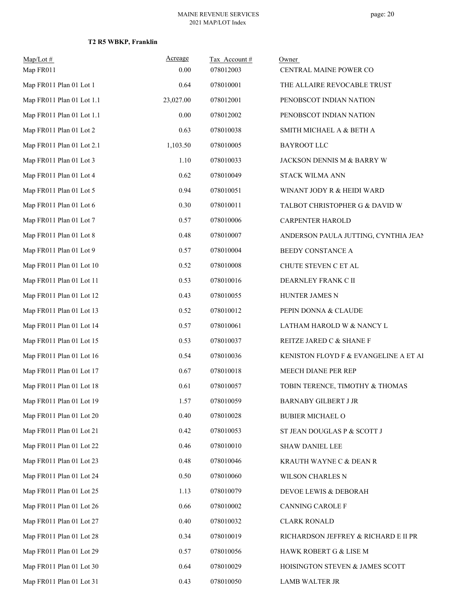| $Map/Lot \#$<br>Map FR011 | Acreage<br>0.00 | Tax Account#<br>078012003 | Owner<br>CENTRAL MAINE POWER CO       |
|---------------------------|-----------------|---------------------------|---------------------------------------|
| Map FR011 Plan 01 Lot 1   | 0.64            | 078010001                 | THE ALLAIRE REVOCABLE TRUST           |
| Map FR011 Plan 01 Lot 1.1 | 23,027.00       | 078012001                 | PENOBSCOT INDIAN NATION               |
| Map FR011 Plan 01 Lot 1.1 | $0.00\,$        | 078012002                 | PENOBSCOT INDIAN NATION               |
| Map FR011 Plan 01 Lot 2   | 0.63            | 078010038                 | SMITH MICHAEL A & BETH A              |
| Map FR011 Plan 01 Lot 2.1 | 1,103.50        | 078010005                 | <b>BAYROOT LLC</b>                    |
| Map FR011 Plan 01 Lot 3   | 1.10            | 078010033                 | JACKSON DENNIS M & BARRY W            |
| Map FR011 Plan 01 Lot 4   | 0.62            | 078010049                 | STACK WILMA ANN                       |
| Map FR011 Plan 01 Lot 5   | 0.94            | 078010051                 | WINANT JODY R & HEIDI WARD            |
| Map FR011 Plan 01 Lot 6   | 0.30            | 078010011                 | TALBOT CHRISTOPHER G & DAVID W        |
| Map FR011 Plan 01 Lot 7   | 0.57            | 078010006                 | CARPENTER HAROLD                      |
| Map FR011 Plan 01 Lot 8   | 0.48            | 078010007                 | ANDERSON PAULA JUTTING, CYNTHIA JEAN  |
| Map FR011 Plan 01 Lot 9   | 0.57            | 078010004                 | BEEDY CONSTANCE A                     |
| Map FR011 Plan 01 Lot 10  | 0.52            | 078010008                 | CHUTE STEVEN C ET AL                  |
| Map FR011 Plan 01 Lot 11  | 0.53            | 078010016                 | DEARNLEY FRANK C II                   |
| Map FR011 Plan 01 Lot 12  | 0.43            | 078010055                 | HUNTER JAMES N                        |
| Map FR011 Plan 01 Lot 13  | 0.52            | 078010012                 | PEPIN DONNA & CLAUDE                  |
| Map FR011 Plan 01 Lot 14  | 0.57            | 078010061                 | LATHAM HAROLD W & NANCY L             |
| Map FR011 Plan 01 Lot 15  | 0.53            | 078010037                 | REITZE JARED C & SHANE F              |
| Map FR011 Plan 01 Lot 16  | 0.54            | 078010036                 | KENISTON FLOYD F & EVANGELINE A ET AI |
| Map FR011 Plan 01 Lot 17  | 0.67            | 078010018                 | MEECH DIANE PER REP                   |
| Map FR011 Plan 01 Lot 18  | 0.61            | 078010057                 | TOBIN TERENCE, TIMOTHY & THOMAS       |
| Map FR011 Plan 01 Lot 19  | 1.57            | 078010059                 | <b>BARNABY GILBERT J JR</b>           |
| Map FR011 Plan 01 Lot 20  | 0.40            | 078010028                 | <b>BUBIER MICHAEL O</b>               |
| Map FR011 Plan 01 Lot 21  | 0.42            | 078010053                 | ST JEAN DOUGLAS P & SCOTT J           |
| Map FR011 Plan 01 Lot 22  | 0.46            | 078010010                 | SHAW DANIEL LEE                       |
| Map FR011 Plan 01 Lot 23  | 0.48            | 078010046                 | KRAUTH WAYNE C & DEAN R               |
| Map FR011 Plan 01 Lot 24  | 0.50            | 078010060                 | WILSON CHARLES N                      |
| Map FR011 Plan 01 Lot 25  | 1.13            | 078010079                 | DEVOE LEWIS & DEBORAH                 |
| Map FR011 Plan 01 Lot 26  | 0.66            | 078010002                 | CANNING CAROLE F                      |
| Map FR011 Plan 01 Lot 27  | 0.40            | 078010032                 | <b>CLARK RONALD</b>                   |
| Map FR011 Plan 01 Lot 28  | 0.34            | 078010019                 | RICHARDSON JEFFREY & RICHARD E II PR  |
| Map FR011 Plan 01 Lot 29  | 0.57            | 078010056                 | HAWK ROBERT G & LISE M                |
| Map FR011 Plan 01 Lot 30  | 0.64            | 078010029                 | HOISINGTON STEVEN & JAMES SCOTT       |
| Map FR011 Plan 01 Lot 31  | 0.43            | 078010050                 | LAMB WALTER JR                        |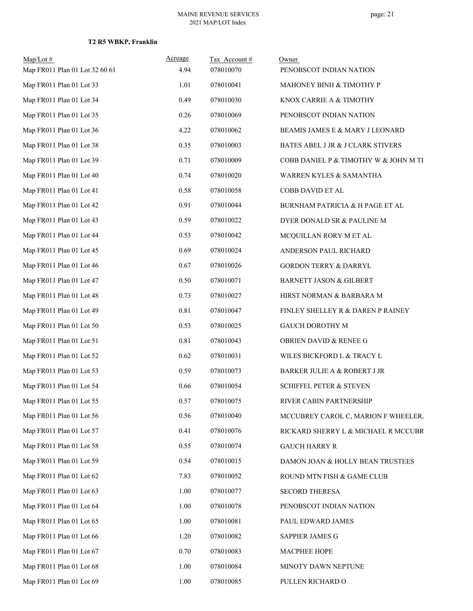| $Map/Lot \#$                   | Acreage | Tax Account# | Owner                                 |
|--------------------------------|---------|--------------|---------------------------------------|
| Map FR011 Plan 01 Lot 32 60 61 | 4.94    | 078010070    | PENOBSCOT INDIAN NATION               |
| Map FR011 Plan 01 Lot 33       | 1.01    | 078010041    | MAHONEY BINH & TIMOTHY P              |
| Map FR011 Plan 01 Lot 34       | 0.49    | 078010030    | KNOX CARRIE A & TIMOTHY               |
| Map FR011 Plan 01 Lot 35       | 0.26    | 078010069    | PENOBSCOT INDIAN NATION               |
| Map FR011 Plan 01 Lot 36       | 4.22    | 078010062    | BEAMIS JAMES E & MARY J LEONARD       |
| Map FR011 Plan 01 Lot 38       | 0.35    | 078010003    | BATES ABEL J JR & J CLARK STIVERS     |
| Map FR011 Plan 01 Lot 39       | 0.71    | 078010009    | COBB DANIEL P & TIMOTHY W & JOHN M TI |
| Map FR011 Plan 01 Lot 40       | 0.74    | 078010020    | WARREN KYLES & SAMANTHA               |
| Map FR011 Plan 01 Lot 41       | 0.58    | 078010058    | COBB DAVID ET AL                      |
| Map FR011 Plan 01 Lot 42       | 0.91    | 078010044    | BURNHAM PATRICIA & H PAGE ET AL       |
| Map FR011 Plan 01 Lot 43       | 0.59    | 078010022    | DYER DONALD SR & PAULINE M            |
| Map FR011 Plan 01 Lot 44       | 0.53    | 078010042    | MCQUILLAN RORY M ET AL                |
| Map FR011 Plan 01 Lot 45       | 0.69    | 078010024    | ANDERSON PAUL RICHARD                 |
| Map FR011 Plan 01 Lot 46       | 0.67    | 078010026    | <b>GORDON TERRY &amp; DARRYL</b>      |
| Map FR011 Plan 01 Lot 47       | 0.50    | 078010071    | <b>BARNETT JASON &amp; GILBERT</b>    |
| Map FR011 Plan 01 Lot 48       | 0.73    | 078010027    | HIRST NORMAN & BARBARA M              |
| Map FR011 Plan 01 Lot 49       | 0.81    | 078010047    | FINLEY SHELLEY R & DAREN P RAINEY     |
| Map FR011 Plan 01 Lot 50       | 0.53    | 078010025    | GAUCH DOROTHY M                       |
| Map FR011 Plan 01 Lot 51       | 0.81    | 078010043    | OBRIEN DAVID & RENEE G                |
| Map FR011 Plan 01 Lot 52       | 0.62    | 078010031    | WILES BICKFORD L & TRACY L            |
| Map FR011 Plan 01 Lot 53       | 0.59    | 078010073    | BARKER JULIE A & ROBERT J JR          |
| Map FR011 Plan 01 Lot 54       | 0.66    | 078010054    | <b>SCHIFFEL PETER &amp; STEVEN</b>    |
| Map FR011 Plan 01 Lot 55       | 0.57    | 078010075    | RIVER CABIN PARTNERSHIP               |
| Map FR011 Plan 01 Lot 56       | 0.56    | 078010040    | MCCUBREY CAROL C, MARION F WHEELER,   |
| Map FR011 Plan 01 Lot 57       | 0.41    | 078010076    | RICKARD SHERRY L & MICHAEL R MCCUBR   |
| Map FR011 Plan 01 Lot 58       | 0.55    | 078010074    | <b>GAUCH HARRY R</b>                  |
| Map FR011 Plan 01 Lot 59       | 0.54    | 078010015    | DAMON JOAN & HOLLY BEAN TRUSTEES      |
| Map FR011 Plan 01 Lot 62       | 7.83    | 078010052    | ROUND MTN FISH & GAME CLUB            |
| Map FR011 Plan 01 Lot 63       | 1.00    | 078010077    | <b>SECORD THERESA</b>                 |
| Map FR011 Plan 01 Lot 64       | 1.00    | 078010078    | PENOBSCOT INDIAN NATION               |
| Map FR011 Plan 01 Lot 65       | 1.00    | 078010081    | PAUL EDWARD JAMES                     |
| Map FR011 Plan 01 Lot 66       | 1.20    | 078010082    | SAPPIER JAMES G                       |
| Map FR011 Plan 01 Lot 67       | 0.70    | 078010083    | MACPHEE HOPE                          |
| Map FR011 Plan 01 Lot 68       | 1.00    | 078010084    | MINOTY DAWN NEPTUNE                   |
| Map FR011 Plan 01 Lot 69       | 1.00    | 078010085    | PULLEN RICHARD O                      |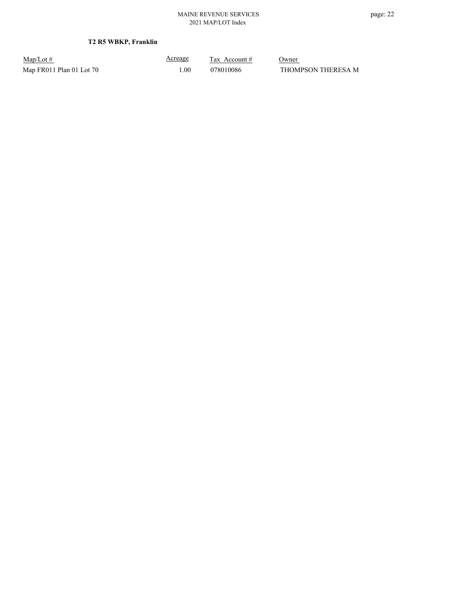Map/Lot #  $\frac{\text{Areage}}{\text{2x} + \text{Account}}$  0wner Map FR011 Plan 01 Lot 70 1.00 1.00 078010086 THOMPSON THERESA M

Acreage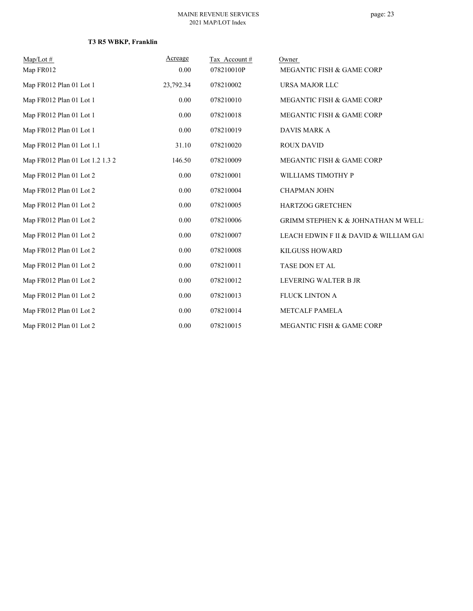# **T3 R5 WBKP, Franklin**

| $Map/Lot \#$<br>Map FR012       | Acreage<br>0.00 | Tax Account#<br>078210010P | Owner<br>MEGANTIC FISH & GAME CORP             |
|---------------------------------|-----------------|----------------------------|------------------------------------------------|
| Map FR012 Plan 01 Lot 1         | 23,792.34       | 078210002                  | URSA MAJOR LLC                                 |
| Map FR012 Plan 01 Lot 1         | 0.00            | 078210010                  | MEGANTIC FISH & GAME CORP                      |
| Map FR012 Plan 01 Lot 1         | 0.00            | 078210018                  | MEGANTIC FISH & GAME CORP                      |
| Map FR012 Plan 01 Lot 1         | 0.00            | 078210019                  | <b>DAVIS MARK A</b>                            |
| Map FR012 Plan 01 Lot 1.1       | 31.10           | 078210020                  | <b>ROUX DAVID</b>                              |
| Map FR012 Plan 01 Lot 1.2 1.3 2 | 146.50          | 078210009                  | MEGANTIC FISH & GAME CORP                      |
| Map FR012 Plan 01 Lot 2         | 0.00            | 078210001                  | WILLIAMS TIMOTHY P                             |
| Map FR012 Plan 01 Lot 2         | 0.00            | 078210004                  | <b>CHAPMAN JOHN</b>                            |
| Map FR012 Plan 01 Lot 2         | 0.00            | 078210005                  | <b>HARTZOG GRETCHEN</b>                        |
| Map FR012 Plan 01 Lot 2         | 0.00            | 078210006                  | <b>GRIMM STEPHEN K &amp; JOHNATHAN M WELL:</b> |
| Map FR012 Plan 01 Lot 2         | 0.00            | 078210007                  | LEACH EDWIN F II & DAVID & WILLIAM GAI         |
| Map FR012 Plan 01 Lot 2         | 0.00            | 078210008                  | <b>KILGUSS HOWARD</b>                          |
| Map FR012 Plan 01 Lot 2         | 0.00            | 078210011                  | TASE DON ET AL                                 |
| Map FR012 Plan 01 Lot 2         | 0.00            | 078210012                  | LEVERING WALTER B JR                           |
| Map FR012 Plan 01 Lot 2         | $0.00\,$        | 078210013                  | <b>FLUCK LINTON A</b>                          |
| Map FR012 Plan 01 Lot 2         | $0.00\,$        | 078210014                  | <b>METCALF PAMELA</b>                          |
| Map FR012 Plan 01 Lot 2         | 0.00            | 078210015                  | MEGANTIC FISH & GAME CORP                      |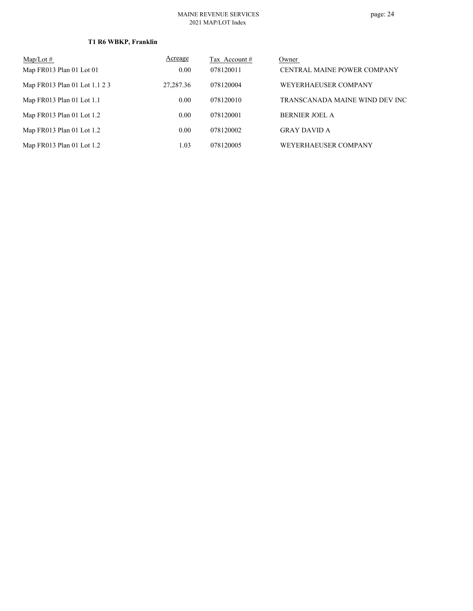# **T1 R6 WBKP, Franklin**

| $Map/Lot \#$                  | Acreage     | Tax Account $#$ | Owner                              |
|-------------------------------|-------------|-----------------|------------------------------------|
| Map FR013 Plan 01 Lot 01      | 0.00        | 078120011       | <b>CENTRAL MAINE POWER COMPANY</b> |
| Map FR013 Plan 01 Lot 1.1 2 3 | 27, 287. 36 | 078120004       | WEYERHAEUSER COMPANY               |
| Map $FR013$ Plan 01 Lot 1.1   | 0.00        | 078120010       | TRANSCANADA MAINE WIND DEV INC     |
| Map FR013 Plan 01 Lot 1.2     | 0.00        | 078120001       | <b>BERNIER JOEL A</b>              |
| Map $FR013$ Plan 01 Lot 1.2   | 0.00        | 078120002       | <b>GRAY DAVID A</b>                |
| Map FR013 Plan 01 Lot 1.2     | 1.03        | 078120005       | WEYERHAEUSER COMPANY               |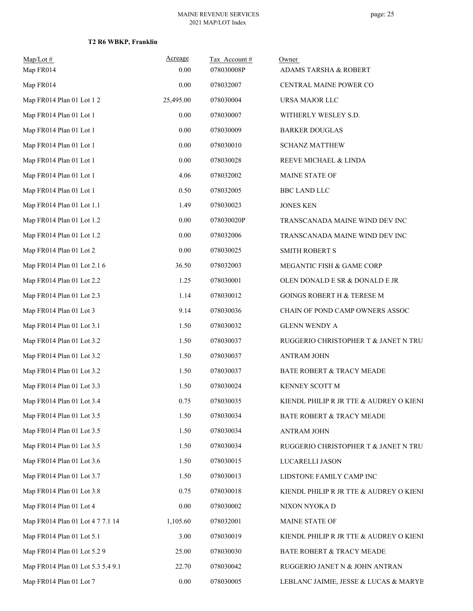| $Map/Lot \#$<br>Map FR014         | Acreage<br>0.00 | Tax Account#<br>078030008P | Owner<br>ADAMS TARSHA & ROBERT          |
|-----------------------------------|-----------------|----------------------------|-----------------------------------------|
| Map FR014                         | 0.00            | 078032007                  | CENTRAL MAINE POWER CO                  |
| Map FR014 Plan 01 Lot 12          | 25,495.00       | 078030004                  | URSA MAJOR LLC                          |
| Map FR014 Plan 01 Lot 1           | 0.00            | 078030007                  | WITHERLY WESLEY S.D.                    |
| Map FR014 Plan 01 Lot 1           | $0.00\,$        | 078030009                  | <b>BARKER DOUGLAS</b>                   |
| Map FR014 Plan 01 Lot 1           | 0.00            | 078030010                  | <b>SCHANZ MATTHEW</b>                   |
| Map FR014 Plan 01 Lot 1           | 0.00            | 078030028                  | REEVE MICHAEL & LINDA                   |
| Map FR014 Plan 01 Lot 1           | 4.06            | 078032002                  | MAINE STATE OF                          |
| Map FR014 Plan 01 Lot 1           | 0.50            | 078032005                  | <b>BBC LAND LLC</b>                     |
| Map FR014 Plan 01 Lot 1.1         | 1.49            | 078030023                  | <b>JONES KEN</b>                        |
| Map FR014 Plan 01 Lot 1.2         | 0.00            | 078030020P                 | TRANSCANADA MAINE WIND DEV INC          |
| Map FR014 Plan 01 Lot 1.2         | 0.00            | 078032006                  | TRANSCANADA MAINE WIND DEV INC          |
| Map FR014 Plan 01 Lot 2           | 0.00            | 078030025                  | <b>SMITH ROBERT S</b>                   |
| Map FR014 Plan 01 Lot 2.1 6       | 36.50           | 078032003                  | MEGANTIC FISH & GAME CORP               |
| Map FR014 Plan 01 Lot 2.2         | 1.25            | 078030001                  | OLEN DONALD E SR & DONALD E JR          |
| Map FR014 Plan 01 Lot 2.3         | 1.14            | 078030012                  | GOINGS ROBERT H & TERESE M              |
| Map FR014 Plan 01 Lot 3           | 9.14            | 078030036                  | CHAIN OF POND CAMP OWNERS ASSOC         |
| Map FR014 Plan 01 Lot 3.1         | 1.50            | 078030032                  | <b>GLENN WENDY A</b>                    |
| Map FR014 Plan 01 Lot 3.2         | 1.50            | 078030037                  | RUGGERIO CHRISTOPHER T & JANET N TRU    |
| Map FR014 Plan 01 Lot 3.2         | 1.50            | 078030037                  | <b>ANTRAM JOHN</b>                      |
| Map FR014 Plan 01 Lot 3.2         | 1.50            | 078030037                  | BATE ROBERT & TRACY MEADE               |
| Map FR014 Plan 01 Lot 3.3         | 1.50            | 078030024                  | KENNEY SCOTT M                          |
| Map FR014 Plan 01 Lot 3.4         | 0.75            | 078030035                  | KIENDL PHILIP R JR TTE & AUDREY O KIENI |
| Map FR014 Plan 01 Lot 3.5         | 1.50            | 078030034                  | BATE ROBERT & TRACY MEADE               |
| Map FR014 Plan 01 Lot 3.5         | 1.50            | 078030034                  | <b>ANTRAM JOHN</b>                      |
| Map FR014 Plan 01 Lot 3.5         | 1.50            | 078030034                  | RUGGERIO CHRISTOPHER T & JANET N TRU    |
| Map FR014 Plan 01 Lot 3.6         | 1.50            | 078030015                  | LUCARELLI JASON                         |
| Map FR014 Plan 01 Lot 3.7         | 1.50            | 078030013                  | LIDSTONE FAMILY CAMP INC                |
| Map FR014 Plan 01 Lot 3.8         | 0.75            | 078030018                  | KIENDL PHILIP R JR TTE & AUDREY O KIENI |
| Map FR014 Plan 01 Lot 4           | 0.00            | 078030002                  | NIXON NYOKA D                           |
| Map FR014 Plan 01 Lot 4 7 7.1 14  | 1,105.60        | 078032001                  | MAINE STATE OF                          |
| Map FR014 Plan 01 Lot 5.1         | 3.00            | 078030019                  | KIENDL PHILIP R JR TTE & AUDREY O KIENI |
| Map FR014 Plan 01 Lot 5.2 9       | 25.00           | 078030030                  | BATE ROBERT & TRACY MEADE               |
| Map FR014 Plan 01 Lot 5.3 5.4 9.1 | 22.70           | 078030042                  | RUGGERIO JANET N & JOHN ANTRAN          |
| Map FR014 Plan 01 Lot 7           | $0.00\,$        | 078030005                  | LEBLANC JAIMIE, JESSE & LUCAS & MARYB   |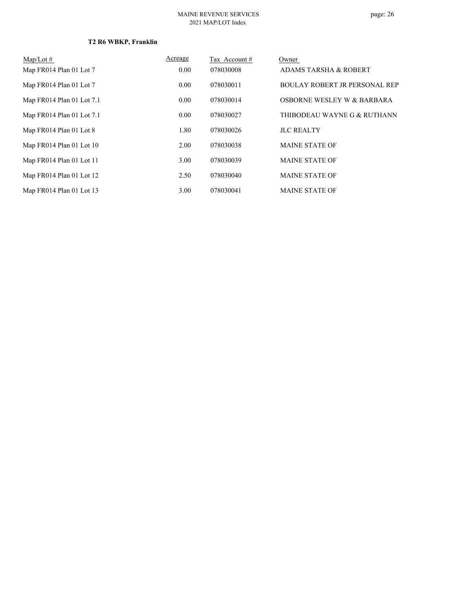| Map/Lot $#$               | Acreage | Tax Account # | Owner                                |
|---------------------------|---------|---------------|--------------------------------------|
| Map FR014 Plan 01 Lot 7   | 0.00    | 078030008     | <b>ADAMS TARSHA &amp; ROBERT</b>     |
| Map FR014 Plan 01 Lot 7   | 0.00    | 078030011     | <b>BOULAY ROBERT JR PERSONAL REP</b> |
| Map FR014 Plan 01 Lot 7.1 | 0.00    | 078030014     | OSBORNE WESLEY W & BARBARA           |
| Map FR014 Plan 01 Lot 7.1 | 0.00    | 078030027     | THIBODEAU WAYNE G & RUTHANN          |
| Map FR014 Plan 01 Lot 8   | 1.80    | 078030026     | <b>JLC REALTY</b>                    |
| Map FR014 Plan 01 Lot 10  | 2.00    | 078030038     | <b>MAINE STATE OF</b>                |
| Map FR014 Plan 01 Lot 11  | 3.00    | 078030039     | <b>MAINE STATE OF</b>                |
| Map FR014 Plan 01 Lot 12  | 2.50    | 078030040     | <b>MAINE STATE OF</b>                |
| Map FR014 Plan 01 Lot 13  | 3.00    | 078030041     | <b>MAINE STATE OF</b>                |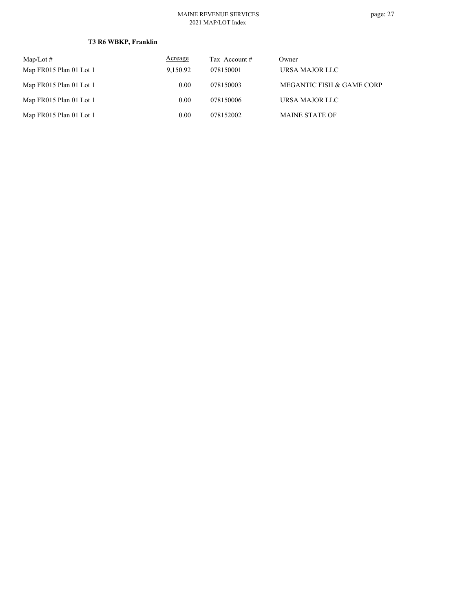# **T3 R6 WBKP, Franklin**

| $\text{Map/Lot} \#$     | Acreage  | Tax Account # | Owner                     |
|-------------------------|----------|---------------|---------------------------|
| Map FR015 Plan 01 Lot 1 | 9,150.92 | 078150001     | URSA MAJOR LLC            |
| Map FR015 Plan 01 Lot 1 | 0.00     | 078150003     | MEGANTIC FISH & GAME CORP |
| Map FR015 Plan 01 Lot 1 | 0.00     | 078150006     | URSA MAJOR LLC            |
| Map FR015 Plan 01 Lot 1 | 0.00     | 078152002     | <b>MAINE STATE OF</b>     |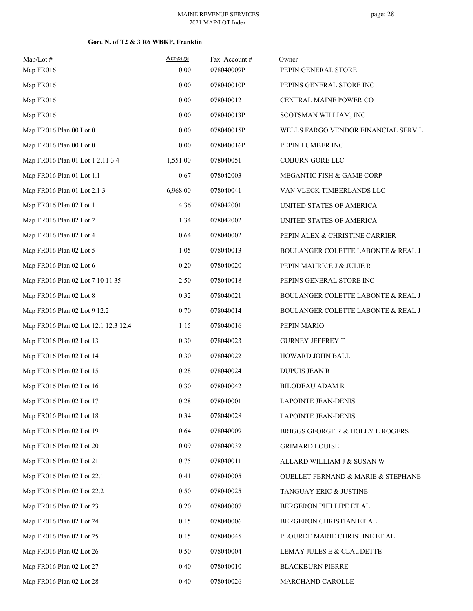### **Gore N. of T2 & 3 R6 WBKP, Franklin**

| $Map/Lot$ #<br>Map FR016             | Acreage<br>0.00 | Tax Account#<br>078040009P | Owner<br>PEPIN GENERAL STORE        |
|--------------------------------------|-----------------|----------------------------|-------------------------------------|
| Map FR016                            | 0.00            | 078040010P                 | PEPINS GENERAL STORE INC            |
| Map FR016                            | 0.00            | 078040012                  | CENTRAL MAINE POWER CO              |
| Map FR016                            | 0.00            | 078040013P                 | SCOTSMAN WILLIAM, INC               |
| Map FR016 Plan 00 Lot 0              | 0.00            | 078040015P                 | WELLS FARGO VENDOR FINANCIAL SERV L |
| Map FR016 Plan 00 Lot 0              | 0.00            | 078040016P                 | PEPIN LUMBER INC                    |
| Map FR016 Plan 01 Lot 1 2.11 3 4     | 1,551.00        | 078040051                  | COBURN GORE LLC                     |
| Map FR016 Plan 01 Lot 1.1            | 0.67            | 078042003                  | MEGANTIC FISH & GAME CORP           |
| Map FR016 Plan 01 Lot 2.1 3          | 6,968.00        | 078040041                  | VAN VLECK TIMBERLANDS LLC           |
| Map FR016 Plan 02 Lot 1              | 4.36            | 078042001                  | UNITED STATES OF AMERICA            |
| Map FR016 Plan 02 Lot 2              | 1.34            | 078042002                  | UNITED STATES OF AMERICA            |
| Map FR016 Plan 02 Lot 4              | 0.64            | 078040002                  | PEPIN ALEX & CHRISTINE CARRIER      |
| Map FR016 Plan 02 Lot 5              | 1.05            | 078040013                  | BOULANGER COLETTE LABONTE & REAL J  |
| Map FR016 Plan 02 Lot 6              | 0.20            | 078040020                  | PEPIN MAURICE J & JULIE R           |
| Map FR016 Plan 02 Lot 7 10 11 35     | 2.50            | 078040018                  | PEPINS GENERAL STORE INC            |
| Map FR016 Plan 02 Lot 8              | 0.32            | 078040021                  | BOULANGER COLETTE LABONTE & REAL J  |
| Map FR016 Plan 02 Lot 9 12.2         | 0.70            | 078040014                  | BOULANGER COLETTE LABONTE & REAL J  |
| Map FR016 Plan 02 Lot 12.1 12.3 12.4 | 1.15            | 078040016                  | PEPIN MARIO                         |
| Map FR016 Plan 02 Lot 13             | 0.30            | 078040023                  | <b>GURNEY JEFFREY T</b>             |
| Map FR016 Plan 02 Lot 14             | 0.30            | 078040022                  | HOWARD JOHN BALL                    |
| Map FR016 Plan 02 Lot 15             | 0.28            | 078040024                  | <b>DUPUIS JEAN R</b>                |
| Map FR016 Plan 02 Lot 16             | 0.30            | 078040042                  | <b>BILODEAU ADAM R</b>              |
| Map FR016 Plan 02 Lot 17             | 0.28            | 078040001                  | <b>LAPOINTE JEAN-DENIS</b>          |
| Map FR016 Plan 02 Lot 18             | 0.34            | 078040028                  | <b>LAPOINTE JEAN-DENIS</b>          |
| Map FR016 Plan 02 Lot 19             | 0.64            | 078040009                  | BRIGGS GEORGE R & HOLLY L ROGERS    |
| Map FR016 Plan 02 Lot 20             | 0.09            | 078040032                  | <b>GRIMARD LOUISE</b>               |
| Map FR016 Plan 02 Lot 21             | 0.75            | 078040011                  | ALLARD WILLIAM J & SUSAN W          |
| Map FR016 Plan 02 Lot 22.1           | 0.41            | 078040005                  | OUELLET FERNAND & MARIE & STEPHANE  |
| Map FR016 Plan 02 Lot 22.2           | 0.50            | 078040025                  | TANGUAY ERIC & JUSTINE              |
| Map FR016 Plan 02 Lot 23             | 0.20            | 078040007                  | BERGERON PHILLIPE ET AL             |
| Map FR016 Plan 02 Lot 24             | 0.15            | 078040006                  | BERGERON CHRISTIAN ET AL            |
| Map FR016 Plan 02 Lot 25             | 0.15            | 078040045                  | PLOURDE MARIE CHRISTINE ET AL       |
| Map FR016 Plan 02 Lot 26             | 0.50            | 078040004                  | LEMAY JULES E & CLAUDETTE           |
| Map FR016 Plan 02 Lot 27             | 0.40            | 078040010                  | <b>BLACKBURN PIERRE</b>             |
| Map FR016 Plan 02 Lot 28             | 0.40            | 078040026                  | MARCHAND CAROLLE                    |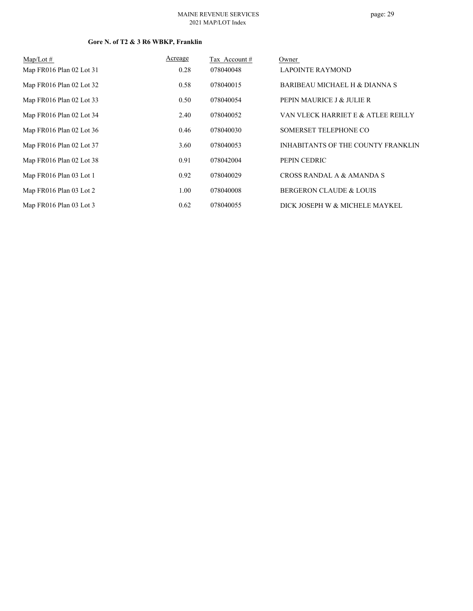### **Gore N. of T2 & 3 R6 WBKP, Franklin**

| $\text{Map/Lot} \#$      | Acreage | Tax Account# | Owner                                     |
|--------------------------|---------|--------------|-------------------------------------------|
| Map FR016 Plan 02 Lot 31 | 0.28    | 078040048    | <b>LAPOINTE RAYMOND</b>                   |
| Map FR016 Plan 02 Lot 32 | 0.58    | 078040015    | BARIBEAU MICHAEL H & DIANNA S             |
| Map FR016 Plan 02 Lot 33 | 0.50    | 078040054    | PEPIN MAURICE J & JULIE R                 |
| Map FR016 Plan 02 Lot 34 | 2.40    | 078040052    | VAN VLECK HARRIET E & ATLEE REILLY        |
| Map FR016 Plan 02 Lot 36 | 0.46    | 078040030    | SOMERSET TELEPHONE CO                     |
| Map FR016 Plan 02 Lot 37 | 3.60    | 078040053    | <b>INHABITANTS OF THE COUNTY FRANKLIN</b> |
| Map FR016 Plan 02 Lot 38 | 0.91    | 078042004    | PEPIN CEDRIC                              |
| Map FR016 Plan 03 Lot 1  | 0.92    | 078040029    | CROSS RANDAL A & AMANDA S                 |
| Map FR016 Plan 03 Lot 2  | 1.00    | 078040008    | <b>BERGERON CLAUDE &amp; LOUIS</b>        |
| Map FR016 Plan 03 Lot 3  | 0.62    | 078040055    | DICK JOSEPH W & MICHELE MAYKEL            |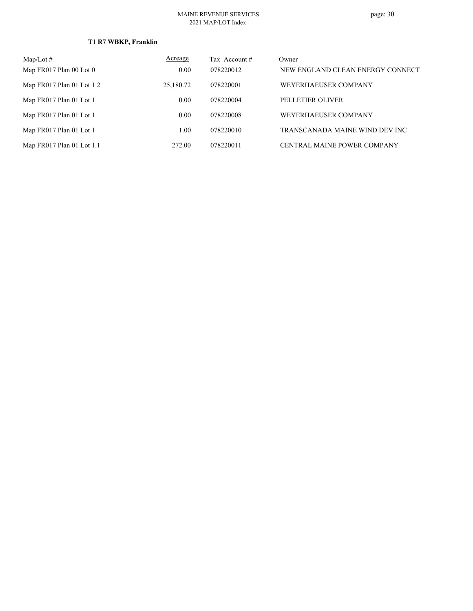# **T1 R7 WBKP, Franklin**

| Map/Lot $#$                 | Acreage   | Tax Account # | Owner                            |
|-----------------------------|-----------|---------------|----------------------------------|
| Map FR017 Plan 00 Lot 0     | 0.00      | 078220012     | NEW ENGLAND CLEAN ENERGY CONNECT |
| Map FR017 Plan 01 Lot 12    | 25,180.72 | 078220001     | WEYERHAEUSER COMPANY             |
| Map FR017 Plan 01 Lot 1     | 0.00      | 078220004     | PELLETIER OLIVER                 |
| Map FR017 Plan 01 Lot 1     | 0.00      | 078220008     | WEYERHAEUSER COMPANY             |
| Map FR017 Plan 01 Lot 1     | 1.00      | 078220010     | TRANSCANADA MAINE WIND DEV INC   |
| Map $FR017$ Plan 01 Lot 1.1 | 272.00    | 078220011     | CENTRAL MAINE POWER COMPANY      |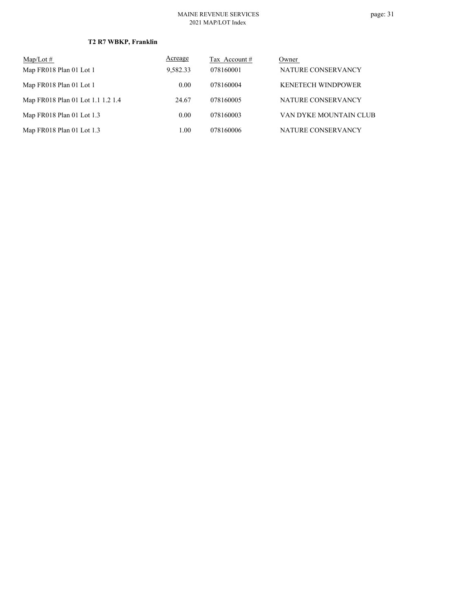| $\text{Map/Lot}\,\#$              | Acreage  | Tax Account # | Owner                     |
|-----------------------------------|----------|---------------|---------------------------|
| Map FR018 Plan 01 Lot 1           | 9,582.33 | 078160001     | NATURE CONSERVANCY        |
| Map FR018 Plan 01 Lot 1           | 0.00     | 078160004     | <b>KENETECH WINDPOWER</b> |
| Map FR018 Plan 01 Lot 1.1 1.2 1.4 | 24.67    | 078160005     | NATURE CONSERVANCY        |
| Map FR018 Plan 01 Lot 1.3         | 0.00     | 078160003     | VAN DYKE MOUNTAIN CLUB    |
| Map FR018 Plan 01 Lot 1.3         | 1.00     | 078160006     | NATURE CONSERVANCY        |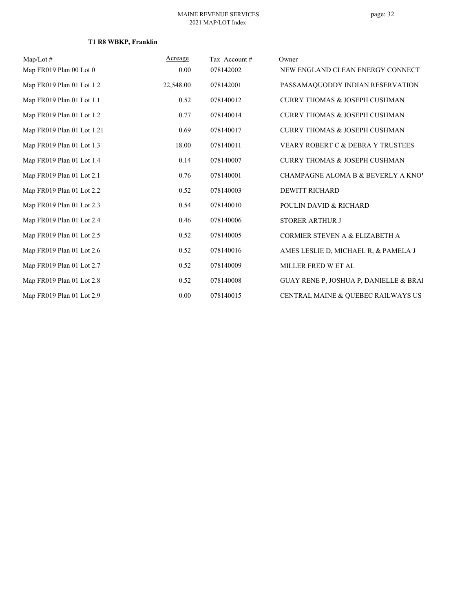# **T1 R8 WBKP, Franklin**

| $Map/Lot \#$               | Acreage   | Tax Account # | Owner                                    |
|----------------------------|-----------|---------------|------------------------------------------|
| Map FR019 Plan 00 Lot 0    | 0.00      | 078142002     | NEW ENGLAND CLEAN ENERGY CONNECT         |
| Map FR019 Plan 01 Lot 12   | 22,548.00 | 078142001     | PASSAMAQUODDY INDIAN RESERVATION         |
| Map FR019 Plan 01 Lot 1.1  | 0.52      | 078140012     | <b>CURRY THOMAS &amp; JOSEPH CUSHMAN</b> |
| Map FR019 Plan 01 Lot 1.2  | 0.77      | 078140014     | CURRY THOMAS & JOSEPH CUSHMAN            |
| Map FR019 Plan 01 Lot 1.21 | 0.69      | 078140017     | <b>CURRY THOMAS &amp; JOSEPH CUSHMAN</b> |
| Map FR019 Plan 01 Lot 1.3  | 18.00     | 078140011     | VEARY ROBERT C & DEBRA Y TRUSTEES        |
| Map FR019 Plan 01 Lot 1.4  | 0.14      | 078140007     | <b>CURRY THOMAS &amp; JOSEPH CUSHMAN</b> |
| Map FR019 Plan 01 Lot 2.1  | 0.76      | 078140001     | CHAMPAGNE ALOMA B & BEVERLY A KNOV       |
| Map FR019 Plan 01 Lot 2.2  | 0.52      | 078140003     | <b>DEWITT RICHARD</b>                    |
| Map FR019 Plan 01 Lot 2.3  | 0.54      | 078140010     | POULIN DAVID & RICHARD                   |
| Map FR019 Plan 01 Lot 2.4  | 0.46      | 078140006     | <b>STORER ARTHUR J</b>                   |
| Map FR019 Plan 01 Lot 2.5  | 0.52      | 078140005     | CORMIER STEVEN A & ELIZABETH A           |
| Map FR019 Plan 01 Lot 2.6  | 0.52      | 078140016     | AMES LESLIE D, MICHAEL R, & PAMELA J     |
| Map FR019 Plan 01 Lot 2.7  | 0.52      | 078140009     | MILLER FRED W ET AL                      |
| Map FR019 Plan 01 Lot 2.8  | 0.52      | 078140008     | GUAY RENE P, JOSHUA P, DANIELLE & BRAI   |
| Map FR019 Plan 01 Lot 2.9  | 0.00      | 078140015     | CENTRAL MAINE & QUEBEC RAILWAYS US       |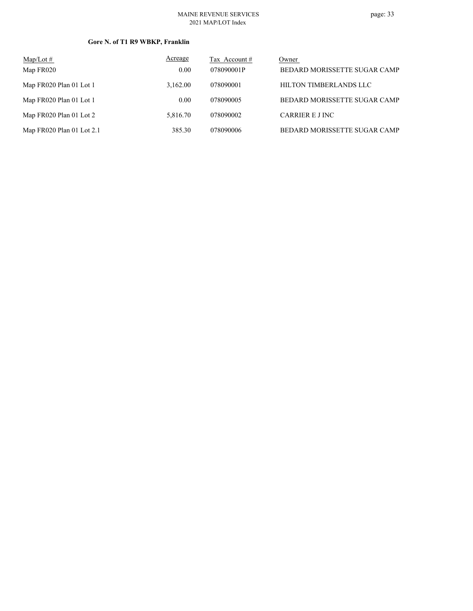### **Gore N. of T1 R9 WBKP, Franklin**

| $Map/Lot \#$                | Acreage  | Tax Account # | Owner                        |
|-----------------------------|----------|---------------|------------------------------|
| Map FR020                   | 0.00     | 078090001P    | BEDARD MORISSETTE SUGAR CAMP |
| Map FR020 Plan 01 Lot 1     | 3.162.00 | 078090001     | HILTON TIMBERLANDS LLC       |
| Map FR020 Plan 01 Lot 1     | 0.00     | 078090005     | BEDARD MORISSETTE SUGAR CAMP |
| Map FR020 Plan 01 Lot 2     | 5,816.70 | 078090002     | CARRIER E J INC              |
| Map $FR020$ Plan 01 Lot 2.1 | 385.30   | 078090006     | BEDARD MORISSETTE SUGAR CAMP |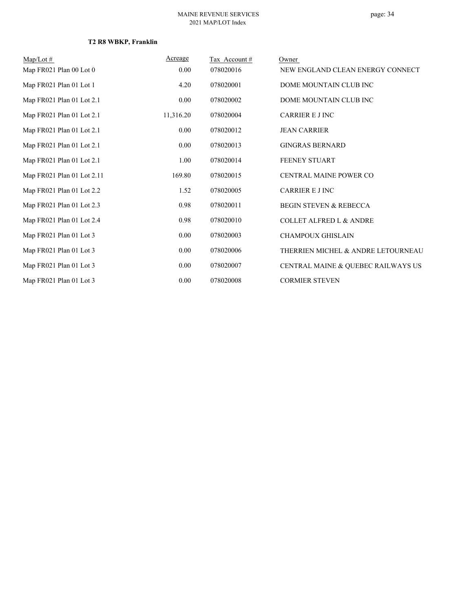| $Map/Lot \#$               | Acreage   | Tax Account# | Owner                              |
|----------------------------|-----------|--------------|------------------------------------|
| Map FR021 Plan 00 Lot 0    | 0.00      | 078020016    | NEW ENGLAND CLEAN ENERGY CONNECT   |
| Map FR021 Plan 01 Lot 1    | 4.20      | 078020001    | DOME MOUNTAIN CLUB INC             |
| Map FR021 Plan 01 Lot 2.1  | 0.00      | 078020002    | DOME MOUNTAIN CLUB INC             |
| Map FR021 Plan 01 Lot 2.1  | 11,316.20 | 078020004    | <b>CARRIER E J INC</b>             |
| Map FR021 Plan 01 Lot 2.1  | 0.00      | 078020012    | <b>JEAN CARRIER</b>                |
| Map FR021 Plan 01 Lot 2.1  | 0.00      | 078020013    | <b>GINGRAS BERNARD</b>             |
| Map FR021 Plan 01 Lot 2.1  | 1.00      | 078020014    | <b>FEENEY STUART</b>               |
| Map FR021 Plan 01 Lot 2.11 | 169.80    | 078020015    | <b>CENTRAL MAINE POWER CO</b>      |
| Map FR021 Plan 01 Lot 2.2  | 1.52      | 078020005    | <b>CARRIER E J INC</b>             |
| Map FR021 Plan 01 Lot 2.3  | 0.98      | 078020011    | <b>BEGIN STEVEN &amp; REBECCA</b>  |
| Map FR021 Plan 01 Lot 2.4  | 0.98      | 078020010    | <b>COLLET ALFRED L &amp; ANDRE</b> |
| Map FR021 Plan 01 Lot 3    | 0.00      | 078020003    | <b>CHAMPOUX GHISLAIN</b>           |
| Map FR021 Plan 01 Lot 3    | 0.00      | 078020006    | THERRIEN MICHEL & ANDRE LETOURNEAU |
| Map FR021 Plan 01 Lot 3    | 0.00      | 078020007    | CENTRAL MAINE & QUEBEC RAILWAYS US |
| Map FR021 Plan 01 Lot 3    | 0.00      | 078020008    | <b>CORMIER STEVEN</b>              |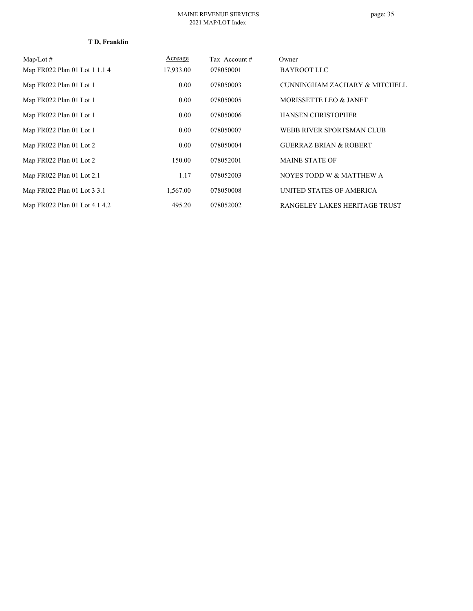### **T D, Franklin**

| $Map/Lot \#$                  | Acreage   | Tax Account# | Owner                             |
|-------------------------------|-----------|--------------|-----------------------------------|
| Map FR022 Plan 01 Lot 1 1.1 4 | 17,933.00 | 078050001    | <b>BAYROOT LLC</b>                |
| Map FR022 Plan 01 Lot 1       | 0.00      | 078050003    | CUNNINGHAM ZACHARY & MITCHELL     |
| Map FR022 Plan 01 Lot 1       | 0.00      | 078050005    | MORISSETTE LEO & JANET            |
| Map FR022 Plan 01 Lot 1       | 0.00      | 078050006    | <b>HANSEN CHRISTOPHER</b>         |
| Map FR022 Plan 01 Lot 1       | 0.00      | 078050007    | WEBB RIVER SPORTSMAN CLUB         |
| Map FR022 Plan 01 Lot 2       | 0.00      | 078050004    | <b>GUERRAZ BRIAN &amp; ROBERT</b> |
| Map FR022 Plan 01 Lot 2       | 150.00    | 078052001    | <b>MAINE STATE OF</b>             |
| Map FR022 Plan 01 Lot 2.1     | 1.17      | 078052003    | NOYES TODD W & MATTHEW A          |
| Map FR022 Plan 01 Lot 3 3.1   | 1,567.00  | 078050008    | UNITED STATES OF AMERICA          |
| Map FR022 Plan 01 Lot 4.1 4.2 | 495.20    | 078052002    | RANGELEY LAKES HERITAGE TRUST     |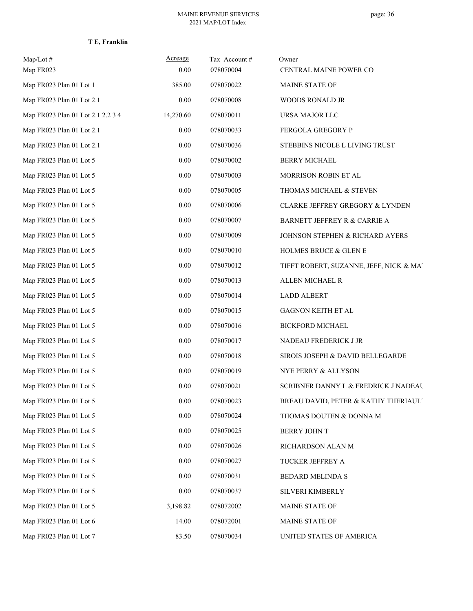| T E. Franklin |  |
|---------------|--|
|---------------|--|

| $Map/Lot$ #                       | Acreage   | Tax Account# | Owner                                      |
|-----------------------------------|-----------|--------------|--------------------------------------------|
| Map FR023                         | 0.00      | 078070004    | CENTRAL MAINE POWER CO                     |
| Map FR023 Plan 01 Lot 1           | 385.00    | 078070022    | <b>MAINE STATE OF</b>                      |
| Map FR023 Plan 01 Lot 2.1         | 0.00      | 078070008    | WOODS RONALD JR                            |
| Map FR023 Plan 01 Lot 2.1 2.2 3 4 | 14,270.60 | 078070011    | URSA MAJOR LLC                             |
| Map FR023 Plan 01 Lot 2.1         | 0.00      | 078070033    | <b>FERGOLA GREGORY P</b>                   |
| Map FR023 Plan 01 Lot 2.1         | 0.00      | 078070036    | STEBBINS NICOLE L LIVING TRUST             |
| Map FR023 Plan 01 Lot 5           | 0.00      | 078070002    | <b>BERRY MICHAEL</b>                       |
| Map FR023 Plan 01 Lot 5           | 0.00      | 078070003    | MORRISON ROBIN ET AL                       |
| Map FR023 Plan 01 Lot 5           | $0.00\,$  | 078070005    | THOMAS MICHAEL & STEVEN                    |
| Map FR023 Plan 01 Lot 5           | 0.00      | 078070006    | <b>CLARKE JEFFREY GREGORY &amp; LYNDEN</b> |
| Map FR023 Plan 01 Lot 5           | 0.00      | 078070007    | BARNETT JEFFREY R & CARRIE A               |
| Map FR023 Plan 01 Lot 5           | 0.00      | 078070009    | JOHNSON STEPHEN & RICHARD AYERS            |
| Map FR023 Plan 01 Lot 5           | $0.00\,$  | 078070010    | <b>HOLMES BRUCE &amp; GLEN E</b>           |
| Map FR023 Plan 01 Lot 5           | 0.00      | 078070012    | TIFFT ROBERT, SUZANNE, JEFF, NICK & MA1    |
| Map FR023 Plan 01 Lot 5           | 0.00      | 078070013    | ALLEN MICHAEL R                            |
| Map FR023 Plan 01 Lot 5           | 0.00      | 078070014    | <b>LADD ALBERT</b>                         |
| Map FR023 Plan 01 Lot 5           | $0.00\,$  | 078070015    | <b>GAGNON KEITH ET AL</b>                  |
| Map FR023 Plan 01 Lot 5           | 0.00      | 078070016    | <b>BICKFORD MICHAEL</b>                    |
| Map FR023 Plan 01 Lot 5           | $0.00\,$  | 078070017    | NADEAU FREDERICK J JR                      |
| Map FR023 Plan 01 Lot 5           | 0.00      | 078070018    | SIROIS JOSEPH & DAVID BELLEGARDE           |
| Map FR023 Plan 01 Lot 5           | $0.00\,$  | 078070019    | NYE PERRY & ALLYSON                        |
| Map FR023 Plan 01 Lot 5           | 0.00      | 078070021    | SCRIBNER DANNY L & FREDRICK J NADEAU       |
| Map FR023 Plan 01 Lot 5           | $0.00\,$  | 078070023    | BREAU DAVID, PETER & KATHY THERIAULT       |
| Map FR023 Plan 01 Lot 5           | 0.00      | 078070024    | THOMAS DOUTEN & DONNA M                    |
| Map FR023 Plan 01 Lot 5           | 0.00      | 078070025    | BERRY JOHN T                               |
| Map FR023 Plan 01 Lot 5           | 0.00      | 078070026    | RICHARDSON ALAN M                          |
| Map FR023 Plan 01 Lot 5           | $0.00\,$  | 078070027    | TUCKER JEFFREY A                           |
| Map FR023 Plan 01 Lot 5           | 0.00      | 078070031    | BEDARD MELINDA S                           |
| Map FR023 Plan 01 Lot 5           | $0.00\,$  | 078070037    | SILVERI KIMBERLY                           |
| Map FR023 Plan 01 Lot 5           | 3,198.82  | 078072002    | MAINE STATE OF                             |
| Map FR023 Plan 01 Lot 6           | 14.00     | 078072001    | MAINE STATE OF                             |
| Map FR023 Plan 01 Lot 7           | 83.50     | 078070034    | UNITED STATES OF AMERICA                   |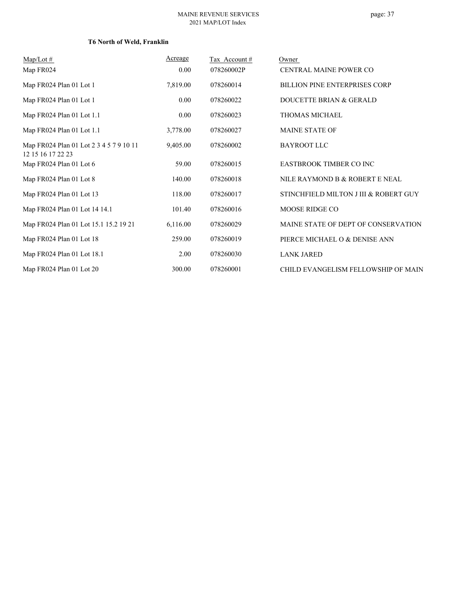## **T6 North of Weld, Franklin**

| $Map/Lot \#$                                                 | Acreage  | Tax Account# | Owner                                 |
|--------------------------------------------------------------|----------|--------------|---------------------------------------|
| Map FR024                                                    | 0.00     | 078260002P   | <b>CENTRAL MAINE POWER CO</b>         |
| Map FR024 Plan 01 Lot 1                                      | 7,819.00 | 078260014    | <b>BILLION PINE ENTERPRISES CORP</b>  |
| Map FR024 Plan 01 Lot 1                                      | 0.00     | 078260022    | DOUCETTE BRIAN & GERALD               |
| Map FR024 Plan 01 Lot 1.1                                    | 0.00     | 078260023    | <b>THOMAS MICHAEL</b>                 |
| Map FR024 Plan 01 Lot 1.1                                    | 3,778.00 | 078260027    | <b>MAINE STATE OF</b>                 |
| Map FR024 Plan 01 Lot 2 3 4 5 7 9 10 11<br>12 15 16 17 22 23 | 9,405.00 | 078260002    | <b>BAYROOT LLC</b>                    |
| Map FR024 Plan 01 Lot 6                                      | 59.00    | 078260015    | <b>EASTBROOK TIMBER CO INC</b>        |
| Map FR024 Plan 01 Lot 8                                      | 140.00   | 078260018    | NILE RAYMOND B & ROBERT E NEAL        |
| Map FR024 Plan 01 Lot 13                                     | 118.00   | 078260017    | STINCHFIELD MILTON J III & ROBERT GUY |
| Map FR024 Plan 01 Lot 14 14.1                                | 101.40   | 078260016    | MOOSE RIDGE CO                        |
| Map FR024 Plan 01 Lot 15.1 15.2 19 21                        | 6,116.00 | 078260029    | MAINE STATE OF DEPT OF CONSERVATION   |
| Map FR024 Plan 01 Lot 18                                     | 259.00   | 078260019    | PIERCE MICHAEL O & DENISE ANN         |
| Map FR024 Plan 01 Lot 18.1                                   | 2.00     | 078260030    | <b>LANK JARED</b>                     |
| Map FR024 Plan 01 Lot 20                                     | 300.00   | 078260001    | CHILD EVANGELISM FELLOWSHIP OF MAIN   |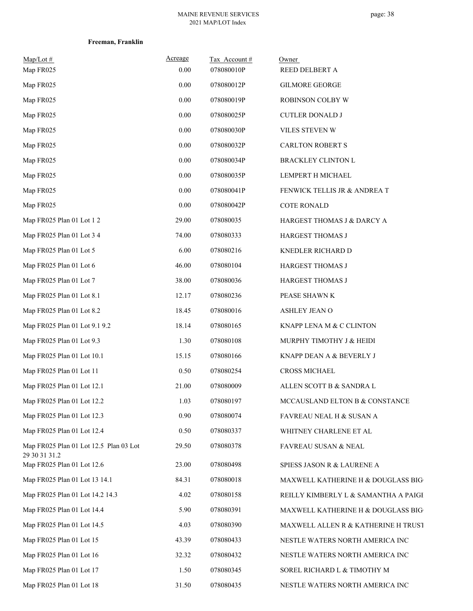| Freeman, Franklin |
|-------------------|
|                   |

| $Map/Lot \#$<br>Map FR025                               | Acreage<br>0.00 | Tax Account#<br>078080010P | Owner<br>REED DELBERT A              |
|---------------------------------------------------------|-----------------|----------------------------|--------------------------------------|
| Map FR025                                               | 0.00            | 078080012P                 | <b>GILMORE GEORGE</b>                |
| Map FR025                                               | $0.00\,$        | 078080019P                 | ROBINSON COLBY W                     |
| Map FR025                                               | 0.00            | 078080025P                 | <b>CUTLER DONALD J</b>               |
| Map FR025                                               | 0.00            | 078080030P                 | VILES STEVEN W                       |
| Map FR025                                               | 0.00            | 078080032P                 | CARLTON ROBERT S                     |
| Map FR025                                               | $0.00\,$        | 078080034P                 | <b>BRACKLEY CLINTON L</b>            |
| Map FR025                                               | $0.00\,$        | 078080035P                 | LEMPERT H MICHAEL                    |
| Map FR025                                               | $0.00\,$        | 078080041P                 | FENWICK TELLIS JR & ANDREA T         |
| Map FR025                                               | $0.00\,$        | 078080042P                 | <b>COTE RONALD</b>                   |
| Map FR025 Plan 01 Lot 1 2                               | 29.00           | 078080035                  | HARGEST THOMAS J & DARCY A           |
| Map FR025 Plan 01 Lot 3 4                               | 74.00           | 078080333                  | HARGEST THOMAS J                     |
| Map FR025 Plan 01 Lot 5                                 | 6.00            | 078080216                  | KNEDLER RICHARD D                    |
| Map FR025 Plan 01 Lot 6                                 | 46.00           | 078080104                  | HARGEST THOMAS J                     |
| Map FR025 Plan 01 Lot 7                                 | 38.00           | 078080036                  | HARGEST THOMAS J                     |
| Map FR025 Plan 01 Lot 8.1                               | 12.17           | 078080236                  | PEASE SHAWN K                        |
| Map FR025 Plan 01 Lot 8.2                               | 18.45           | 078080016                  | ASHLEY JEAN O                        |
| Map FR025 Plan 01 Lot 9.1 9.2                           | 18.14           | 078080165                  | KNAPP LENA M & C CLINTON             |
| Map FR025 Plan 01 Lot 9.3                               | 1.30            | 078080108                  | MURPHY TIMOTHY J & HEIDI             |
| Map FR025 Plan 01 Lot 10.1                              | 15.15           | 078080166                  | KNAPP DEAN A & BEVERLY J             |
| Map FR025 Plan 01 Lot 11                                | 0.50            | 078080254                  | <b>CROSS MICHAEL</b>                 |
| Map FR025 Plan 01 Lot 12.1                              | 21.00           | 078080009                  | ALLEN SCOTT B & SANDRA L             |
| Map FR025 Plan 01 Lot 12.2                              | 1.03            | 078080197                  | MCCAUSLAND ELTON B & CONSTANCE       |
| Map FR025 Plan 01 Lot 12.3                              | 0.90            | 078080074                  | FAVREAU NEAL H & SUSAN A             |
| Map FR025 Plan 01 Lot 12.4                              | 0.50            | 078080337                  | WHITNEY CHARLENE ET AL               |
| Map FR025 Plan 01 Lot 12.5 Plan 03 Lot<br>29 30 31 31.2 | 29.50           | 078080378                  | FAVREAU SUSAN & NEAL                 |
| Map FR025 Plan 01 Lot 12.6                              | 23.00           | 078080498                  | SPIESS JASON R & LAURENE A           |
| Map FR025 Plan 01 Lot 13 14.1                           | 84.31           | 078080018                  | MAXWELL KATHERINE H & DOUGLASS BIG   |
| Map FR025 Plan 01 Lot 14.2 14.3                         | 4.02            | 078080158                  | REILLY KIMBERLY L & SAMANTHA A PAIGE |
| Map FR025 Plan 01 Lot 14.4                              | 5.90            | 078080391                  | MAXWELL KATHERINE H & DOUGLASS BIG   |
| Map FR025 Plan 01 Lot 14.5                              | 4.03            | 078080390                  | MAXWELL ALLEN R & KATHERINE H TRUST  |
| Map FR025 Plan 01 Lot 15                                | 43.39           | 078080433                  | NESTLE WATERS NORTH AMERICA INC      |
| Map FR025 Plan 01 Lot 16                                | 32.32           | 078080432                  | NESTLE WATERS NORTH AMERICA INC      |
| Map FR025 Plan 01 Lot 17                                | 1.50            | 078080345                  | SOREL RICHARD L & TIMOTHY M          |
| Map FR025 Plan 01 Lot 18                                | 31.50           | 078080435                  | NESTLE WATERS NORTH AMERICA INC      |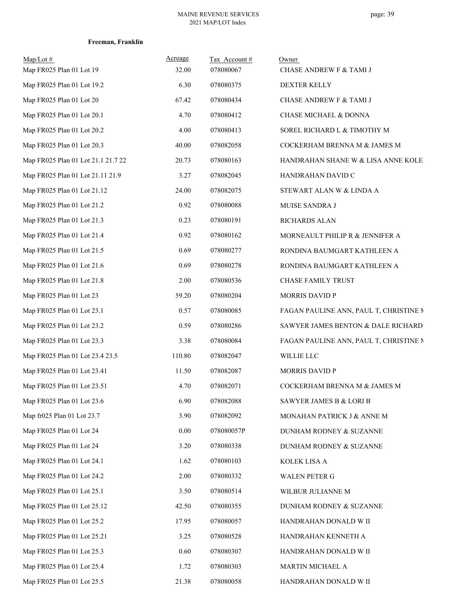| $Map/Lot \#$<br>Map FR025 Plan 01 Lot 19 | Acreage<br>32.00 | Tax Account#<br>078080067 | Owner<br>CHASE ANDREW F & TAMI J       |
|------------------------------------------|------------------|---------------------------|----------------------------------------|
| Map FR025 Plan 01 Lot 19.2               | 6.30             | 078080375                 | <b>DEXTER KELLY</b>                    |
| Map FR025 Plan 01 Lot 20                 | 67.42            | 078080434                 | CHASE ANDREW F & TAMI J                |
| Map FR025 Plan 01 Lot 20.1               | 4.70             | 078080412                 | CHASE MICHAEL & DONNA                  |
| Map FR025 Plan 01 Lot 20.2               | 4.00             | 078080413                 | SOREL RICHARD L & TIMOTHY M            |
| Map FR025 Plan 01 Lot 20.3               | 40.00            | 078082058                 | COCKERHAM BRENNA M & JAMES M           |
| Map FR025 Plan 01 Lot 21.1 21.7 22       | 20.73            | 078080163                 | HANDRAHAN SHANE W & LISA ANNE KOLE     |
| Map FR025 Plan 01 Lot 21.11 21.9         | 3.27             | 078082045                 | HANDRAHAN DAVID C                      |
| Map FR025 Plan 01 Lot 21.12              | 24.00            | 078082075                 | STEWART ALAN W & LINDA A               |
| Map FR025 Plan 01 Lot 21.2               | 0.92             | 078080088                 | MUISE SANDRA J                         |
| Map FR025 Plan 01 Lot 21.3               | 0.23             | 078080191                 | RICHARDS ALAN                          |
| Map FR025 Plan 01 Lot 21.4               | 0.92             | 078080162                 | MORNEAULT PHILIP R & JENNIFER A        |
| Map FR025 Plan 01 Lot 21.5               | 0.69             | 078080277                 | RONDINA BAUMGART KATHLEEN A            |
| Map FR025 Plan 01 Lot 21.6               | 0.69             | 078080278                 | RONDINA BAUMGART KATHLEEN A            |
| Map FR025 Plan 01 Lot 21.8               | 2.00             | 078080536                 | CHASE FAMILY TRUST                     |
| Map FR025 Plan 01 Lot 23                 | 59.20            | 078080204                 | <b>MORRIS DAVID P</b>                  |
| Map FR025 Plan 01 Lot 23.1               | 0.57             | 078080085                 | FAGAN PAULINE ANN, PAUL T, CHRISTINE M |
| Map FR025 Plan 01 Lot 23.2               | 0.59             | 078080286                 | SAWYER JAMES BENTON & DALE RICHARD     |
| Map FR025 Plan 01 Lot 23.3               | 3.38             | 078080084                 | FAGAN PAULINE ANN, PAUL T, CHRISTINE N |
| Map FR025 Plan 01 Lot 23.4 23.5          | 110.80           | 078082047                 | WILLIE LLC                             |
| Map FR025 Plan 01 Lot 23.41              | 11.50            | 078082087                 | <b>MORRIS DAVID P</b>                  |
| Map FR025 Plan 01 Lot 23.51              | 4.70             | 078082071                 | COCKERHAM BRENNA M & JAMES M           |
| Map FR025 Plan 01 Lot 23.6               | 6.90             | 078082088                 | SAWYER JAMES B & LORI B                |
| Map fr025 Plan 01 Lot 23.7               | 3.90             | 078082092                 | MONAHAN PATRICK J & ANNE M             |
| Map FR025 Plan 01 Lot 24                 | 0.00             | 078080057P                | DUNHAM RODNEY & SUZANNE                |
| Map FR025 Plan 01 Lot 24                 | 3.20             | 078080338                 | DUNHAM RODNEY & SUZANNE                |
| Map FR025 Plan 01 Lot 24.1               | 1.62             | 078080103                 | KOLEK LISA A                           |
| Map FR025 Plan 01 Lot 24.2               | 2.00             | 078080332                 | <b>WALEN PETER G</b>                   |
| Map FR025 Plan 01 Lot 25.1               | 3.50             | 078080514                 | WILBUR JULIANNE M                      |
| Map FR025 Plan 01 Lot 25.12              | 42.50            | 078080355                 | DUNHAM RODNEY & SUZANNE                |
| Map FR025 Plan 01 Lot 25.2               | 17.95            | 078080057                 | HANDRAHAN DONALD W II                  |
| Map FR025 Plan 01 Lot 25.21              | 3.25             | 078080528                 | HANDRAHAN KENNETH A                    |
| Map FR025 Plan 01 Lot 25.3               | 0.60             | 078080307                 | HANDRAHAN DONALD W II                  |
| Map FR025 Plan 01 Lot 25.4               | 1.72             | 078080303                 | MARTIN MICHAEL A                       |
| Map FR025 Plan 01 Lot 25.5               | 21.38            | 078080058                 | HANDRAHAN DONALD W II                  |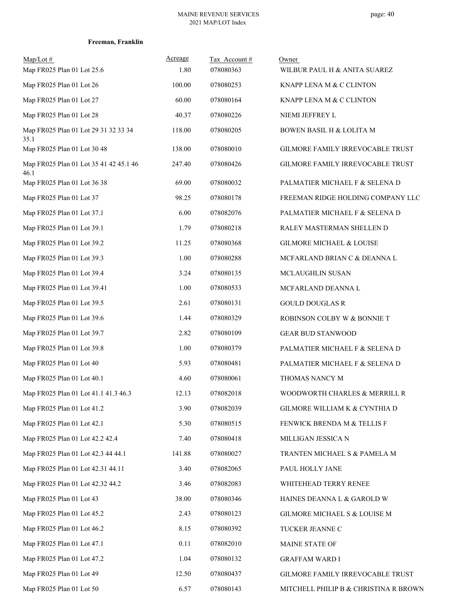| Freeman, Franklin |  |
|-------------------|--|
|-------------------|--|

| $Map/Lot \#$<br>Map FR025 Plan 01 Lot 25.6     | Acreage<br>1.80 | Tax Account#<br>078080363 | Owner<br>WILBUR PAUL H & ANITA SUAREZ |
|------------------------------------------------|-----------------|---------------------------|---------------------------------------|
| Map FR025 Plan 01 Lot 26                       | 100.00          | 078080253                 | KNAPP LENA M & C CLINTON              |
| Map FR025 Plan 01 Lot 27                       | 60.00           | 078080164                 | KNAPP LENA M & C CLINTON              |
| Map FR025 Plan 01 Lot 28                       | 40.37           | 078080226                 | NIEMI JEFFREY L                       |
| Map FR025 Plan 01 Lot 29 31 32 33 34<br>35.1   | 118.00          | 078080205                 | BOWEN BASIL H & LOLITA M              |
| Map FR025 Plan 01 Lot 30 48                    | 138.00          | 078080010                 | GILMORE FAMILY IRREVOCABLE TRUST      |
| Map FR025 Plan 01 Lot 35 41 42 45.1 46<br>46.1 | 247.40          | 078080426                 | GILMORE FAMILY IRREVOCABLE TRUST      |
| Map FR025 Plan 01 Lot 36 38                    | 69.00           | 078080032                 | PALMATIER MICHAEL F & SELENA D        |
| Map FR025 Plan 01 Lot 37                       | 98.25           | 078080178                 | FREEMAN RIDGE HOLDING COMPANY LLC     |
| Map FR025 Plan 01 Lot 37.1                     | 6.00            | 078082076                 | PALMATIER MICHAEL F & SELENA D        |
| Map FR025 Plan 01 Lot 39.1                     | 1.79            | 078080218                 | RALEY MASTERMAN SHELLEN D             |
| Map FR025 Plan 01 Lot 39.2                     | 11.25           | 078080368                 | <b>GILMORE MICHAEL &amp; LOUISE</b>   |
| Map FR025 Plan 01 Lot 39.3                     | 1.00            | 078080288                 | MCFARLAND BRIAN C & DEANNA L          |
| Map FR025 Plan 01 Lot 39.4                     | 3.24            | 078080135                 | MCLAUGHLIN SUSAN                      |
| Map FR025 Plan 01 Lot 39.41                    | 1.00            | 078080533                 | MCFARLAND DEANNA L                    |
| Map FR025 Plan 01 Lot 39.5                     | 2.61            | 078080131                 | <b>GOULD DOUGLAS R</b>                |
| Map FR025 Plan 01 Lot 39.6                     | 1.44            | 078080329                 | ROBINSON COLBY W & BONNIE T           |
| Map FR025 Plan 01 Lot 39.7                     | 2.82            | 078080109                 | <b>GEAR BUD STANWOOD</b>              |
| Map FR025 Plan 01 Lot 39.8                     | 1.00            | 078080379                 | PALMATIER MICHAEL F & SELENA D        |
| Map FR025 Plan 01 Lot 40                       | 5.93            | 078080481                 | PALMATIER MICHAEL F & SELENA D        |
| Map FR025 Plan 01 Lot 40.1                     | 4.60            | 078080061                 | THOMAS NANCY M                        |
| Map FR025 Plan 01 Lot 41.1 41.3 46.3           | 12.13           | 078082018                 | WOODWORTH CHARLES & MERRILL R         |
| Map FR025 Plan 01 Lot 41.2                     | 3.90            | 078082039                 | GILMORE WILLIAM K & CYNTHIA D         |
| Map FR025 Plan 01 Lot 42.1                     | 5.30            | 078080515                 | FENWICK BRENDA M & TELLIS F           |
| Map FR025 Plan 01 Lot 42.2 42.4                | 7.40            | 078080418                 | MILLIGAN JESSICA N                    |
| Map FR025 Plan 01 Lot 42.3 44 44.1             | 141.88          | 078080027                 | TRANTEN MICHAEL S & PAMELA M          |
| Map FR025 Plan 01 Lot 42.31 44.11              | 3.40            | 078082065                 | PAUL HOLLY JANE                       |
| Map FR025 Plan 01 Lot 42.32 44.2               | 3.46            | 078082083                 | WHITEHEAD TERRY RENEE                 |
| Map FR025 Plan 01 Lot 43                       | 38.00           | 078080346                 | HAINES DEANNA L & GAROLD W            |
| Map FR025 Plan 01 Lot 45.2                     | 2.43            | 078080123                 | GILMORE MICHAEL S & LOUISE M          |
| Map FR025 Plan 01 Lot 46.2                     | 8.15            | 078080392                 | TUCKER JEANNE C                       |
| Map FR025 Plan 01 Lot 47.1                     | 0.11            | 078082010                 | MAINE STATE OF                        |
| Map FR025 Plan 01 Lot 47.2                     | 1.04            | 078080132                 | <b>GRAFFAM WARD I</b>                 |
| Map FR025 Plan 01 Lot 49                       | 12.50           | 078080437                 | GILMORE FAMILY IRREVOCABLE TRUST      |
| Map FR025 Plan 01 Lot 50                       | 6.57            | 078080143                 | MITCHELL PHILIP B & CHRISTINA R BROWN |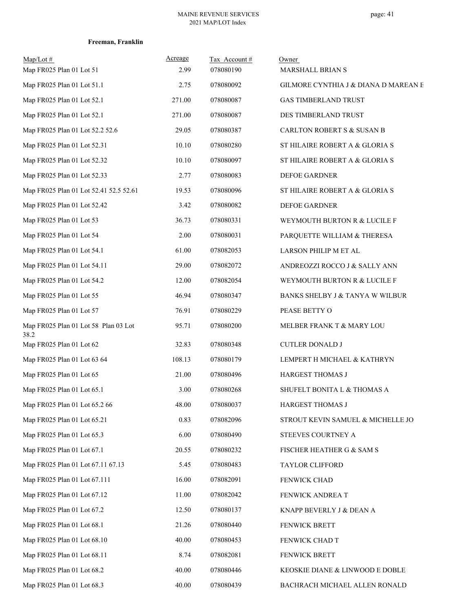| $Map/Lot \#$<br>Map FR025 Plan 01 Lot 51     | Acreage<br>2.99 | Tax Account#<br>078080190 | Owner<br>MARSHALL BRIAN S            |
|----------------------------------------------|-----------------|---------------------------|--------------------------------------|
| Map FR025 Plan 01 Lot 51.1                   | 2.75            | 078080092                 | GILMORE CYNTHIA J & DIANA D MAREAN E |
| Map FR025 Plan 01 Lot 52.1                   | 271.00          | 078080087                 | <b>GAS TIMBERLAND TRUST</b>          |
| Map FR025 Plan 01 Lot 52.1                   | 271.00          | 078080087                 | DES TIMBERLAND TRUST                 |
| Map FR025 Plan 01 Lot 52.2 52.6              | 29.05           | 078080387                 | CARLTON ROBERT S & SUSAN B           |
| Map FR025 Plan 01 Lot 52.31                  | 10.10           | 078080280                 | ST HILAIRE ROBERT A & GLORIA S       |
| Map FR025 Plan 01 Lot 52.32                  | 10.10           | 078080097                 | ST HILAIRE ROBERT A & GLORIA S       |
| Map FR025 Plan 01 Lot 52.33                  | 2.77            | 078080083                 | DEFOE GARDNER                        |
| Map FR025 Plan 01 Lot 52.41 52.5 52.61       | 19.53           | 078080096                 | ST HILAIRE ROBERT A & GLORIA S       |
| Map FR025 Plan 01 Lot 52.42                  | 3.42            | 078080082                 | DEFOE GARDNER                        |
| Map FR025 Plan 01 Lot 53                     | 36.73           | 078080331                 | WEYMOUTH BURTON R & LUCILE F         |
| Map FR025 Plan 01 Lot 54                     | 2.00            | 078080031                 | PARQUETTE WILLIAM & THERESA          |
| Map FR025 Plan 01 Lot 54.1                   | 61.00           | 078082053                 | LARSON PHILIP M ET AL                |
| Map FR025 Plan 01 Lot 54.11                  | 29.00           | 078082072                 | ANDREOZZI ROCCO J & SALLY ANN        |
| Map FR025 Plan 01 Lot 54.2                   | 12.00           | 078082054                 | WEYMOUTH BURTON R & LUCILE F         |
| Map FR025 Plan 01 Lot 55                     | 46.94           | 078080347                 | BANKS SHELBY J & TANYA W WILBUR      |
| Map FR025 Plan 01 Lot 57                     | 76.91           | 078080229                 | PEASE BETTY O                        |
| Map FR025 Plan 01 Lot 58 Plan 03 Lot<br>38.2 | 95.71           | 078080200                 | MELBER FRANK T & MARY LOU            |
| Map FR025 Plan 01 Lot 62                     | 32.83           | 078080348                 | <b>CUTLER DONALD J</b>               |
| Map FR025 Plan 01 Lot 63 64                  | 108.13          | 078080179                 | LEMPERT H MICHAEL & KATHRYN          |
| Map FR025 Plan 01 Lot 65                     | 21.00           | 078080496                 | HARGEST THOMAS J                     |
| Map FR025 Plan 01 Lot 65.1                   | 3.00            | 078080268                 | SHUFELT BONITA L & THOMAS A          |
| Map FR025 Plan 01 Lot 65.2 66                | 48.00           | 078080037                 | HARGEST THOMAS J                     |
| Map FR025 Plan 01 Lot 65.21                  | 0.83            | 078082096                 | STROUT KEVIN SAMUEL & MICHELLE JO    |
| Map FR025 Plan 01 Lot 65.3                   | 6.00            | 078080490                 | STEEVES COURTNEY A                   |
| Map FR025 Plan 01 Lot 67.1                   | 20.55           | 078080232                 | FISCHER HEATHER G & SAM S            |
| Map FR025 Plan 01 Lot 67.11 67.13            | 5.45            | 078080483                 | TAYLOR CLIFFORD                      |
| Map FR025 Plan 01 Lot 67.111                 | 16.00           | 078082091                 | FENWICK CHAD                         |
| Map FR025 Plan 01 Lot 67.12                  | 11.00           | 078082042                 | FENWICK ANDREA T                     |
| Map FR025 Plan 01 Lot 67.2                   | 12.50           | 078080137                 | KNAPP BEVERLY J & DEAN A             |
| Map FR025 Plan 01 Lot 68.1                   | 21.26           | 078080440                 | <b>FENWICK BRETT</b>                 |
| Map FR025 Plan 01 Lot 68.10                  | 40.00           | 078080453                 | FENWICK CHAD T                       |
| Map FR025 Plan 01 Lot 68.11                  | 8.74            | 078082081                 | FENWICK BRETT                        |
| Map FR025 Plan 01 Lot 68.2                   | 40.00           | 078080446                 | KEOSKIE DIANE & LINWOOD E DOBLE      |
| Map FR025 Plan 01 Lot 68.3                   | 40.00           | 078080439                 | BACHRACH MICHAEL ALLEN RONALD        |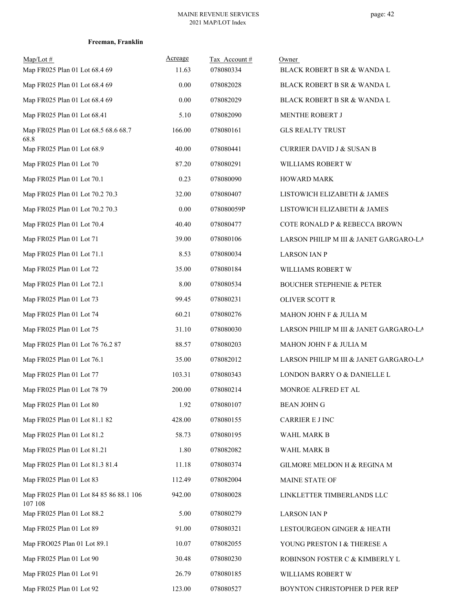| Freeman, Franklin |  |
|-------------------|--|
|-------------------|--|

| $Map/Lot \#$<br>Map FR025 Plan 01 Lot 68.4 69      | Acreage<br>11.63 | Tax Account#<br>078080334 | Owner<br>BLACK ROBERT B SR & WANDA L   |
|----------------------------------------------------|------------------|---------------------------|----------------------------------------|
| Map FR025 Plan 01 Lot 68.4 69                      | 0.00             | 078082028                 | <b>BLACK ROBERT B SR &amp; WANDA L</b> |
| Map FR025 Plan 01 Lot 68.4 69                      | 0.00             | 078082029                 | BLACK ROBERT B SR & WANDA L            |
| Map FR025 Plan 01 Lot 68.41                        | 5.10             | 078082090                 | MENTHE ROBERT J                        |
| Map FR025 Plan 01 Lot 68.5 68.6 68.7<br>68.8       | 166.00           | 078080161                 | <b>GLS REALTY TRUST</b>                |
| Map FR025 Plan 01 Lot 68.9                         | 40.00            | 078080441                 | <b>CURRIER DAVID J &amp; SUSAN B</b>   |
| Map FR025 Plan 01 Lot 70                           | 87.20            | 078080291                 | WILLIAMS ROBERT W                      |
| Map FR025 Plan 01 Lot 70.1                         | 0.23             | 078080090                 | <b>HOWARD MARK</b>                     |
| Map FR025 Plan 01 Lot 70.2 70.3                    | 32.00            | 078080407                 | LISTOWICH ELIZABETH & JAMES            |
| Map FR025 Plan 01 Lot 70.2 70.3                    | 0.00             | 078080059P                | LISTOWICH ELIZABETH & JAMES            |
| Map FR025 Plan 01 Lot 70.4                         | 40.40            | 078080477                 | COTE RONALD P & REBECCA BROWN          |
| Map FR025 Plan 01 Lot 71                           | 39.00            | 078080106                 | LARSON PHILIP M III & JANET GARGARO-LA |
| Map FR025 Plan 01 Lot 71.1                         | 8.53             | 078080034                 | <b>LARSON IAN P</b>                    |
| Map FR025 Plan 01 Lot 72                           | 35.00            | 078080184                 | WILLIAMS ROBERT W                      |
| Map FR025 Plan 01 Lot 72.1                         | 8.00             | 078080534                 | <b>BOUCHER STEPHENIE &amp; PETER</b>   |
| Map FR025 Plan 01 Lot 73                           | 99.45            | 078080231                 | OLIVER SCOTT R                         |
| Map FR025 Plan 01 Lot 74                           | 60.21            | 078080276                 | MAHON JOHN F & JULIA M                 |
| Map FR025 Plan 01 Lot 75                           | 31.10            | 078080030                 | LARSON PHILIP M III & JANET GARGARO-LA |
| Map FR025 Plan 01 Lot 76 76.2 87                   | 88.57            | 078080203                 | MAHON JOHN F & JULIA M                 |
| Map FR025 Plan 01 Lot 76.1                         | 35.00            | 078082012                 | LARSON PHILIP M III & JANET GARGARO-LA |
| Map FR025 Plan 01 Lot 77                           | 103.31           | 078080343                 | LONDON BARRY O & DANIELLE L            |
| Map FR025 Plan 01 Lot 78 79                        | 200.00           | 078080214                 | MONROE ALFRED ET AL                    |
| Map FR025 Plan 01 Lot 80                           | 1.92             | 078080107                 | <b>BEAN JOHN G</b>                     |
| Map FR025 Plan 01 Lot 81.1 82                      | 428.00           | 078080155                 | CARRIER E J INC                        |
| Map FR025 Plan 01 Lot 81.2                         | 58.73            | 078080195                 | WAHL MARK B                            |
| Map FR025 Plan 01 Lot 81.21                        | 1.80             | 078082082                 | WAHL MARK B                            |
| Map FR025 Plan 01 Lot 81.3 81.4                    | 11.18            | 078080374                 | GILMORE MELDON H & REGINA M            |
| Map FR025 Plan 01 Lot 83                           | 112.49           | 078082004                 | MAINE STATE OF                         |
| Map FR025 Plan 01 Lot 84 85 86 88.1 106<br>107 108 | 942.00           | 078080028                 | LINKLETTER TIMBERLANDS LLC             |
| Map FR025 Plan 01 Lot 88.2                         | 5.00             | 078080279                 | <b>LARSON IAN P</b>                    |
| Map FR025 Plan 01 Lot 89                           | 91.00            | 078080321                 | LESTOURGEON GINGER & HEATH             |
| Map FRO025 Plan 01 Lot 89.1                        | 10.07            | 078082055                 | YOUNG PRESTON I & THERESE A            |
| Map FR025 Plan 01 Lot 90                           | 30.48            | 078080230                 | ROBINSON FOSTER C & KIMBERLY L         |
| Map FR025 Plan 01 Lot 91                           | 26.79            | 078080185                 | WILLIAMS ROBERT W                      |
| Map FR025 Plan 01 Lot 92                           | 123.00           | 078080527                 | BOYNTON CHRISTOPHER D PER REP          |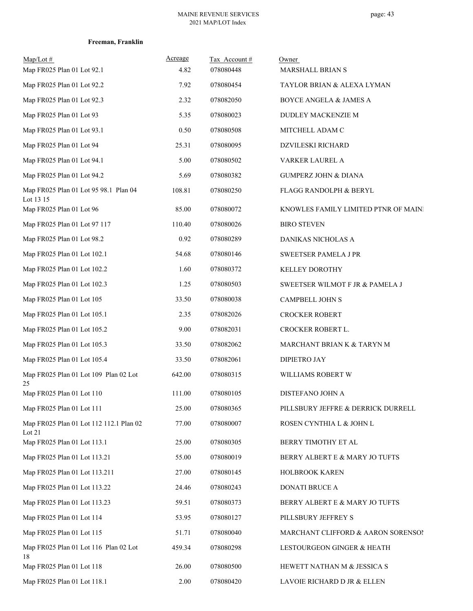|  | Freeman, Franklin |
|--|-------------------|
|--|-------------------|

| Map/Lot#<br>Map FR025 Plan 01 Lot 92.1             | Acreage<br>4.82 | Tax Account #<br>078080448 | Owner<br>MARSHALL BRIAN S            |
|----------------------------------------------------|-----------------|----------------------------|--------------------------------------|
| Map FR025 Plan 01 Lot 92.2                         | 7.92            | 078080454                  | TAYLOR BRIAN & ALEXA LYMAN           |
| Map FR025 Plan 01 Lot 92.3                         | 2.32            | 078082050                  | BOYCE ANGELA & JAMES A               |
| Map FR025 Plan 01 Lot 93                           | 5.35            | 078080023                  | DUDLEY MACKENZIE M                   |
| Map FR025 Plan 01 Lot 93.1                         | 0.50            | 078080508                  | MITCHELL ADAM C                      |
| Map FR025 Plan 01 Lot 94                           | 25.31           | 078080095                  | <b>DZVILESKI RICHARD</b>             |
| Map FR025 Plan 01 Lot 94.1                         | 5.00            | 078080502                  | VARKER LAUREL A                      |
| Map FR025 Plan 01 Lot 94.2                         | 5.69            | 078080382                  | <b>GUMPERZ JOHN &amp; DIANA</b>      |
| Map FR025 Plan 01 Lot 95 98.1 Plan 04<br>Lot 13 15 | 108.81          | 078080250                  | FLAGG RANDOLPH & BERYL               |
| Map FR025 Plan 01 Lot 96                           | 85.00           | 078080072                  | KNOWLES FAMILY LIMITED PTNR OF MAIN! |
| Map FR025 Plan 01 Lot 97 117                       | 110.40          | 078080026                  | <b>BIRO STEVEN</b>                   |
| Map FR025 Plan 01 Lot 98.2                         | 0.92            | 078080289                  | DANIKAS NICHOLAS A                   |
| Map FR025 Plan 01 Lot 102.1                        | 54.68           | 078080146                  | SWEETSER PAMELA J PR                 |
| Map FR025 Plan 01 Lot 102.2                        | 1.60            | 078080372                  | <b>KELLEY DOROTHY</b>                |
| Map FR025 Plan 01 Lot 102.3                        | 1.25            | 078080503                  | SWEETSER WILMOT F JR & PAMELA J      |
| Map FR025 Plan 01 Lot 105                          | 33.50           | 078080038                  | CAMPBELL JOHN S                      |
| Map FR025 Plan 01 Lot 105.1                        | 2.35            | 078082026                  | <b>CROCKER ROBERT</b>                |
| Map FR025 Plan 01 Lot 105.2                        | 9.00            | 078082031                  | CROCKER ROBERT L.                    |
| Map FR025 Plan 01 Lot 105.3                        | 33.50           | 078082062                  | MARCHANT BRIAN K & TARYN M           |
| Map FR025 Plan 01 Lot 105.4                        | 33.50           | 078082061                  | DIPIETRO JAY                         |
| Map FR025 Plan 01 Lot 109 Plan 02 Lot<br>25        | 642.00          | 078080315                  | WILLIAMS ROBERT W                    |
| Map FR025 Plan 01 Lot 110                          | 111.00          | 078080105                  | DISTEFANO JOHN A                     |
| Map FR025 Plan 01 Lot 111                          | 25.00           | 078080365                  | PILLSBURY JEFFRE & DERRICK DURRELL   |
| Map FR025 Plan 01 Lot 112 112.1 Plan 02<br>Lot 21  | 77.00           | 078080007                  | ROSEN CYNTHIA L & JOHN L             |
| Map FR025 Plan 01 Lot 113.1                        | 25.00           | 078080305                  | BERRY TIMOTHY ET AL                  |
| Map FR025 Plan 01 Lot 113.21                       | 55.00           | 078080019                  | BERRY ALBERT E & MARY JO TUFTS       |
| Map FR025 Plan 01 Lot 113.211                      | 27.00           | 078080145                  | HOLBROOK KAREN                       |
| Map FR025 Plan 01 Lot 113.22                       | 24.46           | 078080243                  | DONATI BRUCE A                       |
| Map FR025 Plan 01 Lot 113.23                       | 59.51           | 078080373                  | BERRY ALBERT E & MARY JO TUFTS       |
| Map FR025 Plan 01 Lot 114                          | 53.95           | 078080127                  | PILLSBURY JEFFREY S                  |
| Map FR025 Plan 01 Lot 115                          | 51.71           | 078080040                  | MARCHANT CLIFFORD & AARON SORENSO!   |
| Map FR025 Plan 01 Lot 116 Plan 02 Lot<br>18        | 459.34          | 078080298                  | LESTOURGEON GINGER & HEATH           |
| Map FR025 Plan 01 Lot 118                          | 26.00           | 078080500                  | HEWETT NATHAN M & JESSICA S          |
| Map FR025 Plan 01 Lot 118.1                        | 2.00            | 078080420                  | LAVOIE RICHARD D JR & ELLEN          |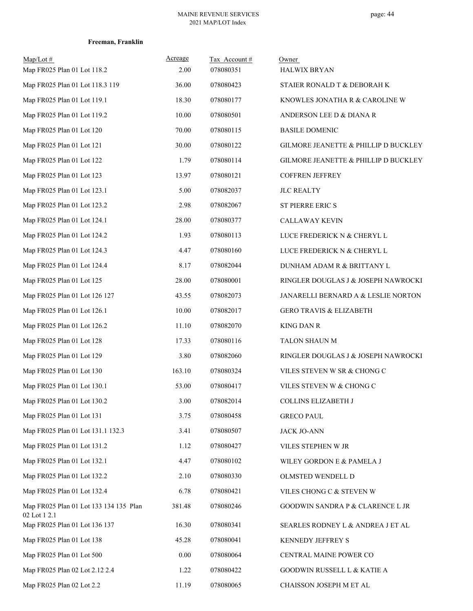| $Map/Lot \#$<br>Map FR025 Plan 01 Lot 118.2            | Acreage<br>2.00 | Tax Account#<br>078080351 | Owner<br><b>HALWIX BRYAN</b>                    |
|--------------------------------------------------------|-----------------|---------------------------|-------------------------------------------------|
| Map FR025 Plan 01 Lot 118.3 119                        | 36.00           | 078080423                 | STAIER RONALD T & DEBORAH K                     |
| Map FR025 Plan 01 Lot 119.1                            | 18.30           | 078080177                 | KNOWLES JONATHA R & CAROLINE W                  |
| Map FR025 Plan 01 Lot 119.2                            | 10.00           | 078080501                 | ANDERSON LEE D & DIANA R                        |
| Map FR025 Plan 01 Lot 120                              | 70.00           | 078080115                 | <b>BASILE DOMENIC</b>                           |
| Map FR025 Plan 01 Lot 121                              | 30.00           | 078080122                 | GILMORE JEANETTE & PHILLIP D BUCKLEY            |
| Map FR025 Plan 01 Lot 122                              | 1.79            | 078080114                 | <b>GILMORE JEANETTE &amp; PHILLIP D BUCKLEY</b> |
| Map FR025 Plan 01 Lot 123                              | 13.97           | 078080121                 | <b>COFFREN JEFFREY</b>                          |
| Map FR025 Plan 01 Lot 123.1                            | 5.00            | 078082037                 | <b>JLC REALTY</b>                               |
| Map FR025 Plan 01 Lot 123.2                            | 2.98            | 078082067                 | <b>ST PIERRE ERIC S</b>                         |
| Map FR025 Plan 01 Lot 124.1                            | 28.00           | 078080377                 | <b>CALLAWAY KEVIN</b>                           |
| Map FR025 Plan 01 Lot 124.2                            | 1.93            | 078080113                 | LUCE FREDERICK N & CHERYL L                     |
| Map FR025 Plan 01 Lot 124.3                            | 4.47            | 078080160                 | LUCE FREDERICK N & CHERYL L                     |
| Map FR025 Plan 01 Lot 124.4                            | 8.17            | 078082044                 | DUNHAM ADAM R & BRITTANY L                      |
| Map FR025 Plan 01 Lot 125                              | 28.00           | 078080001                 | RINGLER DOUGLAS J & JOSEPH NAWROCKI             |
| Map FR025 Plan 01 Lot 126 127                          | 43.55           | 078082073                 | JANARELLI BERNARD A & LESLIE NORTON             |
| Map FR025 Plan 01 Lot 126.1                            | 10.00           | 078082017                 | <b>GERO TRAVIS &amp; ELIZABETH</b>              |
| Map FR025 Plan 01 Lot 126.2                            | 11.10           | 078082070                 | <b>KING DAN R</b>                               |
| Map FR025 Plan 01 Lot 128                              | 17.33           | 078080116                 | TALON SHAUN M                                   |
| Map FR025 Plan 01 Lot 129                              | 3.80            | 078082060                 | RINGLER DOUGLAS J & JOSEPH NAWROCKI             |
| Map FR025 Plan 01 Lot 130                              | 163.10          | 078080324                 | VILES STEVEN W SR & CHONG C                     |
| Map FR025 Plan 01 Lot 130.1                            | 53.00           | 078080417                 | VILES STEVEN W & CHONG C                        |
| Map FR025 Plan 01 Lot 130.2                            | 3.00            | 078082014                 | COLLINS ELIZABETH J                             |
| Map FR025 Plan 01 Lot 131                              | 3.75            | 078080458                 | <b>GRECO PAUL</b>                               |
| Map FR025 Plan 01 Lot 131.1 132.3                      | 3.41            | 078080507                 | <b>JACK JO-ANN</b>                              |
| Map FR025 Plan 01 Lot 131.2                            | 1.12            | 078080427                 | VILES STEPHEN W JR                              |
| Map FR025 Plan 01 Lot 132.1                            | 4.47            | 078080102                 | WILEY GORDON E & PAMELA J                       |
| Map FR025 Plan 01 Lot 132.2                            | 2.10            | 078080330                 | OLMSTED WENDELL D                               |
| Map FR025 Plan 01 Lot 132.4                            | 6.78            | 078080421                 | VILES CHONG C & STEVEN W                        |
| Map FR025 Plan 01 Lot 133 134 135 Plan<br>02 Lot 1 2.1 | 381.48          | 078080246                 | <b>GOODWIN SANDRA P &amp; CLARENCE L JR</b>     |
| Map FR025 Plan 01 Lot 136 137                          | 16.30           | 078080341                 | SEARLES RODNEY L & ANDREA J ET AL               |
| Map FR025 Plan 01 Lot 138                              | 45.28           | 078080041                 | KENNEDY JEFFREY S                               |
| Map FR025 Plan 01 Lot 500                              | $0.00\,$        | 078080064                 | CENTRAL MAINE POWER CO                          |
| Map FR025 Plan 02 Lot 2.12 2.4                         | 1.22            | 078080422                 | GOODWIN RUSSELL L & KATIE A                     |
| Map FR025 Plan 02 Lot 2.2                              | 11.19           | 078080065                 | CHAISSON JOSEPH M ET AL                         |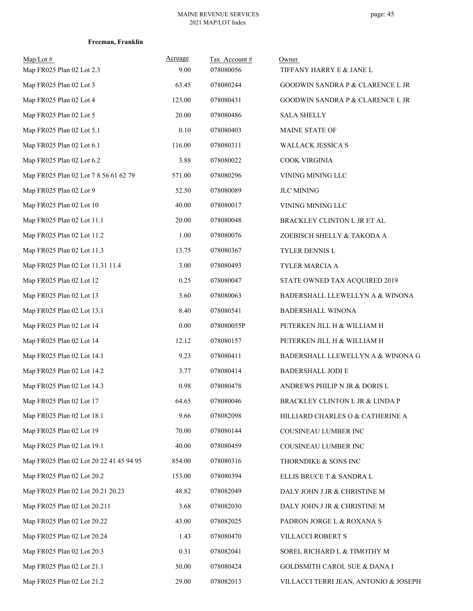| $Map/Lot \#$<br>Map FR025 Plan 02 Lot 2.3 | Acreage<br>9.00 | Tax Account#<br>078080056 | Owner<br>TIFFANY HARRY E & JANE L           |
|-------------------------------------------|-----------------|---------------------------|---------------------------------------------|
| Map FR025 Plan 02 Lot 3                   | 63.45           | 078080244                 | GOODWIN SANDRA P & CLARENCE L JR            |
| Map FR025 Plan 02 Lot 4                   | 123.00          | 078080431                 | <b>GOODWIN SANDRA P &amp; CLARENCE L JR</b> |
| Map FR025 Plan 02 Lot 5                   | 20.00           | 078080486                 | <b>SALA SHELLY</b>                          |
| Map FR025 Plan 02 Lot 5.1                 | 0.10            | 078080403                 | MAINE STATE OF                              |
| Map FR025 Plan 02 Lot 6.1                 | 116.00          | 078080311                 | WALLACK JESSICA S                           |
| Map FR025 Plan 02 Lot 6.2                 | 3.88            | 078080022                 | COOK VIRGINIA                               |
| Map FR025 Plan 02 Lot 7 8 56 61 62 79     | 571.00          | 078080296                 | VINING MINING LLC                           |
| Map FR025 Plan 02 Lot 9                   | 52.50           | 078080089                 | <b>JLC MINING</b>                           |
| Map FR025 Plan 02 Lot 10                  | 40.00           | 078080017                 | VINING MINING LLC                           |
| Map FR025 Plan 02 Lot 11.1                | 20.00           | 078080048                 | BRACKLEY CLINTON L JR ET AL                 |
| Map FR025 Plan 02 Lot 11.2                | 1.00            | 078080076                 | ZOEBISCH SHELLY & TAKODA A                  |
| Map FR025 Plan 02 Lot 11.3                | 13.75           | 078080367                 | TYLER DENNIS L                              |
| Map FR025 Plan 02 Lot 11.31 11.4          | 3.00            | 078080493                 | TYLER MARCIA A                              |
| Map FR025 Plan 02 Lot 12                  | 0.25            | 078080047                 | STATE OWNED TAX ACQUIRED 2019               |
| Map FR025 Plan 02 Lot 13                  | 3.60            | 078080063                 | BADERSHALL LLEWELLYN A & WINONA             |
| Map FR025 Plan 02 Lot 13.1                | 8.40            | 078080541                 | <b>BADERSHALL WINONA</b>                    |
| Map FR025 Plan 02 Lot 14                  | 0.00            | 078080055P                | PETERKEN JILL H & WILLIAM H                 |
| Map FR025 Plan 02 Lot 14                  | 12.12           | 078080157                 | PETERKEN JILL H & WILLIAM H                 |
| Map FR025 Plan 02 Lot 14.1                | 9.23            | 078080411                 | BADERSHALL LLEWELLYN A & WINONA G           |
| Map FR025 Plan 02 Lot 14.2                | 3.77            | 078080414                 | <b>BADERSHALL JODI E</b>                    |
| Map FR025 Plan 02 Lot 14.3                | 0.98            | 078080478                 | ANDREWS PHILIP N JR & DORIS L               |
| Map FR025 Plan 02 Lot 17                  | 64.65           | 078080046                 | BRACKLEY CLINTON L JR & LINDA P             |
| Map FR025 Plan 02 Lot 18.1                | 9.66            | 078082098                 | HILLIARD CHARLES O & CATHERINE A            |
| Map FR025 Plan 02 Lot 19                  | 70.00           | 078080144                 | COUSINEAU LUMBER INC                        |
| Map FR025 Plan 02 Lot 19.1                | 40.00           | 078080459                 | COUSINEAU LUMBER INC                        |
| Map FR025 Plan 02 Lot 20 22 41 45 94 95   | 854.00          | 078080316                 | THORNDIKE & SONS INC                        |
| Map FR025 Plan 02 Lot 20.2                | 153.00          | 078080394                 | ELLIS BRUCE T & SANDRA L                    |
| Map FR025 Plan 02 Lot 20.21 20.23         | 48.82           | 078082049                 | DALY JOHN J JR & CHRISTINE M                |
| Map FR025 Plan 02 Lot 20.211              | 3.68            | 078082030                 | DALY JOHN J JR & CHRISTINE M                |
| Map FR025 Plan 02 Lot 20.22               | 43.00           | 078082025                 | PADRON JORGE L & ROXANA S                   |
| Map FR025 Plan 02 Lot 20.24               | 1.43            | 078080470                 | VILLACCI ROBERT S                           |
| Map FR025 Plan 02 Lot 20.3                | 0.31            | 078082041                 | SOREL RICHARD L & TIMOTHY M                 |
| Map FR025 Plan 02 Lot 21.1                | 50.00           | 078080424                 | <b>GOLDSMITH CAROL SUE &amp; DANA I</b>     |
| Map FR025 Plan 02 Lot 21.2                | 29.00           | 078082013                 | VILLACCI TERRI JEAN, ANTONIO & JOSEPH       |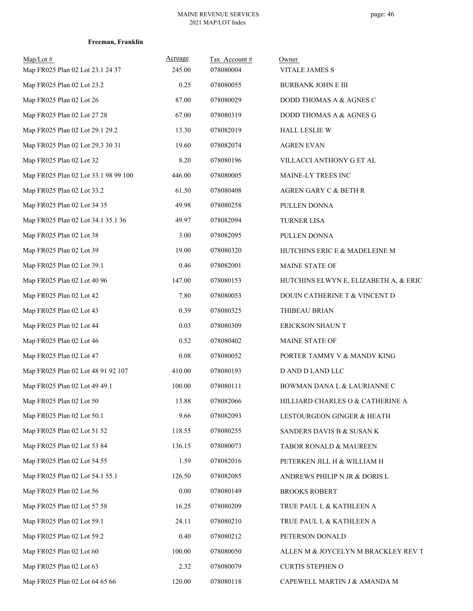| Map/Lot#<br>Map FR025 Plan 02 Lot 23.1 24 37 | Acreage<br>245.00 | Tax Account#<br>078080004 | Owner<br><b>VITALE JAMES S</b>        |
|----------------------------------------------|-------------------|---------------------------|---------------------------------------|
| Map FR025 Plan 02 Lot 23.2                   | 0.25              | 078080055                 | <b>BURBANK JOHN E III</b>             |
| Map FR025 Plan 02 Lot 26                     | 87.00             | 078080029                 | DODD THOMAS A & AGNES C               |
| Map FR025 Plan 02 Lot 27 28                  | 67.00             | 078080319                 | DODD THOMAS A & AGNES G               |
| Map FR025 Plan 02 Lot 29.1 29.2              | 13.30             | 078082019                 | <b>HALL LESLIE W</b>                  |
| Map FR025 Plan 02 Lot 29.3 30 31             | 19.60             | 078082074                 | <b>AGREN EVAN</b>                     |
| Map FR025 Plan 02 Lot 32                     | 8.20              | 078080196                 | VILLACCI ANTHONY G ET AL              |
| Map FR025 Plan 02 Lot 33.1 98 99 100         | 446.00            | 078080005                 | MAINE-LY TREES INC                    |
| Map FR025 Plan 02 Lot 33.2                   | 61.50             | 078080408                 | AGREN GARY C & BETH R                 |
| Map FR025 Plan 02 Lot 34 35                  | 49.98             | 078080258                 | PULLEN DONNA                          |
| Map FR025 Plan 02 Lot 34.1 35.1 36           | 49.97             | 078082094                 | <b>TURNER LISA</b>                    |
| Map FR025 Plan 02 Lot 38                     | 3.00              | 078082095                 | PULLEN DONNA                          |
| Map FR025 Plan 02 Lot 39                     | 19.00             | 078080320                 | HUTCHINS ERIC E & MADELEINE M         |
| Map FR025 Plan 02 Lot 39.1                   | 0.46              | 078082001                 | MAINE STATE OF                        |
| Map FR025 Plan 02 Lot 40 96                  | 147.00            | 078080153                 | HUTCHINS ELWYN E, ELIZABETH A, & ERIC |
| Map FR025 Plan 02 Lot 42                     | 7.80              | 078080053                 | DOUIN CATHERINE T & VINCENT D         |
| Map FR025 Plan 02 Lot 43                     | 0.39              | 078080325                 | THIBEAU BRIAN                         |
| Map FR025 Plan 02 Lot 44                     | 0.03              | 078080309                 | ERICKSON SHAUN T                      |
| Map FR025 Plan 02 Lot 46                     | 0.52              | 078080402                 | MAINE STATE OF                        |
| Map FR025 Plan 02 Lot 47                     | 0.08              | 078080052                 | PORTER TAMMY V & MANDY KING           |
| Map FR025 Plan 02 Lot 48 91 92 107           | 410.00            | 078080193                 | D AND D LAND LLC                      |
| Map FR025 Plan 02 Lot 49 49.1                | 100.00            | 078080111                 | BOWMAN DANA L & LAURIANNE C           |
| Map FR025 Plan 02 Lot 50                     | 13.88             | 078082066                 | HILLIARD CHARLES O & CATHERINE A      |
| Map FR025 Plan 02 Lot 50.1                   | 9.66              | 078082093                 | LESTOURGEON GINGER & HEATH            |
| Map FR025 Plan 02 Lot 51 52                  | 118.55            | 078080255                 | SANDERS DAVIS B & SUSAN K             |
| Map FR025 Plan 02 Lot 53 84                  | 136.15            | 078080073                 | TABOR RONALD & MAUREEN                |
| Map FR025 Plan 02 Lot 54 55                  | 1.59              | 078082016                 | PETERKEN JILL H & WILLIAM H           |
| Map FR025 Plan 02 Lot 54.1 55.1              | 126.50            | 078082085                 | ANDREWS PHILIP N JR & DORIS L         |
| Map FR025 Plan 02 Lot 56                     | $0.00\,$          | 078080149                 | <b>BROOKS ROBERT</b>                  |
| Map FR025 Plan 02 Lot 57 58                  | 16.25             | 078080209                 | TRUE PAUL L & KATHLEEN A              |
| Map FR025 Plan 02 Lot 59.1                   | 24.11             | 078080210                 | TRUE PAUL L & KATHLEEN A              |
| Map FR025 Plan 02 Lot 59.2                   | 0.40              | 078080212                 | PETERSON DONALD                       |
| Map FR025 Plan 02 Lot 60                     | 100.00            | 078080050                 | ALLEN M & JOYCELYN M BRACKLEY REV T   |
| Map FR025 Plan 02 Lot 63                     | 2.32              | 078080079                 | <b>CURTIS STEPHEN O</b>               |
| Map FR025 Plan 02 Lot 64 65 66               | 120.00            | 078080118                 | CAPEWELL MARTIN J & AMANDA M          |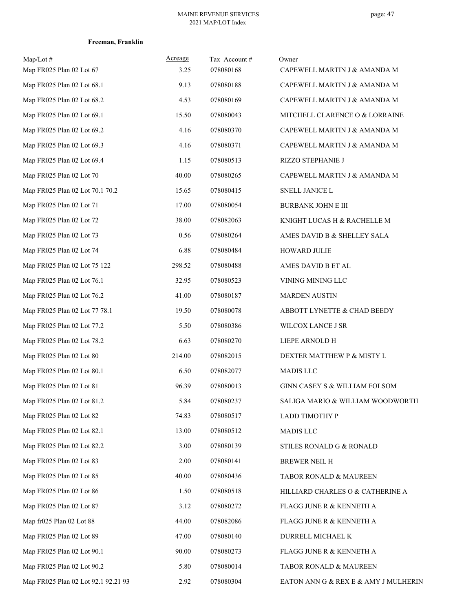| $Map/Lot \#$<br>Map FR025 Plan 02 Lot 67 | <b>Acreage</b><br>3.25 | Tax Account#<br>078080168 | Owner<br>CAPEWELL MARTIN J & AMANDA M |
|------------------------------------------|------------------------|---------------------------|---------------------------------------|
| Map FR025 Plan 02 Lot 68.1               | 9.13                   | 078080188                 | CAPEWELL MARTIN J & AMANDA M          |
| Map FR025 Plan 02 Lot 68.2               | 4.53                   | 078080169                 | CAPEWELL MARTIN J & AMANDA M          |
| Map FR025 Plan 02 Lot 69.1               | 15.50                  | 078080043                 | MITCHELL CLARENCE O & LORRAINE        |
| Map FR025 Plan 02 Lot 69.2               | 4.16                   | 078080370                 | CAPEWELL MARTIN J & AMANDA M          |
| Map FR025 Plan 02 Lot 69.3               | 4.16                   | 078080371                 | CAPEWELL MARTIN J & AMANDA M          |
| Map FR025 Plan 02 Lot 69.4               | 1.15                   | 078080513                 | RIZZO STEPHANIE J                     |
| Map FR025 Plan 02 Lot 70                 | 40.00                  | 078080265                 | CAPEWELL MARTIN J & AMANDA M          |
| Map FR025 Plan 02 Lot 70.1 70.2          | 15.65                  | 078080415                 | SNELL JANICE L                        |
| Map FR025 Plan 02 Lot 71                 | 17.00                  | 078080054                 | <b>BURBANK JOHN E III</b>             |
| Map FR025 Plan 02 Lot 72                 | 38.00                  | 078082063                 | KNIGHT LUCAS H & RACHELLE M           |
| Map FR025 Plan 02 Lot 73                 | 0.56                   | 078080264                 | AMES DAVID B & SHELLEY SALA           |
| Map FR025 Plan 02 Lot 74                 | 6.88                   | 078080484                 | <b>HOWARD JULIE</b>                   |
| Map FR025 Plan 02 Lot 75 122             | 298.52                 | 078080488                 | AMES DAVID B ET AL                    |
| Map FR025 Plan 02 Lot 76.1               | 32.95                  | 078080523                 | VINING MINING LLC                     |
| Map FR025 Plan 02 Lot 76.2               | 41.00                  | 078080187                 | <b>MARDEN AUSTIN</b>                  |
| Map FR025 Plan 02 Lot 77 78.1            | 19.50                  | 078080078                 | ABBOTT LYNETTE & CHAD BEEDY           |
| Map FR025 Plan 02 Lot 77.2               | 5.50                   | 078080386                 | WILCOX LANCE J SR                     |
| Map FR025 Plan 02 Lot 78.2               | 6.63                   | 078080270                 | LIEPE ARNOLD H                        |
| Map FR025 Plan 02 Lot 80                 | 214.00                 | 078082015                 | DEXTER MATTHEW P & MISTY L            |
| Map FR025 Plan 02 Lot 80.1               | 6.50                   | 078082077                 | MADIS LLC                             |
| Map FR025 Plan 02 Lot 81                 | 96.39                  | 078080013                 | GINN CASEY S & WILLIAM FOLSOM         |
| Map FR025 Plan 02 Lot 81.2               | 5.84                   | 078080237                 | SALIGA MARIO & WILLIAM WOODWORTH      |
| Map FR025 Plan 02 Lot 82                 | 74.83                  | 078080517                 | <b>LADD TIMOTHY P</b>                 |
| Map FR025 Plan 02 Lot 82.1               | 13.00                  | 078080512                 | MADIS LLC                             |
| Map FR025 Plan 02 Lot 82.2               | 3.00                   | 078080139                 | STILES RONALD G & RONALD              |
| Map FR025 Plan 02 Lot 83                 | 2.00                   | 078080141                 | BREWER NEIL H                         |
| Map FR025 Plan 02 Lot 85                 | 40.00                  | 078080436                 | TABOR RONALD & MAUREEN                |
| Map FR025 Plan 02 Lot 86                 | 1.50                   | 078080518                 | HILLIARD CHARLES O & CATHERINE A      |
| Map FR025 Plan 02 Lot 87                 | 3.12                   | 078080272                 | FLAGG JUNE R & KENNETH A              |
| Map fr025 Plan 02 Lot 88                 | 44.00                  | 078082086                 | FLAGG JUNE R & KENNETH A              |
| Map FR025 Plan 02 Lot 89                 | 47.00                  | 078080140                 | DURRELL MICHAEL K                     |
| Map FR025 Plan 02 Lot 90.1               | 90.00                  | 078080273                 | FLAGG JUNE R & KENNETH A              |
| Map FR025 Plan 02 Lot 90.2               | 5.80                   | 078080014                 | TABOR RONALD & MAUREEN                |
| Map FR025 Plan 02 Lot 92.1 92.21 93      | 2.92                   | 078080304                 | EATON ANN G & REX E & AMY J MULHERIN  |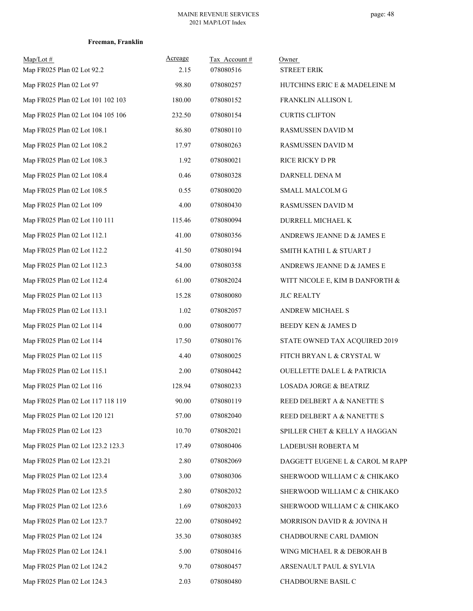| $Map/Lot \#$                      | Acreage | Tax Account# | Owner                             |
|-----------------------------------|---------|--------------|-----------------------------------|
| Map FR025 Plan 02 Lot 92.2        | 2.15    | 078080516    | <b>STREET ERIK</b>                |
| Map FR025 Plan 02 Lot 97          | 98.80   | 078080257    | HUTCHINS ERIC E & MADELEINE M     |
| Map FR025 Plan 02 Lot 101 102 103 | 180.00  | 078080152    | FRANKLIN ALLISON L                |
| Map FR025 Plan 02 Lot 104 105 106 | 232.50  | 078080154    | <b>CURTIS CLIFTON</b>             |
| Map FR025 Plan 02 Lot 108.1       | 86.80   | 078080110    | RASMUSSEN DAVID M                 |
| Map FR025 Plan 02 Lot 108.2       | 17.97   | 078080263    | RASMUSSEN DAVID M                 |
| Map FR025 Plan 02 Lot 108.3       | 1.92    | 078080021    | RICE RICKY D PR                   |
| Map FR025 Plan 02 Lot 108.4       | 0.46    | 078080328    | DARNELL DENA M                    |
| Map FR025 Plan 02 Lot 108.5       | 0.55    | 078080020    | SMALL MALCOLM G                   |
| Map FR025 Plan 02 Lot 109         | 4.00    | 078080430    | RASMUSSEN DAVID M                 |
| Map FR025 Plan 02 Lot 110 111     | 115.46  | 078080094    | DURRELL MICHAEL K                 |
| Map FR025 Plan 02 Lot 112.1       | 41.00   | 078080356    | ANDREWS JEANNE D & JAMES E        |
| Map FR025 Plan 02 Lot 112.2       | 41.50   | 078080194    | SMITH KATHI L & STUART J          |
| Map FR025 Plan 02 Lot 112.3       | 54.00   | 078080358    | ANDREWS JEANNE D & JAMES E        |
| Map FR025 Plan 02 Lot 112.4       | 61.00   | 078082024    | WITT NICOLE E, KIM B DANFORTH &   |
| Map FR025 Plan 02 Lot 113         | 15.28   | 078080080    | <b>JLC REALTY</b>                 |
| Map FR025 Plan 02 Lot 113.1       | 1.02    | 078082057    | ANDREW MICHAEL S                  |
| Map FR025 Plan 02 Lot 114         | 0.00    | 078080077    | BEEDY KEN & JAMES D               |
| Map FR025 Plan 02 Lot 114         | 17.50   | 078080176    | STATE OWNED TAX ACQUIRED 2019     |
| Map FR025 Plan 02 Lot 115         | 4.40    | 078080025    | FITCH BRYAN L & CRYSTAL W         |
| Map FR025 Plan 02 Lot 115.1       | 2.00    | 078080442    | OUELLETTE DALE L & PATRICIA       |
| Map FR025 Plan 02 Lot 116         | 128.94  | 078080233    | <b>LOSADA JORGE &amp; BEATRIZ</b> |
| Map FR025 Plan 02 Lot 117 118 119 | 90.00   | 078080119    | REED DELBERT A & NANETTE S        |
| Map FR025 Plan 02 Lot 120 121     | 57.00   | 078082040    | REED DELBERT A & NANETTE S        |
| Map FR025 Plan 02 Lot 123         | 10.70   | 078082021    | SPILLER CHET & KELLY A HAGGAN     |
| Map FR025 Plan 02 Lot 123.2 123.3 | 17.49   | 078080406    | LADEBUSH ROBERTA M                |
| Map FR025 Plan 02 Lot 123.21      | 2.80    | 078082069    | DAGGETT EUGENE L & CAROL M RAPP   |
| Map FR025 Plan 02 Lot 123.4       | 3.00    | 078080306    | SHERWOOD WILLIAM C & CHIKAKO      |
| Map FR025 Plan 02 Lot 123.5       | 2.80    | 078082032    | SHERWOOD WILLIAM C & CHIKAKO      |
| Map FR025 Plan 02 Lot 123.6       | 1.69    | 078082033    | SHERWOOD WILLIAM C & CHIKAKO      |
| Map FR025 Plan 02 Lot 123.7       | 22.00   | 078080492    | MORRISON DAVID R & JOVINA H       |
| Map FR025 Plan 02 Lot 124         | 35.30   | 078080385    | CHADBOURNE CARL DAMION            |
| Map FR025 Plan 02 Lot 124.1       | 5.00    | 078080416    | WING MICHAEL R & DEBORAH B        |
| Map FR025 Plan 02 Lot 124.2       | 9.70    | 078080457    | ARSENAULT PAUL & SYLVIA           |
| Map FR025 Plan 02 Lot 124.3       | 2.03    | 078080480    | CHADBOURNE BASIL C                |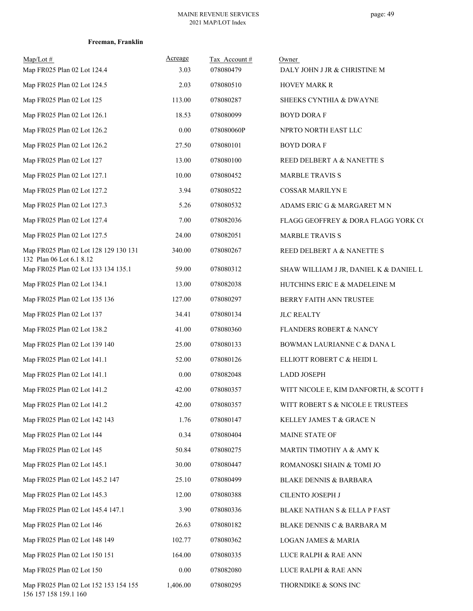| $Map/Lot \#$<br>Map FR025 Plan 02 Lot 124.4                     | Acreage<br>3.03 | Tax Account #<br>078080479 | Owner<br>DALY JOHN J JR & CHRISTINE M  |
|-----------------------------------------------------------------|-----------------|----------------------------|----------------------------------------|
| Map FR025 Plan 02 Lot 124.5                                     | 2.03            | 078080510                  | <b>HOVEY MARK R</b>                    |
| Map FR025 Plan 02 Lot 125                                       | 113.00          | 078080287                  | SHEEKS CYNTHIA & DWAYNE                |
| Map FR025 Plan 02 Lot 126.1                                     | 18.53           | 078080099                  | <b>BOYD DORAF</b>                      |
| Map FR025 Plan 02 Lot 126.2                                     | 0.00            | 078080060P                 | NPRTO NORTH EAST LLC                   |
| Map FR025 Plan 02 Lot 126.2                                     | 27.50           | 078080101                  | <b>BOYD DORA F</b>                     |
| Map FR025 Plan 02 Lot 127                                       | 13.00           | 078080100                  | REED DELBERT A & NANETTE S             |
| Map FR025 Plan 02 Lot 127.1                                     | 10.00           | 078080452                  | <b>MARBLE TRAVIS S</b>                 |
| Map FR025 Plan 02 Lot 127.2                                     | 3.94            | 078080522                  | <b>COSSAR MARILYN E</b>                |
| Map FR025 Plan 02 Lot 127.3                                     | 5.26            | 078080532                  | ADAMS ERIC G & MARGARET M N            |
| Map FR025 Plan 02 Lot 127.4                                     | 7.00            | 078082036                  | FLAGG GEOFFREY & DORA FLAGG YORK CO    |
| Map FR025 Plan 02 Lot 127.5                                     | 24.00           | 078082051                  | <b>MARBLE TRAVIS S</b>                 |
| Map FR025 Plan 02 Lot 128 129 130 131                           | 340.00          | 078080267                  | REED DELBERT A & NANETTE S             |
| 132 Plan 06 Lot 6.1 8.12<br>Map FR025 Plan 02 Lot 133 134 135.1 | 59.00           | 078080312                  | SHAW WILLIAM J JR, DANIEL K & DANIEL L |
| Map FR025 Plan 02 Lot 134.1                                     | 13.00           | 078082038                  | HUTCHINS ERIC E & MADELEINE M          |
| Map FR025 Plan 02 Lot 135 136                                   | 127.00          | 078080297                  | BERRY FAITH ANN TRUSTEE                |
| Map FR025 Plan 02 Lot 137                                       | 34.41           | 078080134                  | <b>JLC REALTY</b>                      |
| Map FR025 Plan 02 Lot 138.2                                     | 41.00           | 078080360                  | FLANDERS ROBERT & NANCY                |
| Map FR025 Plan 02 Lot 139 140                                   | 25.00           | 078080133                  | BOWMAN LAURIANNE C & DANA L            |
| Map FR025 Plan 02 Lot 141.1                                     | 52.00           | 078080126                  | ELLIOTT ROBERT C & HEIDI L             |
| Map FR025 Plan 02 Lot 141.1                                     | $0.00\,$        | 078082048                  | <b>LADD JOSEPH</b>                     |
| Map FR025 Plan 02 Lot 141.2                                     | 42.00           | 078080357                  | WITT NICOLE E, KIM DANFORTH, & SCOTT F |
| Map FR025 Plan 02 Lot 141.2                                     | 42.00           | 078080357                  | WITT ROBERT S & NICOLE E TRUSTEES      |
| Map FR025 Plan 02 Lot 142 143                                   | 1.76            | 078080147                  | KELLEY JAMES T & GRACE N               |
| Map FR025 Plan 02 Lot 144                                       | 0.34            | 078080404                  | MAINE STATE OF                         |
| Map FR025 Plan 02 Lot 145                                       | 50.84           | 078080275                  | MARTIN TIMOTHY A & AMY K               |
| Map FR025 Plan 02 Lot 145.1                                     | 30.00           | 078080447                  | ROMANOSKI SHAIN & TOMI JO              |
| Map FR025 Plan 02 Lot 145.2 147                                 | 25.10           | 078080499                  | BLAKE DENNIS & BARBARA                 |
| Map FR025 Plan 02 Lot 145.3                                     | 12.00           | 078080388                  | CILENTO JOSEPH J                       |
| Map FR025 Plan 02 Lot 145.4 147.1                               | 3.90            | 078080336                  | BLAKE NATHAN S & ELLA P FAST           |
| Map FR025 Plan 02 Lot 146                                       | 26.63           | 078080182                  | BLAKE DENNIS C & BARBARA M             |
| Map FR025 Plan 02 Lot 148 149                                   | 102.77          | 078080362                  | LOGAN JAMES & MARIA                    |
| Map FR025 Plan 02 Lot 150 151                                   | 164.00          | 078080335                  | LUCE RALPH & RAE ANN                   |
| Map FR025 Plan 02 Lot 150                                       | 0.00            | 078082080                  | LUCE RALPH & RAE ANN                   |
| Map FR025 Plan 02 Lot 152 153 154 155<br>156 157 158 159.1 160  | 1,406.00        | 078080295                  | THORNDIKE & SONS INC                   |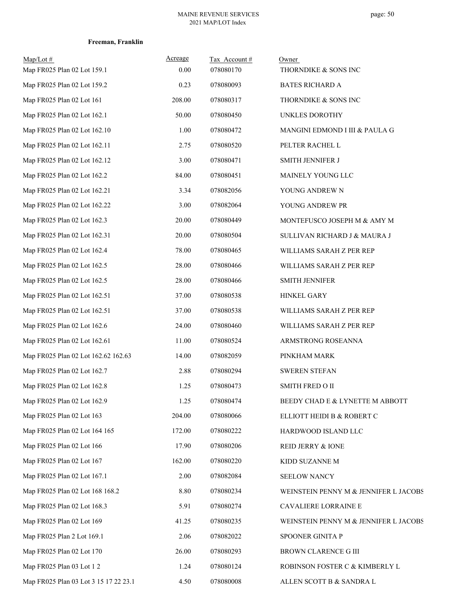| $Map/Lot \#$<br>Map FR025 Plan 02 Lot 159.1 | Acreage<br>0.00 | Tax Account#<br>078080170 | Owner<br>THORNDIKE & SONS INC         |
|---------------------------------------------|-----------------|---------------------------|---------------------------------------|
| Map FR025 Plan 02 Lot 159.2                 | 0.23            | 078080093                 | <b>BATES RICHARD A</b>                |
| Map FR025 Plan 02 Lot 161                   | 208.00          | 078080317                 | THORNDIKE & SONS INC                  |
| Map FR025 Plan 02 Lot 162.1                 | 50.00           | 078080450                 | UNKLES DOROTHY                        |
| Map FR025 Plan 02 Lot 162.10                | 1.00            | 078080472                 | MANGINI EDMOND I III & PAULA G        |
| Map FR025 Plan 02 Lot 162.11                | 2.75            | 078080520                 | PELTER RACHEL L                       |
| Map FR025 Plan 02 Lot 162.12                | 3.00            | 078080471                 | SMITH JENNIFER J                      |
| Map FR025 Plan 02 Lot 162.2                 | 84.00           | 078080451                 | MAINELY YOUNG LLC                     |
| Map FR025 Plan 02 Lot 162.21                | 3.34            | 078082056                 | YOUNG ANDREW N                        |
| Map FR025 Plan 02 Lot 162.22                | 3.00            | 078082064                 | YOUNG ANDREW PR                       |
| Map FR025 Plan 02 Lot 162.3                 | 20.00           | 078080449                 | MONTEFUSCO JOSEPH M & AMY M           |
| Map FR025 Plan 02 Lot 162.31                | 20.00           | 078080504                 | SULLIVAN RICHARD J & MAURA J          |
| Map FR025 Plan 02 Lot 162.4                 | 78.00           | 078080465                 | WILLIAMS SARAH Z PER REP              |
| Map FR025 Plan 02 Lot 162.5                 | 28.00           | 078080466                 | WILLIAMS SARAH Z PER REP              |
| Map FR025 Plan 02 Lot 162.5                 | 28.00           | 078080466                 | <b>SMITH JENNIFER</b>                 |
| Map FR025 Plan 02 Lot 162.51                | 37.00           | 078080538                 | <b>HINKEL GARY</b>                    |
| Map FR025 Plan 02 Lot 162.51                | 37.00           | 078080538                 | WILLIAMS SARAH Z PER REP              |
| Map FR025 Plan 02 Lot 162.6                 | 24.00           | 078080460                 | WILLIAMS SARAH Z PER REP              |
| Map FR025 Plan 02 Lot 162.61                | 11.00           | 078080524                 | ARMSTRONG ROSEANNA                    |
| Map FR025 Plan 02 Lot 162.62 162.63         | 14.00           | 078082059                 | PINKHAM MARK                          |
| Map FR025 Plan 02 Lot 162.7                 | 2.88            | 078080294                 | <b>SWEREN STEFAN</b>                  |
| Map FR025 Plan 02 Lot 162.8                 | 1.25            | 078080473                 | SMITH FRED O II                       |
| Map FR025 Plan 02 Lot 162.9                 | 1.25            | 078080474                 | BEEDY CHAD E & LYNETTE M ABBOTT       |
| Map FR025 Plan 02 Lot 163                   | 204.00          | 078080066                 | ELLIOTT HEIDI B & ROBERT C            |
| Map FR025 Plan 02 Lot 164 165               | 172.00          | 078080222                 | HARDWOOD ISLAND LLC                   |
| Map FR025 Plan 02 Lot 166                   | 17.90           | 078080206                 | REID JERRY & IONE                     |
| Map FR025 Plan 02 Lot 167                   | 162.00          | 078080220                 | KIDD SUZANNE M                        |
| Map FR025 Plan 02 Lot 167.1                 | 2.00            | 078082084                 | <b>SEELOW NANCY</b>                   |
| Map FR025 Plan 02 Lot 168 168.2             | 8.80            | 078080234                 | WEINSTEIN PENNY M & JENNIFER L JACOBS |
| Map FR025 Plan 02 Lot 168.3                 | 5.91            | 078080274                 | CAVALIERE LORRAINE E                  |
| Map FR025 Plan 02 Lot 169                   | 41.25           | 078080235                 | WEINSTEIN PENNY M & JENNIFER L JACOBS |
| Map FR025 Plan 2 Lot 169.1                  | 2.06            | 078082022                 | SPOONER GINITA P                      |
| Map FR025 Plan 02 Lot 170                   | 26.00           | 078080293                 | BROWN CLARENCE G III                  |
| Map FR025 Plan 03 Lot 12                    | 1.24            | 078080124                 | ROBINSON FOSTER C & KIMBERLY L        |
| Map FR025 Plan 03 Lot 3 15 17 22 23.1       | 4.50            | 078080008                 | ALLEN SCOTT B & SANDRA L              |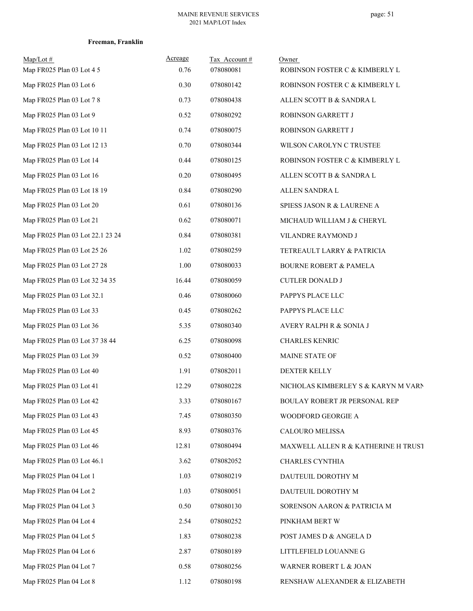| $Map/Lot \#$<br>Map FR025 Plan 03 Lot 4 5 | Acreage<br>0.76 | Tax Account#<br>078080081 | Owner<br>ROBINSON FOSTER C & KIMBERLY L |
|-------------------------------------------|-----------------|---------------------------|-----------------------------------------|
| Map FR025 Plan 03 Lot 6                   | 0.30            | 078080142                 | ROBINSON FOSTER C & KIMBERLY L          |
| Map FR025 Plan 03 Lot 7 8                 | 0.73            | 078080438                 | ALLEN SCOTT B & SANDRA L                |
| Map FR025 Plan 03 Lot 9                   | 0.52            | 078080292                 | ROBINSON GARRETT J                      |
| Map FR025 Plan 03 Lot 10 11               | 0.74            | 078080075                 | ROBINSON GARRETT J                      |
| Map FR025 Plan 03 Lot 12 13               | 0.70            | 078080344                 | WILSON CAROLYN C TRUSTEE                |
| Map FR025 Plan 03 Lot 14                  | 0.44            | 078080125                 | ROBINSON FOSTER C & KIMBERLY L          |
| Map FR025 Plan 03 Lot 16                  | 0.20            | 078080495                 | ALLEN SCOTT B & SANDRA L                |
| Map FR025 Plan 03 Lot 18 19               | 0.84            | 078080290                 | ALLEN SANDRA L                          |
| Map FR025 Plan 03 Lot 20                  | 0.61            | 078080136                 | SPIESS JASON R & LAURENE A              |
| Map FR025 Plan 03 Lot 21                  | 0.62            | 078080071                 | MICHAUD WILLIAM J & CHERYL              |
| Map FR025 Plan 03 Lot 22.1 23 24          | 0.84            | 078080381                 | VILANDRE RAYMOND J                      |
| Map FR025 Plan 03 Lot 25 26               | 1.02            | 078080259                 | TETREAULT LARRY & PATRICIA              |
| Map FR025 Plan 03 Lot 27 28               | 1.00            | 078080033                 | <b>BOURNE ROBERT &amp; PAMELA</b>       |
| Map FR025 Plan 03 Lot 32 34 35            | 16.44           | 078080059                 | <b>CUTLER DONALD J</b>                  |
| Map FR025 Plan 03 Lot 32.1                | 0.46            | 078080060                 | PAPPYS PLACE LLC                        |
| Map FR025 Plan 03 Lot 33                  | 0.45            | 078080262                 | PAPPYS PLACE LLC                        |
| Map FR025 Plan 03 Lot 36                  | 5.35            | 078080340                 | AVERY RALPH R & SONIA J                 |
| Map FR025 Plan 03 Lot 37 38 44            | 6.25            | 078080098                 | <b>CHARLES KENRIC</b>                   |
| Map FR025 Plan 03 Lot 39                  | 0.52            | 078080400                 | MAINE STATE OF                          |
| Map FR025 Plan 03 Lot 40                  | 1.91            | 078082011                 | DEXTER KELLY                            |
| Map FR025 Plan 03 Lot 41                  | 12.29           | 078080228                 | NICHOLAS KIMBERLEY S & KARYN M VARN     |
| Map FR025 Plan 03 Lot 42                  | 3.33            | 078080167                 | BOULAY ROBERT JR PERSONAL REP           |
| Map FR025 Plan 03 Lot 43                  | 7.45            | 078080350                 | WOODFORD GEORGIE A                      |
| Map FR025 Plan 03 Lot 45                  | 8.93            | 078080376                 | CALOURO MELISSA                         |
| Map FR025 Plan 03 Lot 46                  | 12.81           | 078080494                 | MAXWELL ALLEN R & KATHERINE H TRUST     |
| Map FR025 Plan 03 Lot 46.1                | 3.62            | 078082052                 | CHARLES CYNTHIA                         |
| Map FR025 Plan 04 Lot 1                   | 1.03            | 078080219                 | DAUTEUIL DOROTHY M                      |
| Map FR025 Plan 04 Lot 2                   | 1.03            | 078080051                 | DAUTEUIL DOROTHY M                      |
| Map FR025 Plan 04 Lot 3                   | 0.50            | 078080130                 | SORENSON AARON & PATRICIA M             |
| Map FR025 Plan 04 Lot 4                   | 2.54            | 078080252                 | PINKHAM BERT W                          |
| Map FR025 Plan 04 Lot 5                   | 1.83            | 078080238                 | POST JAMES D & ANGELA D                 |
| Map FR025 Plan 04 Lot 6                   | 2.87            | 078080189                 | LITTLEFIELD LOUANNE G                   |
| Map FR025 Plan 04 Lot 7                   | 0.58            | 078080256                 | WARNER ROBERT L & JOAN                  |
| Map FR025 Plan 04 Lot 8                   | 1.12            | 078080198                 | RENSHAW ALEXANDER & ELIZABETH           |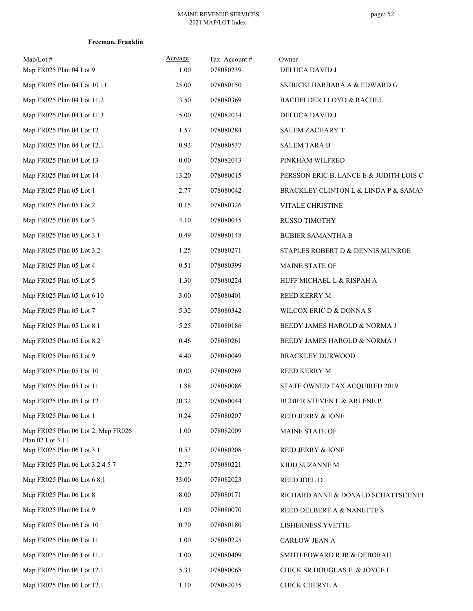| $Map/Lot \#$<br>Map FR025 Plan 04 Lot 9                | Acreage<br>1.00 | Tax Account#<br>078080239 | Owner<br>DELUCA DAVID J                 |
|--------------------------------------------------------|-----------------|---------------------------|-----------------------------------------|
| Map FR025 Plan 04 Lot 10 11                            | 25.00           | 078080150                 | SKIBICKI BARBARA A & EDWARD G           |
| Map FR025 Plan 04 Lot 11.2                             | 3.50            | 078080369                 | <b>BACHELDER LLOYD &amp; RACHEL</b>     |
| Map FR025 Plan 04 Lot 11.3                             | 5.00            | 078082034                 | DELUCA DAVID J                          |
| Map FR025 Plan 04 Lot 12                               | 1.57            | 078080284                 | SALEM ZACHARY T                         |
| Map FR025 Plan 04 Lot 12.1                             | 0.93            | 078080537                 | <b>SALEM TARA B</b>                     |
| Map FR025 Plan 04 Lot 13                               | 0.00            | 078082043                 | PINKHAM WILFRED                         |
| Map FR025 Plan 04 Lot 14                               | 13.20           | 078080015                 | PERSSON ERIC B, LANCE E & JUDITH LOIS C |
| Map FR025 Plan 05 Lot 1                                | 2.77            | 078080042                 | BRACKLEY CLINTON L & LINDA P & SAMAN    |
| Map FR025 Plan 05 Lot 2                                | 0.15            | 078080326                 | VITALE CHRISTINE                        |
| Map FR025 Plan 05 Lot 3                                | 4.10            | 078080045                 | RUSSO TIMOTHY                           |
| Map FR025 Plan 05 Lot 3.1                              | 0.49            | 078080148                 | <b>BUBIER SAMANTHA B</b>                |
| Map FR025 Plan 05 Lot 3.2                              | 1.25            | 078080271                 | STAPLES ROBERT D & DENNIS MUNROE        |
| Map FR025 Plan 05 Lot 4                                | 0.51            | 078080399                 | MAINE STATE OF                          |
| Map FR025 Plan 05 Lot 5                                | 1.30            | 078080224                 | HUFF MICHAEL L & RISPAH A               |
| Map FR025 Plan 05 Lot 6 10                             | 3.00            | 078080401                 | REED KERRY M                            |
| Map FR025 Plan 05 Lot 7                                | 5.32            | 078080342                 | WILCOX ERIC D & DONNA S                 |
| Map FR025 Plan 05 Lot 8.1                              | 5.25            | 078080186                 | BEEDY JAMES HAROLD & NORMA J            |
| Map FR025 Plan 05 Lot 8.2                              | 0.46            | 078080261                 | BEEDY JAMES HAROLD & NORMA J            |
| Map FR025 Plan 05 Lot 9                                | 4.40            | 078080049                 | <b>BRACKLEY DURWOOD</b>                 |
| Map FR025 Plan 05 Lot 10                               | 10.00           | 078080269                 | <b>REED KERRY M</b>                     |
| Map FR025 Plan 05 Lot 11                               | 1.88            | 078080086                 | STATE OWNED TAX ACQUIRED 2019           |
| Map FR025 Plan 05 Lot 12                               | 20.32           | 078080044                 | <b>BUBIER STEVEN L &amp; ARLENE P</b>   |
| Map FR025 Plan 06 Lot 1                                | 0.24            | 078080207                 | REID JERRY & IONE                       |
| Map FR025 Plan 06 Lot 2, Map FR026<br>Plan 02 Lot 3.11 | 1.00            | 078082009                 | MAINE STATE OF                          |
| Map FR025 Plan 06 Lot 3.1                              | 0.53            | 078080208                 | <b>REID JERRY &amp; IONE</b>            |
| Map FR025 Plan 06 Lot 3.2 4 5 7                        | 32.77           | 078080221                 | KIDD SUZANNE M                          |
| Map FR025 Plan 06 Lot 6 8.1                            | 33.00           | 078082023                 | REED JOEL D                             |
| Map FR025 Plan 06 Lot 8                                | 8.00            | 078080171                 | RICHARD ANNE & DONALD SCHATTSCHNEI      |
| Map FR025 Plan 06 Lot 9                                | 1.00            | 078080070                 | REED DELBERT A & NANETTE S              |
| Map FR025 Plan 06 Lot 10                               | 0.70            | 078080180                 | LISHERNESS YVETTE                       |
| Map FR025 Plan 06 Lot 11                               | 1.00            | 078080225                 | CARLOW JEAN A                           |
| Map FR025 Plan 06 Lot 11.1                             | 1.00            | 078080409                 | SMITH EDWARD R JR & DEBORAH             |
| Map FR025 Plan 06 Lot 12.1                             | 5.31            | 078080068                 | CHICK SR DOUGLAS E & JOYCE L            |
| Map FR025 Plan 06 Lot 12.1                             | 1.10            | 078082035                 | CHICK CHERYL A                          |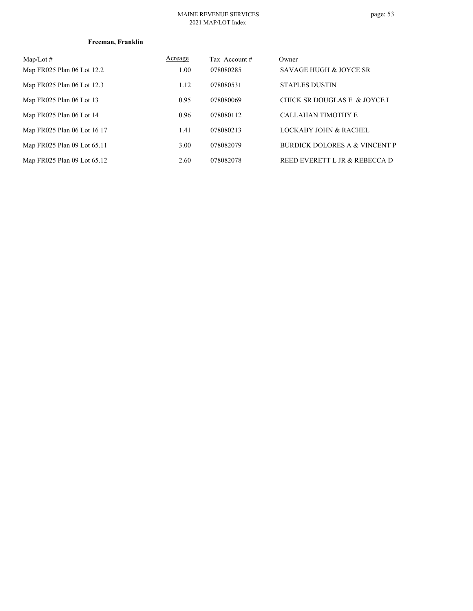#### MAINE REVENUE SERVICES 2021 MAP/LOT Index

| $Map/Lot \#$                | Acreage | Tax Account# | Owner                                    |
|-----------------------------|---------|--------------|------------------------------------------|
| Map FR025 Plan 06 Lot 12.2  | 1.00    | 078080285    | <b>SAVAGE HUGH &amp; JOYCE SR</b>        |
| Map FR025 Plan 06 Lot 12.3  | 1.12    | 078080531    | <b>STAPLES DUSTIN</b>                    |
| Map FR025 Plan 06 Lot 13    | 0.95    | 078080069    | CHICK SR DOUGLAS E & JOYCE L             |
| Map FR025 Plan 06 Lot 14    | 0.96    | 078080112    | <b>CALLAHAN TIMOTHY E</b>                |
| Map FR025 Plan 06 Lot 16 17 | 1.41    | 078080213    | LOCKABY JOHN & RACHEL                    |
| Map FR025 Plan 09 Lot 65.11 | 3.00    | 078082079    | <b>BURDICK DOLORES A &amp; VINCENT P</b> |
| Map FR025 Plan 09 Lot 65.12 | 2.60    | 078082078    | REED EVERETT L JR & REBECCA D            |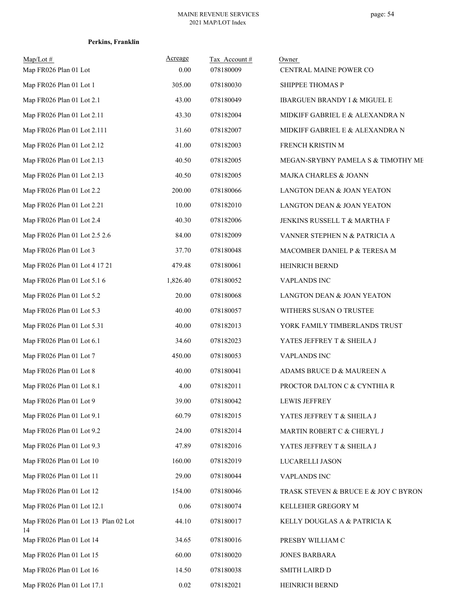## **Perkins, Franklin**

| $Map/Lot \#$<br>Map FR026 Plan 01 Lot      | Acreage<br>0.00 | Tax Account#<br>078180009 | Owner<br>CENTRAL MAINE POWER CO      |
|--------------------------------------------|-----------------|---------------------------|--------------------------------------|
| Map FR026 Plan 01 Lot 1                    | 305.00          | 078180030                 | SHIPPEE THOMAS P                     |
| Map FR026 Plan 01 Lot 2.1                  | 43.00           | 078180049                 | IBARGUEN BRANDY I & MIGUEL E         |
| Map FR026 Plan 01 Lot 2.11                 | 43.30           | 078182004                 | MIDKIFF GABRIEL E & ALEXANDRA N      |
| Map FR026 Plan 01 Lot 2.111                | 31.60           | 078182007                 | MIDKIFF GABRIEL E & ALEXANDRA N      |
| Map FR026 Plan 01 Lot 2.12                 | 41.00           | 078182003                 | FRENCH KRISTIN M                     |
| Map FR026 Plan 01 Lot 2.13                 | 40.50           | 078182005                 | MEGAN-SRYBNY PAMELA S & TIMOTHY ME   |
| Map FR026 Plan 01 Lot 2.13                 | 40.50           | 078182005                 | MAJKA CHARLES & JOANN                |
| Map FR026 Plan 01 Lot 2.2                  | 200.00          | 078180066                 | LANGTON DEAN & JOAN YEATON           |
| Map FR026 Plan 01 Lot 2.21                 | 10.00           | 078182010                 | LANGTON DEAN & JOAN YEATON           |
| Map FR026 Plan 01 Lot 2.4                  | 40.30           | 078182006                 | JENKINS RUSSELL T & MARTHA F         |
| Map FR026 Plan 01 Lot 2.5 2.6              | 84.00           | 078182009                 | VANNER STEPHEN N & PATRICIA A        |
| Map FR026 Plan 01 Lot 3                    | 37.70           | 078180048                 | MACOMBER DANIEL P & TERESA M         |
| Map FR026 Plan 01 Lot 4 17 21              | 479.48          | 078180061                 | <b>HEINRICH BERND</b>                |
| Map FR026 Plan 01 Lot 5.1 6                | 1,826.40        | 078180052                 | VAPLANDS INC                         |
| Map FR026 Plan 01 Lot 5.2                  | 20.00           | 078180068                 | LANGTON DEAN & JOAN YEATON           |
| Map FR026 Plan 01 Lot 5.3                  | 40.00           | 078180057                 | WITHERS SUSAN O TRUSTEE              |
| Map FR026 Plan 01 Lot 5.31                 | 40.00           | 078182013                 | YORK FAMILY TIMBERLANDS TRUST        |
| Map FR026 Plan 01 Lot 6.1                  | 34.60           | 078182023                 | YATES JEFFREY T & SHEILA J           |
| Map FR026 Plan 01 Lot 7                    | 450.00          | 078180053                 | <b>VAPLANDS INC</b>                  |
| Map FR026 Plan 01 Lot 8                    | 40.00           | 078180041                 | ADAMS BRUCE D & MAUREEN A            |
| Map FR026 Plan 01 Lot 8.1                  | 4.00            | 078182011                 | PROCTOR DALTON C & CYNTHIA R         |
| Map FR026 Plan 01 Lot 9                    | 39.00           | 078180042                 | <b>LEWIS JEFFREY</b>                 |
| Map FR026 Plan 01 Lot 9.1                  | 60.79           | 078182015                 | YATES JEFFREY T & SHEILA J           |
| Map FR026 Plan 01 Lot 9.2                  | 24.00           | 078182014                 | MARTIN ROBERT C & CHERYL J           |
| Map FR026 Plan 01 Lot 9.3                  | 47.89           | 078182016                 | YATES JEFFREY T & SHEILA J           |
| Map FR026 Plan 01 Lot 10                   | 160.00          | 078182019                 | LUCARELLI JASON                      |
| Map FR026 Plan 01 Lot 11                   | 29.00           | 078180044                 | <b>VAPLANDS INC</b>                  |
| Map FR026 Plan 01 Lot 12                   | 154.00          | 078180046                 | TRASK STEVEN & BRUCE E & JOY C BYRON |
| Map FR026 Plan 01 Lot 12.1                 | 0.06            | 078180074                 | KELLEHER GREGORY M                   |
| Map FR026 Plan 01 Lot 13 Plan 02 Lot<br>14 | 44.10           | 078180017                 | KELLY DOUGLAS A & PATRICIA K         |
| Map FR026 Plan 01 Lot 14                   | 34.65           | 078180016                 | PRESBY WILLIAM C                     |
| Map FR026 Plan 01 Lot 15                   | 60.00           | 078180020                 | <b>JONES BARBARA</b>                 |
| Map FR026 Plan 01 Lot 16                   | 14.50           | 078180038                 | <b>SMITH LAIRD D</b>                 |
| Map FR026 Plan 01 Lot 17.1                 | $0.02\,$        | 078182021                 | HEINRICH BERND                       |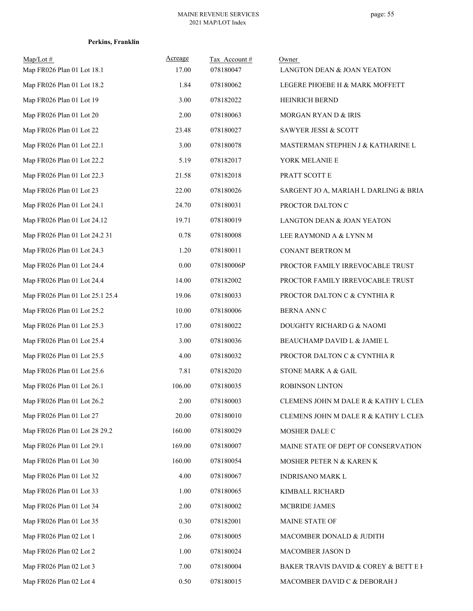## **Perkins, Franklin**

| $Map/Lot \#$<br>Map FR026 Plan 01 Lot 18.1 | Acreage<br>17.00 | Tax Account#<br>078180047 | Owner<br>LANGTON DEAN & JOAN YEATON   |
|--------------------------------------------|------------------|---------------------------|---------------------------------------|
| Map FR026 Plan 01 Lot 18.2                 | 1.84             | 078180062                 | LEGERE PHOEBE H & MARK MOFFETT        |
| Map FR026 Plan 01 Lot 19                   | 3.00             | 078182022                 | HEINRICH BERND                        |
| Map FR026 Plan 01 Lot 20                   | 2.00             | 078180063                 | MORGAN RYAN D & IRIS                  |
| Map FR026 Plan 01 Lot 22                   | 23.48            | 078180027                 | SAWYER JESSI & SCOTT                  |
| Map FR026 Plan 01 Lot 22.1                 | 3.00             | 078180078                 | MASTERMAN STEPHEN J & KATHARINE L     |
| Map FR026 Plan 01 Lot 22.2                 | 5.19             | 078182017                 | YORK MELANIE E                        |
| Map FR026 Plan 01 Lot 22.3                 | 21.58            | 078182018                 | PRATT SCOTT E                         |
| Map FR026 Plan 01 Lot 23                   | 22.00            | 078180026                 | SARGENT JO A, MARIAH L DARLING & BRIA |
| Map FR026 Plan 01 Lot 24.1                 | 24.70            | 078180031                 | PROCTOR DALTON C                      |
| Map FR026 Plan 01 Lot 24.12                | 19.71            | 078180019                 | LANGTON DEAN & JOAN YEATON            |
| Map FR026 Plan 01 Lot 24.2 31              | 0.78             | 078180008                 | LEE RAYMOND A & LYNN M                |
| Map FR026 Plan 01 Lot 24.3                 | 1.20             | 078180011                 | CONANT BERTRON M                      |
| Map FR026 Plan 01 Lot 24.4                 | 0.00             | 078180006P                | PROCTOR FAMILY IRREVOCABLE TRUST      |
| Map FR026 Plan 01 Lot 24.4                 | 14.00            | 078182002                 | PROCTOR FAMILY IRREVOCABLE TRUST      |
| Map FR026 Plan 01 Lot 25.1 25.4            | 19.06            | 078180033                 | PROCTOR DALTON C & CYNTHIA R          |
| Map FR026 Plan 01 Lot 25.2                 | 10.00            | 078180006                 | <b>BERNA ANN C</b>                    |
| Map FR026 Plan 01 Lot 25.3                 | 17.00            | 078180022                 | DOUGHTY RICHARD G & NAOMI             |
| Map FR026 Plan 01 Lot 25.4                 | 3.00             | 078180036                 | BEAUCHAMP DAVID L & JAMIE L           |
| Map FR026 Plan 01 Lot 25.5                 | 4.00             | 078180032                 | PROCTOR DALTON C & CYNTHIA R          |
| Map FR026 Plan 01 Lot 25.6                 | 7.81             | 078182020                 | STONE MARK A & GAIL                   |
| Map FR026 Plan 01 Lot 26.1                 | 106.00           | 078180035                 | ROBINSON LINTON                       |
| Map FR026 Plan 01 Lot 26.2                 | 2.00             | 078180003                 | CLEMENS JOHN M DALE R & KATHY L CLEN  |
| Map FR026 Plan 01 Lot 27                   | 20.00            | 078180010                 | CLEMENS JOHN M DALE R & KATHY L CLEN  |
| Map FR026 Plan 01 Lot 28 29.2              | 160.00           | 078180029                 | MOSHER DALE C                         |
| Map FR026 Plan 01 Lot 29.1                 | 169.00           | 078180007                 | MAINE STATE OF DEPT OF CONSERVATION   |
| Map FR026 Plan 01 Lot 30                   | 160.00           | 078180054                 | MOSHER PETER N & KAREN K              |
| Map FR026 Plan 01 Lot 32                   | 4.00             | 078180067                 | INDRISANO MARK L                      |
| Map FR026 Plan 01 Lot 33                   | 1.00             | 078180065                 | KIMBALL RICHARD                       |
| Map FR026 Plan 01 Lot 34                   | 2.00             | 078180002                 | MCBRIDE JAMES                         |
| Map FR026 Plan 01 Lot 35                   | 0.30             | 078182001                 | MAINE STATE OF                        |
| Map FR026 Plan 02 Lot 1                    | 2.06             | 078180005                 | MACOMBER DONALD & JUDITH              |
| Map FR026 Plan 02 Lot 2                    | 1.00             | 078180024                 | MACOMBER JASON D                      |
| Map FR026 Plan 02 Lot 3                    | 7.00             | 078180004                 | BAKER TRAVIS DAVID & COREY & BETT E F |
| Map FR026 Plan 02 Lot 4                    | 0.50             | 078180015                 | MACOMBER DAVID C & DEBORAH J          |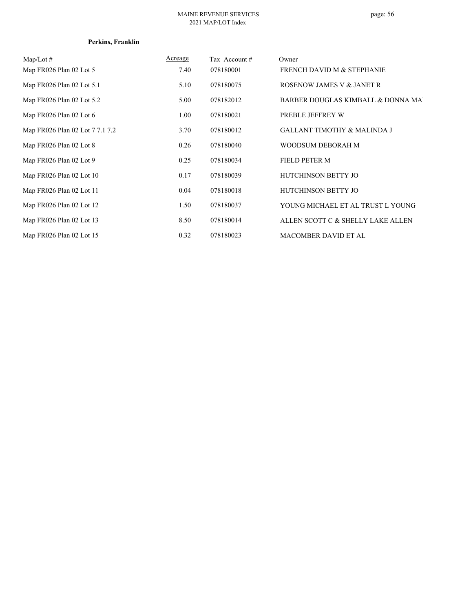#### MAINE REVENUE SERVICES 2021 MAP/LOT Index

## **Perkins, Franklin**

| $Map/Lot \#$                    | <b>Acreage</b> | Tax Account# | Owner                                  |
|---------------------------------|----------------|--------------|----------------------------------------|
| Map FR026 Plan 02 Lot 5         | 7.40           | 078180001    | FRENCH DAVID M & STEPHANIE             |
| Map FR026 Plan 02 Lot 5.1       | 5.10           | 078180075    | ROSENOW JAMES V & JANET R              |
| Map FR026 Plan 02 Lot 5.2       | 5.00           | 078182012    | BARBER DOUGLAS KIMBALL & DONNA MAI     |
| Map FR026 Plan 02 Lot 6         | 1.00           | 078180021    | PREBLE JEFFREY W                       |
| Map FR026 Plan 02 Lot 7 7.1 7.2 | 3.70           | 078180012    | <b>GALLANT TIMOTHY &amp; MALINDA J</b> |
| Map FR026 Plan 02 Lot 8         | 0.26           | 078180040    | WOODSUM DEBORAH M                      |
| Map FR026 Plan 02 Lot 9         | 0.25           | 078180034    | <b>FIELD PETER M</b>                   |
| Map FR026 Plan 02 Lot 10        | 0.17           | 078180039    | <b>HUTCHINSON BETTY JO</b>             |
| Map FR026 Plan 02 Lot 11        | 0.04           | 078180018    | HUTCHINSON BETTY JO                    |
| Map FR026 Plan 02 Lot 12        | 1.50           | 078180037    | YOUNG MICHAEL ET AL TRUST L YOUNG      |
| Map FR026 Plan 02 Lot 13        | 8.50           | 078180014    | ALLEN SCOTT C & SHELLY LAKE ALLEN      |
| Map FR026 Plan 02 Lot 15        | 0.32           | 078180023    | <b>MACOMBER DAVID ET AL</b>            |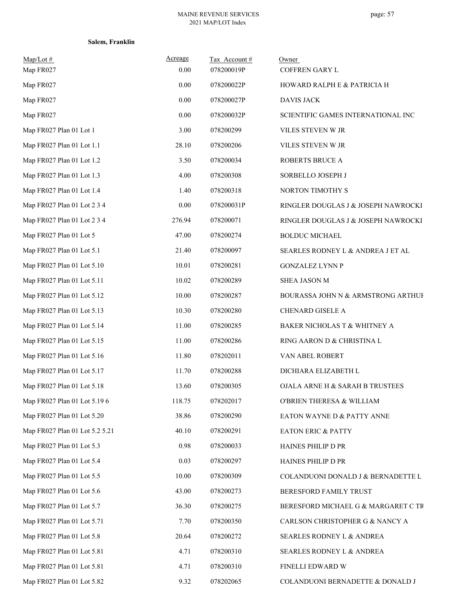| $Map/Lot$ #                    | Acreage | Tax Account# | Owner                               |
|--------------------------------|---------|--------------|-------------------------------------|
| Map FR027                      | 0.00    | 078200019P   | COFFREN GARY L                      |
| Map FR027                      | 0.00    | 078200022P   | HOWARD RALPH E & PATRICIA H         |
| Map FR027                      | 0.00    | 078200027P   | <b>DAVIS JACK</b>                   |
| Map FR027                      | 0.00    | 078200032P   | SCIENTIFIC GAMES INTERNATIONAL INC  |
| Map FR027 Plan 01 Lot 1        | 3.00    | 078200299    | VILES STEVEN W JR                   |
| Map FR027 Plan 01 Lot 1.1      | 28.10   | 078200206    | VILES STEVEN W JR                   |
| Map FR027 Plan 01 Lot 1.2      | 3.50    | 078200034    | ROBERTS BRUCE A                     |
| Map FR027 Plan 01 Lot 1.3      | 4.00    | 078200308    | SORBELLO JOSEPH J                   |
| Map FR027 Plan 01 Lot 1.4      | 1.40    | 078200318    | NORTON TIMOTHY S                    |
| Map FR027 Plan 01 Lot 2 3 4    | 0.00    | 078200031P   | RINGLER DOUGLAS J & JOSEPH NAWROCKI |
| Map FR027 Plan 01 Lot 2 3 4    | 276.94  | 078200071    | RINGLER DOUGLAS J & JOSEPH NAWROCKI |
| Map FR027 Plan 01 Lot 5        | 47.00   | 078200274    | <b>BOLDUC MICHAEL</b>               |
| Map FR027 Plan 01 Lot 5.1      | 21.40   | 078200097    | SEARLES RODNEY L & ANDREA J ET AL   |
| Map FR027 Plan 01 Lot 5.10     | 10.01   | 078200281    | <b>GONZALEZ LYNN P</b>              |
| Map FR027 Plan 01 Lot 5.11     | 10.02   | 078200289    | SHEA JASON M                        |
| Map FR027 Plan 01 Lot 5.12     | 10.00   | 078200287    | BOURASSA JOHN N & ARMSTRONG ARTHUF  |
| Map FR027 Plan 01 Lot 5.13     | 10.30   | 078200280    | CHENARD GISELE A                    |
| Map FR027 Plan 01 Lot 5.14     | 11.00   | 078200285    | BAKER NICHOLAS T & WHITNEY A        |
| Map FR027 Plan 01 Lot 5.15     | 11.00   | 078200286    | RING AARON D & CHRISTINA L          |
| Map FR027 Plan 01 Lot 5.16     | 11.80   | 078202011    | VAN ABEL ROBERT                     |
| Map FR027 Plan 01 Lot 5.17     | 11.70   | 078200288    | DICHIARA ELIZABETH L                |
| Map FR027 Plan 01 Lot 5.18     | 13.60   | 078200305    | OJALA ARNE H & SARAH B TRUSTEES     |
| Map FR027 Plan 01 Lot 5.19 6   | 118.75  | 078202017    | O'BRIEN THERESA & WILLIAM           |
| Map FR027 Plan 01 Lot 5.20     | 38.86   | 078200290    | EATON WAYNE D & PATTY ANNE          |
| Map FR027 Plan 01 Lot 5.2 5.21 | 40.10   | 078200291    | <b>EATON ERIC &amp; PATTY</b>       |
| Map FR027 Plan 01 Lot 5.3      | 0.98    | 078200033    | HAINES PHILIP D PR                  |
| Map FR027 Plan 01 Lot 5.4      | 0.03    | 078200297    | HAINES PHILIP D PR                  |
| Map FR027 Plan 01 Lot 5.5      | 10.00   | 078200309    | COLANDUONI DONALD J & BERNADETTE L  |
| Map FR027 Plan 01 Lot 5.6      | 43.00   | 078200273    | BERESFORD FAMILY TRUST              |
| Map FR027 Plan 01 Lot 5.7      | 36.30   | 078200275    | BERESFORD MICHAEL G & MARGARET C TR |
| Map FR027 Plan 01 Lot 5.71     | 7.70    | 078200350    | CARLSON CHRISTOPHER G & NANCY A     |
| Map FR027 Plan 01 Lot 5.8      | 20.64   | 078200272    | SEARLES RODNEY L & ANDREA           |
| Map FR027 Plan 01 Lot 5.81     | 4.71    | 078200310    | SEARLES RODNEY L & ANDREA           |
| Map FR027 Plan 01 Lot 5.81     | 4.71    | 078200310    | FINELLI EDWARD W                    |
| Map FR027 Plan 01 Lot 5.82     | 9.32    | 078202065    | COLANDUONI BERNADETTE & DONALD J    |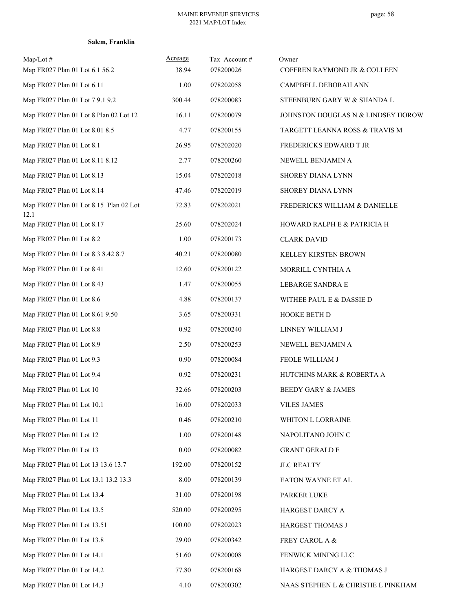| $Map/Lot \#$<br>Map FR027 Plan 01 Lot 6.1 56.2 | Acreage<br>38.94 | Tax Account#<br>078200026 | Owner<br>COFFREN RAYMOND JR & COLLEEN |
|------------------------------------------------|------------------|---------------------------|---------------------------------------|
| Map FR027 Plan 01 Lot 6.11                     | 1.00             | 078202058                 | CAMPBELL DEBORAH ANN                  |
| Map FR027 Plan 01 Lot 7 9.1 9.2                | 300.44           | 078200083                 | STEENBURN GARY W & SHANDA L           |
| Map FR027 Plan 01 Lot 8 Plan 02 Lot 12         | 16.11            | 078200079                 | JOHNSTON DOUGLAS N & LINDSEY HOROW    |
| Map FR027 Plan 01 Lot 8.01 8.5                 | 4.77             | 078200155                 | TARGETT LEANNA ROSS & TRAVIS M        |
| Map FR027 Plan 01 Lot 8.1                      | 26.95            | 078202020                 | FREDERICKS EDWARD T JR                |
| Map FR027 Plan 01 Lot 8.11 8.12                | 2.77             | 078200260                 | NEWELL BENJAMIN A                     |
| Map FR027 Plan 01 Lot 8.13                     | 15.04            | 078202018                 | SHOREY DIANA LYNN                     |
| Map FR027 Plan 01 Lot 8.14                     | 47.46            | 078202019                 | SHOREY DIANA LYNN                     |
| Map FR027 Plan 01 Lot 8.15 Plan 02 Lot<br>12.1 | 72.83            | 078202021                 | FREDERICKS WILLIAM & DANIELLE         |
| Map FR027 Plan 01 Lot 8.17                     | 25.60            | 078202024                 | HOWARD RALPH E & PATRICIA H           |
| Map FR027 Plan 01 Lot 8.2                      | 1.00             | 078200173                 | <b>CLARK DAVID</b>                    |
| Map FR027 Plan 01 Lot 8.3 8.42 8.7             | 40.21            | 078200080                 | KELLEY KIRSTEN BROWN                  |
| Map FR027 Plan 01 Lot 8.41                     | 12.60            | 078200122                 | MORRILL CYNTHIA A                     |
| Map FR027 Plan 01 Lot 8.43                     | 1.47             | 078200055                 | LEBARGE SANDRA E                      |
| Map FR027 Plan 01 Lot 8.6                      | 4.88             | 078200137                 | WITHEE PAUL E & DASSIE D              |
| Map FR027 Plan 01 Lot 8.61 9.50                | 3.65             | 078200331                 | HOOKE BETH D                          |
| Map FR027 Plan 01 Lot 8.8                      | 0.92             | 078200240                 | LINNEY WILLIAM J                      |
| Map FR027 Plan 01 Lot 8.9                      | 2.50             | 078200253                 | NEWELL BENJAMIN A                     |
| Map FR027 Plan 01 Lot 9.3                      | 0.90             | 078200084                 | FEOLE WILLIAM J                       |
| Map FR027 Plan 01 Lot 9.4                      | 0.92             | 078200231                 | HUTCHINS MARK & ROBERTA A             |
| Map FR027 Plan 01 Lot 10                       | 32.66            | 078200203                 | <b>BEEDY GARY &amp; JAMES</b>         |
| Map FR027 Plan 01 Lot 10.1                     | 16.00            | 078202033                 | <b>VILES JAMES</b>                    |
| Map FR027 Plan 01 Lot 11                       | 0.46             | 078200210                 | WHITON L LORRAINE                     |
| Map FR027 Plan 01 Lot 12                       | 1.00             | 078200148                 | NAPOLITANO JOHN C                     |
| Map FR027 Plan 01 Lot 13                       | 0.00             | 078200082                 | <b>GRANT GERALD E</b>                 |
| Map FR027 Plan 01 Lot 13 13.6 13.7             | 192.00           | 078200152                 | <b>JLC REALTY</b>                     |
| Map FR027 Plan 01 Lot 13.1 13.2 13.3           | 8.00             | 078200139                 | EATON WAYNE ET AL                     |
| Map FR027 Plan 01 Lot 13.4                     | 31.00            | 078200198                 | PARKER LUKE                           |
| Map FR027 Plan 01 Lot 13.5                     | 520.00           | 078200295                 | HARGEST DARCY A                       |
| Map FR027 Plan 01 Lot 13.51                    | 100.00           | 078202023                 | HARGEST THOMAS J                      |
| Map FR027 Plan 01 Lot 13.8                     | 29.00            | 078200342                 | FREY CAROL A &                        |
| Map FR027 Plan 01 Lot 14.1                     | 51.60            | 078200008                 | FENWICK MINING LLC                    |
| Map FR027 Plan 01 Lot 14.2                     | 77.80            | 078200168                 | HARGEST DARCY A & THOMAS J            |
| Map FR027 Plan 01 Lot 14.3                     | 4.10             | 078200302                 | NAAS STEPHEN L & CHRISTIE L PINKHAM   |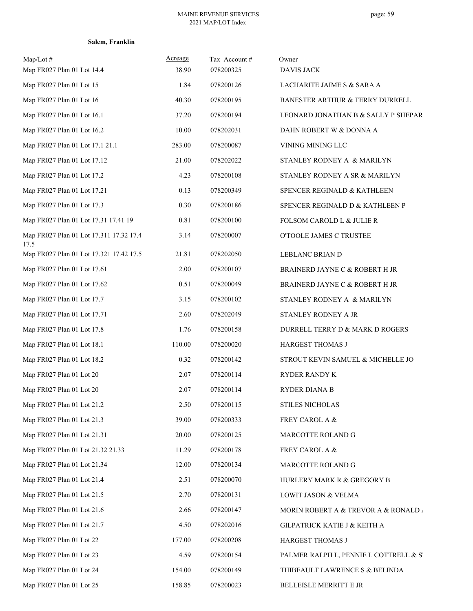#### MAINE REVENUE SERVICES 2021 MAP/LOT Index

| Map/Lot #<br>Map FR027 Plan 01 Lot 14.4         | Acreage<br>38.90 | Tax Account#<br>078200325 | Owner<br><b>DAVIS JACK</b>                        |
|-------------------------------------------------|------------------|---------------------------|---------------------------------------------------|
| Map FR027 Plan 01 Lot 15                        | 1.84             | 078200126                 | LACHARITE JAIME S & SARA A                        |
| Map FR027 Plan 01 Lot 16                        | 40.30            | 078200195                 | BANESTER ARTHUR & TERRY DURRELL                   |
| Map FR027 Plan 01 Lot 16.1                      | 37.20            | 078200194                 | LEONARD JONATHAN B & SALLY P SHEPART              |
| Map FR027 Plan 01 Lot 16.2                      | 10.00            | 078202031                 | DAHN ROBERT W & DONNA A                           |
| Map FR027 Plan 01 Lot 17.1 21.1                 | 283.00           | 078200087                 | VINING MINING LLC                                 |
| Map FR027 Plan 01 Lot 17.12                     | 21.00            | 078202022                 | STANLEY RODNEY A & MARILYN                        |
| Map FR027 Plan 01 Lot 17.2                      | 4.23             | 078200108                 | STANLEY RODNEY A SR & MARILYN                     |
| Map FR027 Plan 01 Lot 17.21                     | 0.13             | 078200349                 | SPENCER REGINALD & KATHLEEN                       |
| Map FR027 Plan 01 Lot 17.3                      | 0.30             | 078200186                 | SPENCER REGINALD D & KATHLEEN P                   |
| Map FR027 Plan 01 Lot 17.31 17.41 19            | 0.81             | 078200100                 | FOLSOM CAROLD L & JULIE R                         |
| Map FR027 Plan 01 Lot 17.311 17.32 17.4<br>17.5 | 3.14             | 078200007                 | O'TOOLE JAMES C TRUSTEE                           |
| Map FR027 Plan 01 Lot 17.321 17.42 17.5         | 21.81            | 078202050                 | LEBLANC BRIAN D                                   |
| Map FR027 Plan 01 Lot 17.61                     | 2.00             | 078200107                 | BRAINERD JAYNE C & ROBERT H JR                    |
| Map FR027 Plan 01 Lot 17.62                     | 0.51             | 078200049                 | BRAINERD JAYNE C & ROBERT H JR                    |
| Map FR027 Plan 01 Lot 17.7                      | 3.15             | 078200102                 | STANLEY RODNEY A & MARILYN                        |
| Map FR027 Plan 01 Lot 17.71                     | 2.60             | 078202049                 | STANLEY RODNEY A JR                               |
| Map FR027 Plan 01 Lot 17.8                      | 1.76             | 078200158                 | DURRELL TERRY D & MARK D ROGERS                   |
| Map FR027 Plan 01 Lot 18.1                      | 110.00           | 078200020                 | HARGEST THOMAS J                                  |
| Map FR027 Plan 01 Lot 18.2                      | 0.32             | 078200142                 | STROUT KEVIN SAMUEL & MICHELLE JO                 |
| Map FR027 Plan 01 Lot 20                        | 2.07             | 078200114                 | RYDER RANDY K                                     |
| Map FR027 Plan 01 Lot 20                        | 2.07             | 078200114                 | <b>RYDER DIANA B</b>                              |
| Map FR027 Plan 01 Lot 21.2                      | 2.50             | 078200115                 | <b>STILES NICHOLAS</b>                            |
| Map FR027 Plan 01 Lot 21.3                      | 39.00            | 078200333                 | FREY CAROL A &                                    |
| Map FR027 Plan 01 Lot 21.31                     | 20.00            | 078200125                 | MARCOTTE ROLAND G                                 |
| Map FR027 Plan 01 Lot 21.32 21.33               | 11.29            | 078200178                 | FREY CAROL A &                                    |
| Map FR027 Plan 01 Lot 21.34                     | 12.00            | 078200134                 | MARCOTTE ROLAND G                                 |
| Map FR027 Plan 01 Lot 21.4                      | 2.51             | 078200070                 | HURLERY MARK R & GREGORY B                        |
| Map FR027 Plan 01 Lot 21.5                      | 2.70             | 078200131                 | LOWIT JASON & VELMA                               |
| Map FR027 Plan 01 Lot 21.6                      | 2.66             | 078200147                 | MORIN ROBERT A & TREVOR A & RONALD $\overline{I}$ |
| Map FR027 Plan 01 Lot 21.7                      | 4.50             | 078202016                 | GILPATRICK KATIE J & KEITH A                      |
| Map FR027 Plan 01 Lot 22                        | 177.00           | 078200208                 | HARGEST THOMAS J                                  |
| Map FR027 Plan 01 Lot 23                        | 4.59             | 078200154                 | PALMER RALPH L, PENNIE L COTTRELL & S'            |
| Map FR027 Plan 01 Lot 24                        | 154.00           | 078200149                 | THIBEAULT LAWRENCE S & BELINDA                    |
| Map FR027 Plan 01 Lot 25                        | 158.85           | 078200023                 | BELLEISLE MERRITT E JR                            |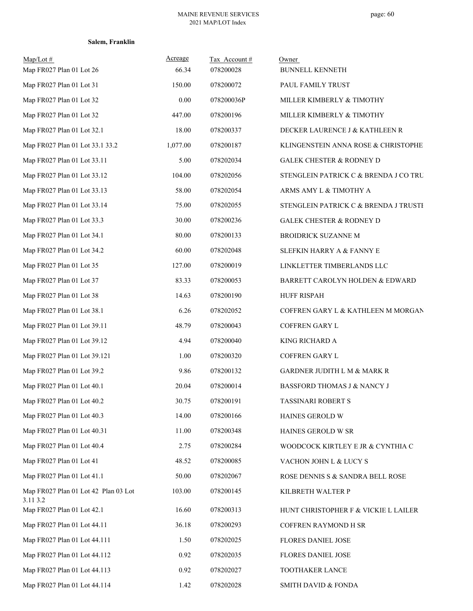|  | Salem, Franklin |
|--|-----------------|
|--|-----------------|

| $Map/Lot \#$<br>Map FR027 Plan 01 Lot 26         | Acreage<br>66.34 | Tax Account#<br>078200028 | Owner<br><b>BUNNELL KENNETH</b>       |
|--------------------------------------------------|------------------|---------------------------|---------------------------------------|
| Map FR027 Plan 01 Lot 31                         | 150.00           | 078200072                 | PAUL FAMILY TRUST                     |
| Map FR027 Plan 01 Lot 32                         | 0.00             | 078200036P                | MILLER KIMBERLY & TIMOTHY             |
| Map FR027 Plan 01 Lot 32                         | 447.00           | 078200196                 | MILLER KIMBERLY & TIMOTHY             |
| Map FR027 Plan 01 Lot 32.1                       | 18.00            | 078200337                 | DECKER LAURENCE J & KATHLEEN R        |
| Map FR027 Plan 01 Lot 33.1 33.2                  | 1,077.00         | 078200187                 | KLINGENSTEIN ANNA ROSE & CHRISTOPHE   |
| Map FR027 Plan 01 Lot 33.11                      | 5.00             | 078202034                 | <b>GALEK CHESTER &amp; RODNEY D</b>   |
| Map FR027 Plan 01 Lot 33.12                      | 104.00           | 078202056                 | STENGLEIN PATRICK C & BRENDA J CO TRU |
| Map FR027 Plan 01 Lot 33.13                      | 58.00            | 078202054                 | ARMS AMY L & TIMOTHY A                |
| Map FR027 Plan 01 Lot 33.14                      | 75.00            | 078202055                 | STENGLEIN PATRICK C & BRENDA J TRUSTE |
| Map FR027 Plan 01 Lot 33.3                       | 30.00            | 078200236                 | <b>GALEK CHESTER &amp; RODNEY D</b>   |
| Map FR027 Plan 01 Lot 34.1                       | 80.00            | 078200133                 | <b>BROIDRICK SUZANNE M</b>            |
| Map FR027 Plan 01 Lot 34.2                       | 60.00            | 078202048                 | SLEFKIN HARRY A & FANNY E             |
| Map FR027 Plan 01 Lot 35                         | 127.00           | 078200019                 | LINKLETTER TIMBERLANDS LLC            |
| Map FR027 Plan 01 Lot 37                         | 83.33            | 078200053                 | BARRETT CAROLYN HOLDEN & EDWARD       |
| Map FR027 Plan 01 Lot 38                         | 14.63            | 078200190                 | <b>HUFF RISPAH</b>                    |
| Map FR027 Plan 01 Lot 38.1                       | 6.26             | 078202052                 | COFFREN GARY L & KATHLEEN M MORGAN    |
| Map FR027 Plan 01 Lot 39.11                      | 48.79            | 078200043                 | COFFREN GARY L                        |
| Map FR027 Plan 01 Lot 39.12                      | 4.94             | 078200040                 | KING RICHARD A                        |
| Map FR027 Plan 01 Lot 39.121                     | 1.00             | 078200320                 | COFFREN GARY L                        |
| Map FR027 Plan 01 Lot 39.2                       | 9.86             | 078200132                 | GARDNER JUDITH L M & MARK R           |
| Map FR027 Plan 01 Lot 40.1                       | 20.04            | 078200014                 | BASSFORD THOMAS J & NANCY J           |
| Map FR027 Plan 01 Lot 40.2                       | 30.75            | 078200191                 | TASSINARI ROBERT S                    |
| Map FR027 Plan 01 Lot 40.3                       | 14.00            | 078200166                 | HAINES GEROLD W                       |
| Map FR027 Plan 01 Lot 40.31                      | 11.00            | 078200348                 | HAINES GEROLD W SR                    |
| Map FR027 Plan 01 Lot 40.4                       | 2.75             | 078200284                 | WOODCOCK KIRTLEY E JR & CYNTHIA C     |
| Map FR027 Plan 01 Lot 41                         | 48.52            | 078200085                 | VACHON JOHN L & LUCY S                |
| Map FR027 Plan 01 Lot 41.1                       | 50.00            | 078202067                 | ROSE DENNIS S & SANDRA BELL ROSE      |
| Map FR027 Plan 01 Lot 42 Plan 03 Lot<br>3.11 3.2 | 103.00           | 078200145                 | KILBRETH WALTER P                     |
| Map FR027 Plan 01 Lot 42.1                       | 16.60            | 078200313                 | HUNT CHRISTOPHER F & VICKIE L LAILER  |
| Map FR027 Plan 01 Lot 44.11                      | 36.18            | 078200293                 | COFFREN RAYMOND H SR                  |
| Map FR027 Plan 01 Lot 44.111                     | 1.50             | 078202025                 | FLORES DANIEL JOSE                    |
| Map FR027 Plan 01 Lot 44.112                     | 0.92             | 078202035                 | FLORES DANIEL JOSE                    |
| Map FR027 Plan 01 Lot 44.113                     | 0.92             | 078202027                 | TOOTHAKER LANCE                       |
| Map FR027 Plan 01 Lot 44.114                     | 1.42             | 078202028                 | SMITH DAVID & FONDA                   |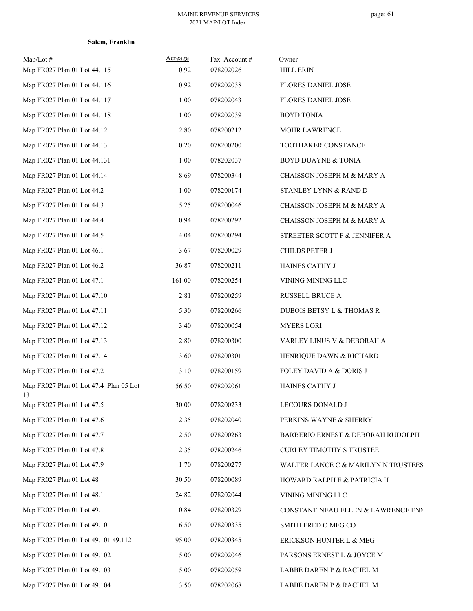| $Map/Lot \#$<br>Map FR027 Plan 01 Lot 44.115 | Acreage<br>0.92 | Tax Account#<br>078202026 | Owner<br>HILL ERIN                  |
|----------------------------------------------|-----------------|---------------------------|-------------------------------------|
| Map FR027 Plan 01 Lot 44.116                 | 0.92            | 078202038                 | FLORES DANIEL JOSE                  |
| Map FR027 Plan 01 Lot 44.117                 | 1.00            | 078202043                 | FLORES DANIEL JOSE                  |
| Map FR027 Plan 01 Lot 44.118                 | 1.00            | 078202039                 | <b>BOYD TONIA</b>                   |
| Map FR027 Plan 01 Lot 44.12                  | 2.80            | 078200212                 | MOHR LAWRENCE                       |
| Map FR027 Plan 01 Lot 44.13                  | 10.20           | 078200200                 | TOOTHAKER CONSTANCE                 |
| Map FR027 Plan 01 Lot 44.131                 | 1.00            | 078202037                 | <b>BOYD DUAYNE &amp; TONIA</b>      |
| Map FR027 Plan 01 Lot 44.14                  | 8.69            | 078200344                 | CHAISSON JOSEPH M & MARY A          |
| Map FR027 Plan 01 Lot 44.2                   | 1.00            | 078200174                 | STANLEY LYNN & RAND D               |
| Map FR027 Plan 01 Lot 44.3                   | 5.25            | 078200046                 | CHAISSON JOSEPH M & MARY A          |
| Map FR027 Plan 01 Lot 44.4                   | 0.94            | 078200292                 | CHAISSON JOSEPH M & MARY A          |
| Map FR027 Plan 01 Lot 44.5                   | 4.04            | 078200294                 | STREETER SCOTT F & JENNIFER A       |
| Map FR027 Plan 01 Lot 46.1                   | 3.67            | 078200029                 | CHILDS PETER J                      |
| Map FR027 Plan 01 Lot 46.2                   | 36.87           | 078200211                 | HAINES CATHY J                      |
| Map FR027 Plan 01 Lot 47.1                   | 161.00          | 078200254                 | VINING MINING LLC                   |
| Map FR027 Plan 01 Lot 47.10                  | 2.81            | 078200259                 | RUSSELL BRUCE A                     |
| Map FR027 Plan 01 Lot 47.11                  | 5.30            | 078200266                 | DUBOIS BETSY L & THOMAS R           |
| Map FR027 Plan 01 Lot 47.12                  | 3.40            | 078200054                 | <b>MYERS LORI</b>                   |
| Map FR027 Plan 01 Lot 47.13                  | 2.80            | 078200300                 | VARLEY LINUS V & DEBORAH A          |
| Map FR027 Plan 01 Lot 47.14                  | 3.60            | 078200301                 | HENRIQUE DAWN & RICHARD             |
| Map FR027 Plan 01 Lot 47.2                   | 13.10           | 078200159                 | FOLEY DAVID A & DORIS J             |
| Map FR027 Plan 01 Lot 47.4 Plan 05 Lot<br>13 | 56.50           | 078202061                 | HAINES CATHY J                      |
| Map FR027 Plan 01 Lot 47.5                   | 30.00           | 078200233                 | LECOURS DONALD J                    |
| Map FR027 Plan 01 Lot 47.6                   | 2.35            | 078202040                 | PERKINS WAYNE & SHERRY              |
| Map FR027 Plan 01 Lot 47.7                   | 2.50            | 078200263                 | BARBERIO ERNEST & DEBORAH RUDOLPH   |
| Map FR027 Plan 01 Lot 47.8                   | 2.35            | 078200246                 | <b>CURLEY TIMOTHY S TRUSTEE</b>     |
| Map FR027 Plan 01 Lot 47.9                   | 1.70            | 078200277                 | WALTER LANCE C & MARILYN N TRUSTEES |
| Map FR027 Plan 01 Lot 48                     | 30.50           | 078200089                 | HOWARD RALPH E & PATRICIA H         |
| Map FR027 Plan 01 Lot 48.1                   | 24.82           | 078202044                 | VINING MINING LLC                   |
| Map FR027 Plan 01 Lot 49.1                   | 0.84            | 078200329                 | CONSTANTINEAU ELLEN & LAWRENCE ENN  |
| Map FR027 Plan 01 Lot 49.10                  | 16.50           | 078200335                 | SMITH FRED O MFG CO                 |
| Map FR027 Plan 01 Lot 49.101 49.112          | 95.00           | 078200345                 | ERICKSON HUNTER L & MEG             |
| Map FR027 Plan 01 Lot 49.102                 | 5.00            | 078202046                 | PARSONS ERNEST L & JOYCE M          |
| Map FR027 Plan 01 Lot 49.103                 | 5.00            | 078202059                 | LABBE DAREN P & RACHEL M            |
| Map FR027 Plan 01 Lot 49.104                 | 3.50            | 078202068                 | LABBE DAREN P & RACHEL M            |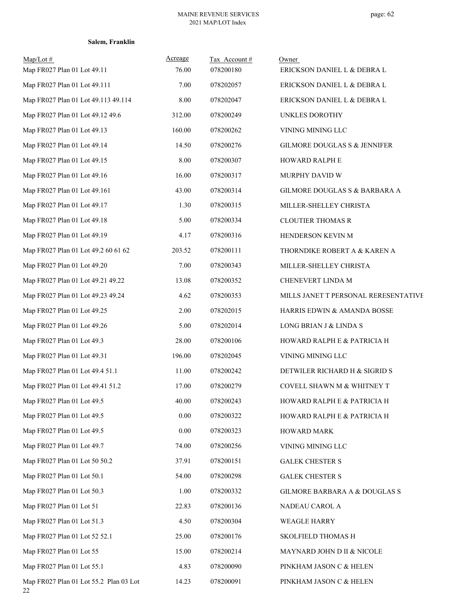| $Map/Lot \#$<br>Map FR027 Plan 01 Lot 49.11  | Acreage<br>76.00 | Tax Account#<br>078200180 | Owner<br>ERICKSON DANIEL L & DEBRA L    |
|----------------------------------------------|------------------|---------------------------|-----------------------------------------|
| Map FR027 Plan 01 Lot 49.111                 | 7.00             | 078202057                 | ERICKSON DANIEL L & DEBRA L             |
| Map FR027 Plan 01 Lot 49.113 49.114          | 8.00             | 078202047                 | ERICKSON DANIEL L & DEBRA L             |
| Map FR027 Plan 01 Lot 49.12 49.6             | 312.00           | 078200249                 | UNKLES DOROTHY                          |
| Map FR027 Plan 01 Lot 49.13                  | 160.00           | 078200262                 | VINING MINING LLC                       |
| Map FR027 Plan 01 Lot 49.14                  | 14.50            | 078200276                 | <b>GILMORE DOUGLAS S &amp; JENNIFER</b> |
| Map FR027 Plan 01 Lot 49.15                  | 8.00             | 078200307                 | HOWARD RALPH E                          |
| Map FR027 Plan 01 Lot 49.16                  | 16.00            | 078200317                 | MURPHY DAVID W                          |
| Map FR027 Plan 01 Lot 49.161                 | 43.00            | 078200314                 | GILMORE DOUGLAS S & BARBARA A           |
| Map FR027 Plan 01 Lot 49.17                  | 1.30             | 078200315                 | MILLER-SHELLEY CHRISTA                  |
| Map FR027 Plan 01 Lot 49.18                  | 5.00             | 078200334                 | <b>CLOUTIER THOMAS R</b>                |
| Map FR027 Plan 01 Lot 49.19                  | 4.17             | 078200316                 | HENDERSON KEVIN M                       |
| Map FR027 Plan 01 Lot 49.2 60 61 62          | 203.52           | 078200111                 | THORNDIKE ROBERT A & KAREN A            |
| Map FR027 Plan 01 Lot 49.20                  | 7.00             | 078200343                 | MILLER-SHELLEY CHRISTA                  |
| Map FR027 Plan 01 Lot 49.21 49.22            | 13.08            | 078200352                 | CHENEVERT LINDA M                       |
| Map FR027 Plan 01 Lot 49.23 49.24            | 4.62             | 078200353                 | MILLS JANET T PERSONAL RERESENTATIVE    |
| Map FR027 Plan 01 Lot 49.25                  | 2.00             | 078202015                 | HARRIS EDWIN & AMANDA BOSSE             |
| Map FR027 Plan 01 Lot 49.26                  | 5.00             | 078202014                 | LONG BRIAN J & LINDA S                  |
| Map FR027 Plan 01 Lot 49.3                   | 28.00            | 078200106                 | HOWARD RALPH E & PATRICIA H             |
| Map FR027 Plan 01 Lot 49.31                  | 196.00           | 078202045                 | VINING MINING LLC                       |
| Map FR027 Plan 01 Lot 49.4 51.1              | 11.00            | 078200242                 | DETWILER RICHARD H & SIGRID S           |
| Map FR027 Plan 01 Lot 49.41 51.2             | 17.00            | 078200279                 | COVELL SHAWN M & WHITNEY T              |
| Map FR027 Plan 01 Lot 49.5                   | 40.00            | 078200243                 | HOWARD RALPH E & PATRICIA H             |
| Map FR027 Plan 01 Lot 49.5                   | $0.00\,$         | 078200322                 | HOWARD RALPH E & PATRICIA H             |
| Map FR027 Plan 01 Lot 49.5                   | $0.00\,$         | 078200323                 | <b>HOWARD MARK</b>                      |
| Map FR027 Plan 01 Lot 49.7                   | 74.00            | 078200256                 | VINING MINING LLC                       |
| Map FR027 Plan 01 Lot 50 50.2                | 37.91            | 078200151                 | <b>GALEK CHESTER S</b>                  |
| Map FR027 Plan 01 Lot 50.1                   | 54.00            | 078200298                 | <b>GALEK CHESTER S</b>                  |
| Map FR027 Plan 01 Lot 50.3                   | 1.00             | 078200332                 | GILMORE BARBARA A & DOUGLAS S           |
| Map FR027 Plan 01 Lot 51                     | 22.83            | 078200136                 | NADEAU CAROL A                          |
| Map FR027 Plan 01 Lot 51.3                   | 4.50             | 078200304                 | WEAGLE HARRY                            |
| Map FR027 Plan 01 Lot 52 52.1                | 25.00            | 078200176                 | SKOLFIELD THOMAS H                      |
| Map FR027 Plan 01 Lot 55                     | 15.00            | 078200214                 | MAYNARD JOHN D II & NICOLE              |
| Map FR027 Plan 01 Lot 55.1                   | 4.83             | 078200090                 | PINKHAM JASON C & HELEN                 |
| Map FR027 Plan 01 Lot 55.2 Plan 03 Lot<br>22 | 14.23            | 078200091                 | PINKHAM JASON C & HELEN                 |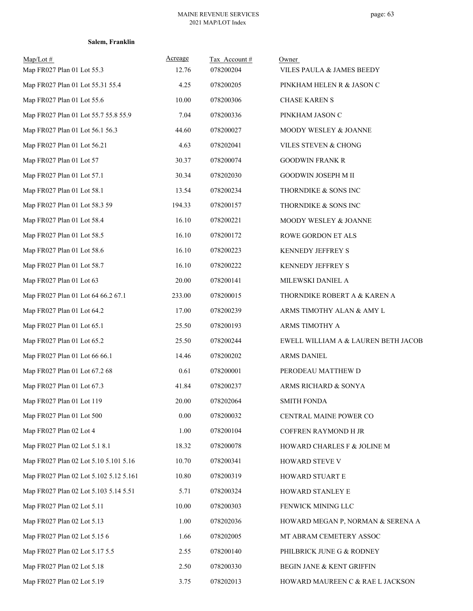|  | Salem, Franklin |
|--|-----------------|
|--|-----------------|

| $Map/Lot \#$                           | Acreage  | Tax Account# | Owner                               |
|----------------------------------------|----------|--------------|-------------------------------------|
| Map FR027 Plan 01 Lot 55.3             | 12.76    | 078200204    | VILES PAULA & JAMES BEEDY           |
| Map FR027 Plan 01 Lot 55.31 55.4       | 4.25     | 078200205    | PINKHAM HELEN R & JASON C           |
| Map FR027 Plan 01 Lot 55.6             | 10.00    | 078200306    | <b>CHASE KAREN S</b>                |
| Map FR027 Plan 01 Lot 55.7 55.8 55.9   | 7.04     | 078200336    | PINKHAM JASON C                     |
| Map FR027 Plan 01 Lot 56.1 56.3        | 44.60    | 078200027    | MOODY WESLEY & JOANNE               |
| Map FR027 Plan 01 Lot 56.21            | 4.63     | 078202041    | VILES STEVEN & CHONG                |
| Map FR027 Plan 01 Lot 57               | 30.37    | 078200074    | <b>GOODWIN FRANK R</b>              |
| Map FR027 Plan 01 Lot 57.1             | 30.34    | 078202030    | GOODWIN JOSEPH M II                 |
| Map FR027 Plan 01 Lot 58.1             | 13.54    | 078200234    | THORNDIKE & SONS INC                |
| Map FR027 Plan 01 Lot 58.3 59          | 194.33   | 078200157    | THORNDIKE & SONS INC                |
| Map FR027 Plan 01 Lot 58.4             | 16.10    | 078200221    | MOODY WESLEY & JOANNE               |
| Map FR027 Plan 01 Lot 58.5             | 16.10    | 078200172    | ROWE GORDON ET ALS                  |
| Map FR027 Plan 01 Lot 58.6             | 16.10    | 078200223    | KENNEDY JEFFREY S                   |
| Map FR027 Plan 01 Lot 58.7             | 16.10    | 078200222    | KENNEDY JEFFREY S                   |
| Map FR027 Plan 01 Lot 63               | 20.00    | 078200141    | MILEWSKI DANIEL A                   |
| Map FR027 Plan 01 Lot 64 66.2 67.1     | 233.00   | 078200015    | THORNDIKE ROBERT A & KAREN A        |
| Map FR027 Plan 01 Lot 64.2             | 17.00    | 078200239    | ARMS TIMOTHY ALAN & AMY L           |
| Map FR027 Plan 01 Lot 65.1             | 25.50    | 078200193    | ARMS TIMOTHY A                      |
| Map FR027 Plan 01 Lot 65.2             | 25.50    | 078200244    | EWELL WILLIAM A & LAUREN BETH JACOB |
| Map FR027 Plan 01 Lot 66 66.1          | 14.46    | 078200202    | ARMS DANIEL                         |
| Map FR027 Plan 01 Lot 67.2 68          | 0.61     | 078200001    | PERODEAU MATTHEW D                  |
| Map FR027 Plan 01 Lot 67.3             | 41.84    | 078200237    | ARMS RICHARD & SONYA                |
| Map FR027 Plan 01 Lot 119              | 20.00    | 078202064    | <b>SMITH FONDA</b>                  |
| Map FR027 Plan 01 Lot 500              | $0.00\,$ | 078200032    | CENTRAL MAINE POWER CO              |
| Map FR027 Plan 02 Lot 4                | 1.00     | 078200104    | COFFREN RAYMOND H JR                |
| Map FR027 Plan 02 Lot 5.1 8.1          | 18.32    | 078200078    | HOWARD CHARLES F & JOLINE M         |
| Map FR027 Plan 02 Lot 5.10 5.101 5.16  | 10.70    | 078200341    | HOWARD STEVE V                      |
| Map FR027 Plan 02 Lot 5.102 5.12 5.161 | 10.80    | 078200319    | HOWARD STUART E                     |
| Map FR027 Plan 02 Lot 5.103 5.14 5.51  | 5.71     | 078200324    | HOWARD STANLEY E                    |
| Map FR027 Plan 02 Lot 5.11             | 10.00    | 078200303    | FENWICK MINING LLC                  |
| Map FR027 Plan 02 Lot 5.13             | 1.00     | 078202036    | HOWARD MEGAN P, NORMAN & SERENA A   |
| Map FR027 Plan 02 Lot 5.15 6           | 1.66     | 078202005    | MT ABRAM CEMETERY ASSOC             |
| Map FR027 Plan 02 Lot 5.17 5.5         | 2.55     | 078200140    | PHILBRICK JUNE G & RODNEY           |
| Map FR027 Plan 02 Lot 5.18             | 2.50     | 078200330    | BEGIN JANE & KENT GRIFFIN           |
| Map FR027 Plan 02 Lot 5.19             | 3.75     | 078202013    | HOWARD MAUREEN C & RAE L JACKSON    |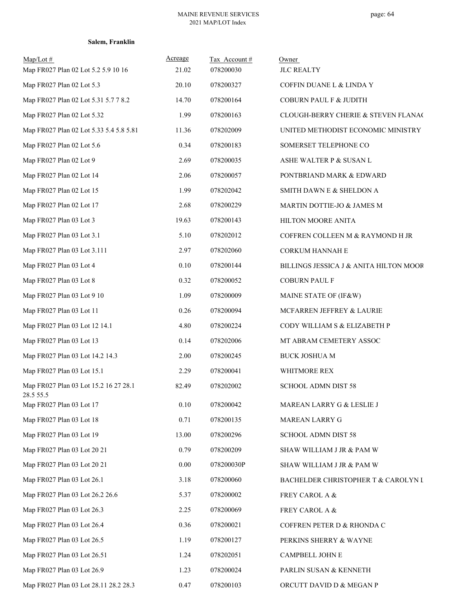| $Map/Lot \#$<br>Map FR027 Plan 02 Lot 5.2 5.9 10 16 | Acreage<br>21.02 | Tax Account#<br>078200030 | Owner<br><b>JLC REALTY</b>             |
|-----------------------------------------------------|------------------|---------------------------|----------------------------------------|
| Map FR027 Plan 02 Lot 5.3                           | 20.10            | 078200327                 | COFFIN DUANE L & LINDA Y               |
| Map FR027 Plan 02 Lot 5.31 5.7 7 8.2                | 14.70            | 078200164                 | COBURN PAUL F & JUDITH                 |
| Map FR027 Plan 02 Lot 5.32                          | 1.99             | 078200163                 | CLOUGH-BERRY CHERIE & STEVEN FLANAC    |
| Map FR027 Plan 02 Lot 5.33 5.4 5.8 5.81             | 11.36            | 078202009                 | UNITED METHODIST ECONOMIC MINISTRY     |
| Map FR027 Plan 02 Lot 5.6                           | 0.34             | 078200183                 | SOMERSET TELEPHONE CO                  |
| Map FR027 Plan 02 Lot 9                             | 2.69             | 078200035                 | ASHE WALTER P & SUSAN L                |
| Map FR027 Plan 02 Lot 14                            | 2.06             | 078200057                 | PONTBRIAND MARK & EDWARD               |
| Map FR027 Plan 02 Lot 15                            | 1.99             | 078202042                 | SMITH DAWN E & SHELDON A               |
| Map FR027 Plan 02 Lot 17                            | 2.68             | 078200229                 | MARTIN DOTTIE-JO & JAMES M             |
| Map FR027 Plan 03 Lot 3                             | 19.63            | 078200143                 | HILTON MOORE ANITA                     |
| Map FR027 Plan 03 Lot 3.1                           | 5.10             | 078202012                 | COFFREN COLLEEN M & RAYMOND H JR       |
| Map FR027 Plan 03 Lot 3.111                         | 2.97             | 078202060                 | CORKUM HANNAH E                        |
| Map FR027 Plan 03 Lot 4                             | 0.10             | 078200144                 | BILLINGS JESSICA J & ANITA HILTON MOOR |
| Map FR027 Plan 03 Lot 8                             | 0.32             | 078200052                 | <b>COBURN PAUL F</b>                   |
| Map FR027 Plan 03 Lot 9 10                          | 1.09             | 078200009                 | MAINE STATE OF (IF&W)                  |
| Map FR027 Plan 03 Lot 11                            | 0.26             | 078200094                 | MCFARREN JEFFREY & LAURIE              |
| Map FR027 Plan 03 Lot 12 14.1                       | 4.80             | 078200224                 | CODY WILLIAM S & ELIZABETH P           |
| Map FR027 Plan 03 Lot 13                            | 0.14             | 078202006                 | MT ABRAM CEMETERY ASSOC                |
| Map FR027 Plan 03 Lot 14.2 14.3                     | 2.00             | 078200245                 | <b>BUCK JOSHUA M</b>                   |
| Map FR027 Plan 03 Lot 15.1                          | 2.29             | 078200041                 | WHITMORE REX                           |
| Map FR027 Plan 03 Lot 15.2 16 27 28.1<br>28.5 55.5  | 82.49            | 078202002                 | <b>SCHOOL ADMN DIST 58</b>             |
| Map FR027 Plan 03 Lot 17                            | 0.10             | 078200042                 | MAREAN LARRY G & LESLIE J              |
| Map FR027 Plan 03 Lot 18                            | 0.71             | 078200135                 | MAREAN LARRY G                         |
| Map FR027 Plan 03 Lot 19                            | 13.00            | 078200296                 | SCHOOL ADMN DIST 58                    |
| Map FR027 Plan 03 Lot 20 21                         | 0.79             | 078200209                 | SHAW WILLIAM J JR & PAM W              |
| Map FR027 Plan 03 Lot 20 21                         | 0.00             | 078200030P                | SHAW WILLIAM J JR & PAM W              |
| Map FR027 Plan 03 Lot 26.1                          | 3.18             | 078200060                 | BACHELDER CHRISTOPHER T & CAROLYN I    |
| Map FR027 Plan 03 Lot 26.2 26.6                     | 5.37             | 078200002                 | FREY CAROL A &                         |
| Map FR027 Plan 03 Lot 26.3                          | 2.25             | 078200069                 | FREY CAROL A &                         |
| Map FR027 Plan 03 Lot 26.4                          | 0.36             | 078200021                 | COFFREN PETER D & RHONDA C             |
| Map FR027 Plan 03 Lot 26.5                          | 1.19             | 078200127                 | PERKINS SHERRY & WAYNE                 |
| Map FR027 Plan 03 Lot 26.51                         | 1.24             | 078202051                 | CAMPBELL JOHN E                        |
| Map FR027 Plan 03 Lot 26.9                          | 1.23             | 078200024                 | PARLIN SUSAN & KENNETH                 |
| Map FR027 Plan 03 Lot 28.11 28.2 28.3               | 0.47             | 078200103                 | ORCUTT DAVID D & MEGAN P               |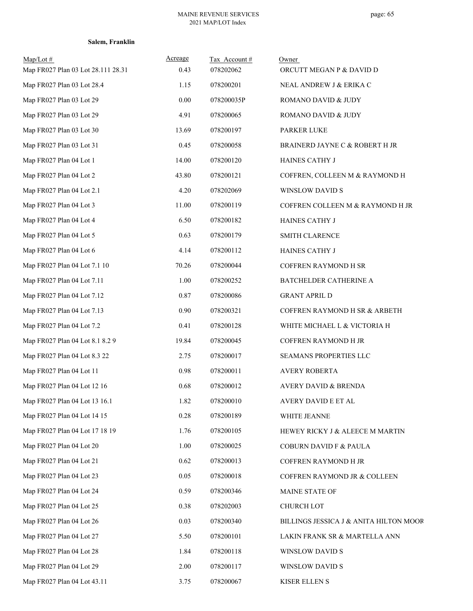|  | Salem, Franklin |
|--|-----------------|
|--|-----------------|

| $Map/Lot \#$<br>Map FR027 Plan 03 Lot 28.111 28.31 | Acreage<br>0.43 | Tax Account#<br>078202062 | Owner<br>ORCUTT MEGAN P & DAVID D      |
|----------------------------------------------------|-----------------|---------------------------|----------------------------------------|
| Map FR027 Plan 03 Lot 28.4                         | 1.15            | 078200201                 | NEAL ANDREW J & ERIKA C                |
| Map FR027 Plan 03 Lot 29                           | 0.00            | 078200035P                | ROMANO DAVID & JUDY                    |
| Map FR027 Plan 03 Lot 29                           | 4.91            | 078200065                 | ROMANO DAVID & JUDY                    |
| Map FR027 Plan 03 Lot 30                           | 13.69           | 078200197                 | <b>PARKER LUKE</b>                     |
| Map FR027 Plan 03 Lot 31                           | 0.45            | 078200058                 | BRAINERD JAYNE C & ROBERT H JR         |
| Map FR027 Plan 04 Lot 1                            | 14.00           | 078200120                 | HAINES CATHY J                         |
| Map FR027 Plan 04 Lot 2                            | 43.80           | 078200121                 | COFFREN, COLLEEN M & RAYMOND H         |
| Map FR027 Plan 04 Lot 2.1                          | 4.20            | 078202069                 | WINSLOW DAVID S                        |
| Map FR027 Plan 04 Lot 3                            | 11.00           | 078200119                 | COFFREN COLLEEN M & RAYMOND H JR       |
| Map FR027 Plan 04 Lot 4                            | 6.50            | 078200182                 | HAINES CATHY J                         |
| Map FR027 Plan 04 Lot 5                            | 0.63            | 078200179                 | <b>SMITH CLARENCE</b>                  |
| Map FR027 Plan 04 Lot 6                            | 4.14            | 078200112                 | HAINES CATHY J                         |
| Map FR027 Plan 04 Lot 7.1 10                       | 70.26           | 078200044                 | COFFREN RAYMOND H SR                   |
| Map FR027 Plan 04 Lot 7.11                         | 1.00            | 078200252                 | BATCHELDER CATHERINE A                 |
| Map FR027 Plan 04 Lot 7.12                         | 0.87            | 078200086                 | <b>GRANT APRIL D</b>                   |
| Map FR027 Plan 04 Lot 7.13                         | 0.90            | 078200321                 | COFFREN RAYMOND H SR & ARBETH          |
| Map FR027 Plan 04 Lot 7.2                          | 0.41            | 078200128                 | WHITE MICHAEL L & VICTORIA H           |
| Map FR027 Plan 04 Lot 8.1 8.2 9                    | 19.84           | 078200045                 | COFFREN RAYMOND H JR                   |
| Map FR027 Plan 04 Lot 8.3 22                       | 2.75            | 078200017                 | SEAMANS PROPERTIES LLC                 |
| Map FR027 Plan 04 Lot 11                           | 0.98            | 078200011                 | AVERY ROBERTA                          |
| Map FR027 Plan 04 Lot 12 16                        | 0.68            | 078200012                 | AVERY DAVID & BRENDA                   |
| Map FR027 Plan 04 Lot 13 16.1                      | 1.82            | 078200010                 | AVERY DAVID E ET AL                    |
| Map FR027 Plan 04 Lot 14 15                        | 0.28            | 078200189                 | WHITE JEANNE                           |
| Map FR027 Plan 04 Lot 17 18 19                     | 1.76            | 078200105                 | HEWEY RICKY J & ALEECE M MARTIN        |
| Map FR027 Plan 04 Lot 20                           | 1.00            | 078200025                 | COBURN DAVID F & PAULA                 |
| Map FR027 Plan 04 Lot 21                           | 0.62            | 078200013                 | COFFREN RAYMOND H JR                   |
| Map FR027 Plan 04 Lot 23                           | 0.05            | 078200018                 | COFFREN RAYMOND JR & COLLEEN           |
| Map FR027 Plan 04 Lot 24                           | 0.59            | 078200346                 | MAINE STATE OF                         |
| Map FR027 Plan 04 Lot 25                           | 0.38            | 078202003                 | <b>CHURCH LOT</b>                      |
| Map FR027 Plan 04 Lot 26                           | 0.03            | 078200340                 | BILLINGS JESSICA J & ANITA HILTON MOOR |
| Map FR027 Plan 04 Lot 27                           | 5.50            | 078200101                 | LAKIN FRANK SR & MARTELLA ANN          |
| Map FR027 Plan 04 Lot 28                           | 1.84            | 078200118                 | WINSLOW DAVID S                        |
| Map FR027 Plan 04 Lot 29                           | 2.00            | 078200117                 | WINSLOW DAVID S                        |
| Map FR027 Plan 04 Lot 43.11                        | 3.75            | 078200067                 | KISER ELLEN S                          |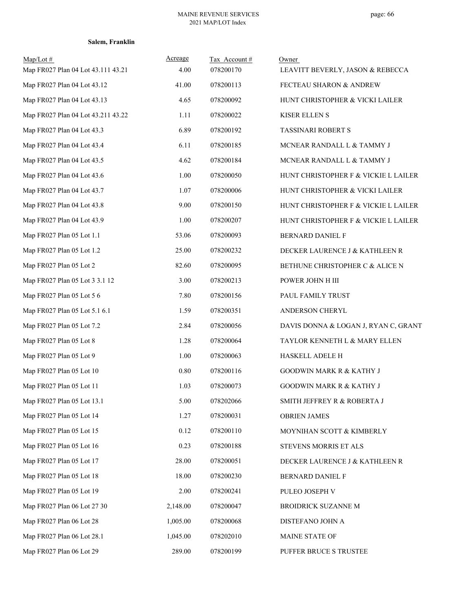| $Map/Lot \#$<br>Map FR027 Plan 04 Lot 43.111 43.21 | Acreage<br>4.00 | Tax Account#<br>078200170 | Owner<br>LEAVITT BEVERLY, JASON & REBECCA |
|----------------------------------------------------|-----------------|---------------------------|-------------------------------------------|
| Map FR027 Plan 04 Lot 43.12                        | 41.00           | 078200113                 | FECTEAU SHARON & ANDREW                   |
| Map FR027 Plan 04 Lot 43.13                        | 4.65            | 078200092                 | HUNT CHRISTOPHER & VICKI LAILER           |
| Map FR027 Plan 04 Lot 43.211 43.22                 | 1.11            | 078200022                 | KISER ELLEN S                             |
| Map FR027 Plan 04 Lot 43.3                         | 6.89            | 078200192                 | <b>TASSINARI ROBERT S</b>                 |
| Map FR027 Plan 04 Lot 43.4                         | 6.11            | 078200185                 | MCNEAR RANDALL L & TAMMY J                |
| Map FR027 Plan 04 Lot 43.5                         | 4.62            | 078200184                 | MCNEAR RANDALL L & TAMMY J                |
| Map FR027 Plan 04 Lot 43.6                         | 1.00            | 078200050                 | HUNT CHRISTOPHER F & VICKIE L LAILER      |
| Map FR027 Plan 04 Lot 43.7                         | 1.07            | 078200006                 | HUNT CHRISTOPHER & VICKI LAILER           |
| Map FR027 Plan 04 Lot 43.8                         | 9.00            | 078200150                 | HUNT CHRISTOPHER F & VICKIE L LAILER      |
| Map FR027 Plan 04 Lot 43.9                         | 1.00            | 078200207                 | HUNT CHRISTOPHER F & VICKIE L LAILER      |
| Map FR027 Plan 05 Lot 1.1                          | 53.06           | 078200093                 | BERNARD DANIEL F                          |
| Map FR027 Plan 05 Lot 1.2                          | 25.00           | 078200232                 | DECKER LAURENCE J & KATHLEEN R            |
| Map FR027 Plan 05 Lot 2                            | 82.60           | 078200095                 | BETHUNE CHRISTOPHER C & ALICE N           |
| Map FR027 Plan 05 Lot 3 3.1 12                     | 3.00            | 078200213                 | POWER JOHN H III                          |
| Map FR027 Plan 05 Lot 5 6                          | 7.80            | 078200156                 | PAUL FAMILY TRUST                         |
| Map FR027 Plan 05 Lot 5.1 6.1                      | 1.59            | 078200351                 | ANDERSON CHERYL                           |
| Map FR027 Plan 05 Lot 7.2                          | 2.84            | 078200056                 | DAVIS DONNA & LOGAN J, RYAN C, GRANT      |
| Map FR027 Plan 05 Lot 8                            | 1.28            | 078200064                 | TAYLOR KENNETH L & MARY ELLEN             |
| Map FR027 Plan 05 Lot 9                            | 1.00            | 078200063                 | HASKELL ADELE H                           |
| Map FR027 Plan 05 Lot 10                           | 0.80            | 078200116                 | <b>GOODWIN MARK R &amp; KATHY J</b>       |
| Map FR027 Plan 05 Lot 11                           | 1.03            | 078200073                 | <b>GOODWIN MARK R &amp; KATHY J</b>       |
| Map FR027 Plan 05 Lot 13.1                         | 5.00            | 078202066                 | SMITH JEFFREY R & ROBERTA J               |
| Map FR027 Plan 05 Lot 14                           | 1.27            | 078200031                 | <b>OBRIEN JAMES</b>                       |
| Map FR027 Plan 05 Lot 15                           | 0.12            | 078200110                 | MOYNIHAN SCOTT & KIMBERLY                 |
| Map FR027 Plan 05 Lot 16                           | 0.23            | 078200188                 | STEVENS MORRIS ET ALS                     |
| Map FR027 Plan 05 Lot 17                           | 28.00           | 078200051                 | DECKER LAURENCE J & KATHLEEN R            |
| Map FR027 Plan 05 Lot 18                           | 18.00           | 078200230                 | BERNARD DANIEL F                          |
| Map FR027 Plan 05 Lot 19                           | 2.00            | 078200241                 | PULEO JOSEPH V                            |
| Map FR027 Plan 06 Lot 27 30                        | 2,148.00        | 078200047                 | <b>BROIDRICK SUZANNE M</b>                |
| Map FR027 Plan 06 Lot 28                           | 1,005.00        | 078200068                 | DISTEFANO JOHN A                          |
| Map FR027 Plan 06 Lot 28.1                         | 1,045.00        | 078202010                 | MAINE STATE OF                            |
| Map FR027 Plan 06 Lot 29                           | 289.00          | 078200199                 | PUFFER BRUCE S TRUSTEE                    |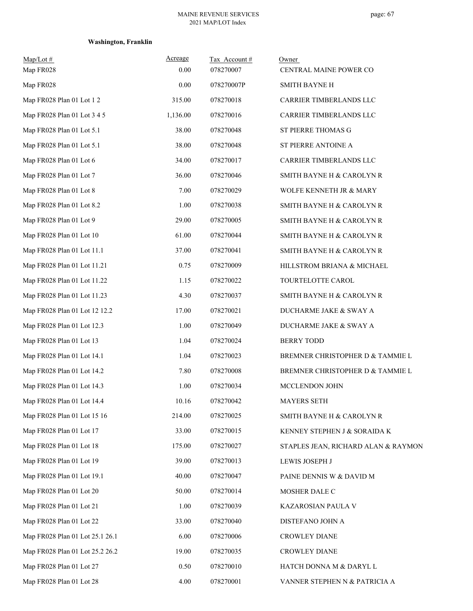# **Washington, Franklin**

| $Map/Lot \#$<br>Map FR028       | Acreage<br>0.00 | Tax Account#<br>078270007 | Owner<br>CENTRAL MAINE POWER CO      |
|---------------------------------|-----------------|---------------------------|--------------------------------------|
| Map FR028                       | 0.00            | 078270007P                | <b>SMITH BAYNE H</b>                 |
| Map FR028 Plan 01 Lot 1 2       | 315.00          | 078270018                 | CARRIER TIMBERLANDS LLC              |
| Map FR028 Plan 01 Lot 3 4 5     | 1,136.00        | 078270016                 | CARRIER TIMBERLANDS LLC              |
| Map FR028 Plan 01 Lot 5.1       | 38.00           | 078270048                 | ST PIERRE THOMAS G                   |
| Map FR028 Plan 01 Lot 5.1       | 38.00           | 078270048                 | ST PIERRE ANTOINE A                  |
| Map FR028 Plan 01 Lot 6         | 34.00           | 078270017                 | CARRIER TIMBERLANDS LLC              |
| Map FR028 Plan 01 Lot 7         | 36.00           | 078270046                 | SMITH BAYNE H & CAROLYN R            |
| Map FR028 Plan 01 Lot 8         | 7.00            | 078270029                 | WOLFE KENNETH JR & MARY              |
| Map FR028 Plan 01 Lot 8.2       | 1.00            | 078270038                 | SMITH BAYNE H & CAROLYN R            |
| Map FR028 Plan 01 Lot 9         | 29.00           | 078270005                 | SMITH BAYNE H & CAROLYN R            |
| Map FR028 Plan 01 Lot 10        | 61.00           | 078270044                 | SMITH BAYNE H & CAROLYN R            |
| Map FR028 Plan 01 Lot 11.1      | 37.00           | 078270041                 | SMITH BAYNE H & CAROLYN R            |
| Map FR028 Plan 01 Lot 11.21     | 0.75            | 078270009                 | HILLSTROM BRIANA & MICHAEL           |
| Map FR028 Plan 01 Lot 11.22     | 1.15            | 078270022                 | TOURTELOTTE CAROL                    |
| Map FR028 Plan 01 Lot 11.23     | 4.30            | 078270037                 | SMITH BAYNE H & CAROLYN R            |
| Map FR028 Plan 01 Lot 12 12.2   | 17.00           | 078270021                 | DUCHARME JAKE & SWAY A               |
| Map FR028 Plan 01 Lot 12.3      | 1.00            | 078270049                 | DUCHARME JAKE & SWAY A               |
| Map FR028 Plan 01 Lot 13        | 1.04            | 078270024                 | <b>BERRY TODD</b>                    |
| Map FR028 Plan 01 Lot 14.1      | 1.04            | 078270023                 | BREMNER CHRISTOPHER D & TAMMIE L     |
| Map FR028 Plan 01 Lot 14.2      | 7.80            | 078270008                 | BREMNER CHRISTOPHER D & TAMMIE L     |
| Map FR028 Plan 01 Lot 14.3      | 1.00            | 078270034                 | MCCLENDON JOHN                       |
| Map FR028 Plan 01 Lot 14.4      | 10.16           | 078270042                 | MAYERS SETH                          |
| Map FR028 Plan 01 Lot 15 16     | 214.00          | 078270025                 | SMITH BAYNE H & CAROLYN R            |
| Map FR028 Plan 01 Lot 17        | 33.00           | 078270015                 | KENNEY STEPHEN J & SORAIDA K         |
| Map FR028 Plan 01 Lot 18        | 175.00          | 078270027                 | STAPLES JEAN, RICHARD ALAN & RAYMON. |
| Map FR028 Plan 01 Lot 19        | 39.00           | 078270013                 | LEWIS JOSEPH J                       |
| Map FR028 Plan 01 Lot 19.1      | 40.00           | 078270047                 | PAINE DENNIS W & DAVID M             |
| Map FR028 Plan 01 Lot 20        | 50.00           | 078270014                 | MOSHER DALE C                        |
| Map FR028 Plan 01 Lot 21        | 1.00            | 078270039                 | KAZAROSIAN PAULA V                   |
| Map FR028 Plan 01 Lot 22        | 33.00           | 078270040                 | DISTEFANO JOHN A                     |
| Map FR028 Plan 01 Lot 25.1 26.1 | 6.00            | 078270006                 | <b>CROWLEY DIANE</b>                 |
| Map FR028 Plan 01 Lot 25.2 26.2 | 19.00           | 078270035                 | CROWLEY DIANE                        |
| Map FR028 Plan 01 Lot 27        | 0.50            | 078270010                 | HATCH DONNA M & DARYL L              |
| Map FR028 Plan 01 Lot 28        | 4.00            | 078270001                 | VANNER STEPHEN N & PATRICIA A        |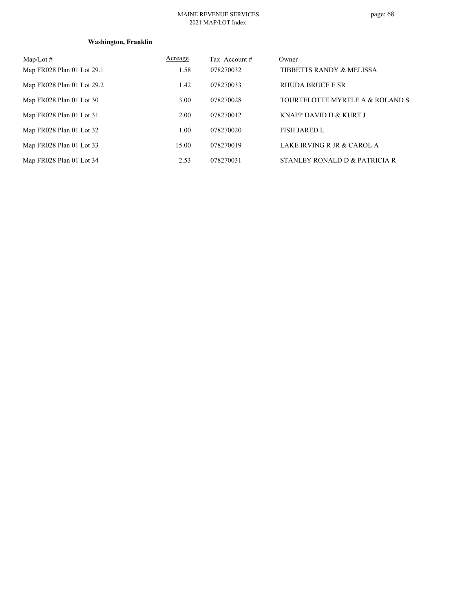#### MAINE REVENUE SERVICES 2021 MAP/LOT Index

# **Washington, Franklin**

| $Map/Lot \#$               | Acreage | Tax Account# | Owner                             |
|----------------------------|---------|--------------|-----------------------------------|
| Map FR028 Plan 01 Lot 29.1 | 1.58    | 078270032    | TIBBETTS RANDY & MELISSA          |
| Map FR028 Plan 01 Lot 29.2 | 1.42    | 078270033    | <b>RHUDA BRUCE E SR</b>           |
| Map FR028 Plan 01 Lot 30   | 3.00    | 078270028    | TOURTELOTTE MYRTLE A & ROLAND S   |
| Map FR028 Plan 01 Lot 31   | 2.00    | 078270012    | <b>KNAPP DAVID H &amp; KURT J</b> |
| Map FR028 Plan 01 Lot 32   | 1.00    | 078270020    | <b>FISH JARED L</b>               |
| Map FR028 Plan 01 Lot 33   | 15.00   | 078270019    | LAKE IRVING R JR & CAROL A        |
| Map FR028 Plan 01 Lot 34   | 2.53    | 078270031    | STANLEY RONALD D & PATRICIA R     |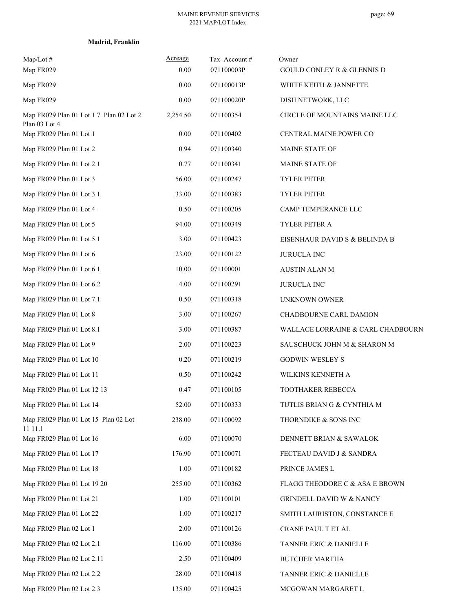|  | Madrid, Franklin |
|--|------------------|
|--|------------------|

| $Map/Lot \#$<br>Map FR029                                | Acreage<br>0.00 | Tax Account#<br>071100003P | Owner<br><b>GOULD CONLEY R &amp; GLENNIS D</b> |
|----------------------------------------------------------|-----------------|----------------------------|------------------------------------------------|
| Map FR029                                                | 0.00            | 071100013P                 | WHITE KEITH & JANNETTE                         |
| Map FR029                                                | 0.00            | 071100020P                 | DISH NETWORK, LLC                              |
| Map FR029 Plan 01 Lot 1 7 Plan 02 Lot 2<br>Plan 03 Lot 4 | 2,254.50        | 071100354                  | CIRCLE OF MOUNTAINS MAINE LLC                  |
| Map FR029 Plan 01 Lot 1                                  | 0.00            | 071100402                  | CENTRAL MAINE POWER CO                         |
| Map FR029 Plan 01 Lot 2                                  | 0.94            | 071100340                  | <b>MAINE STATE OF</b>                          |
| Map FR029 Plan 01 Lot 2.1                                | 0.77            | 071100341                  | <b>MAINE STATE OF</b>                          |
| Map FR029 Plan 01 Lot 3                                  | 56.00           | 071100247                  | <b>TYLER PETER</b>                             |
| Map FR029 Plan 01 Lot 3.1                                | 33.00           | 071100383                  | TYLER PETER                                    |
| Map FR029 Plan 01 Lot 4                                  | 0.50            | 071100205                  | CAMP TEMPERANCE LLC                            |
| Map FR029 Plan 01 Lot 5                                  | 94.00           | 071100349                  | TYLER PETER A                                  |
| Map FR029 Plan 01 Lot 5.1                                | 3.00            | 071100423                  | EISENHAUR DAVID S & BELINDA B                  |
| Map FR029 Plan 01 Lot 6                                  | 23.00           | 071100122                  | <b>JURUCLA INC</b>                             |
| Map FR029 Plan 01 Lot 6.1                                | 10.00           | 071100001                  | <b>AUSTIN ALAN M</b>                           |
| Map FR029 Plan 01 Lot 6.2                                | 4.00            | 071100291                  | <b>JURUCLA INC</b>                             |
| Map FR029 Plan 01 Lot 7.1                                | 0.50            | 071100318                  | UNKNOWN OWNER                                  |
| Map FR029 Plan 01 Lot 8                                  | 3.00            | 071100267                  | CHADBOURNE CARL DAMION                         |
| Map FR029 Plan 01 Lot 8.1                                | 3.00            | 071100387                  | WALLACE LORRAINE & CARL CHADBOURN              |
| Map FR029 Plan 01 Lot 9                                  | 2.00            | 071100223                  | SAUSCHUCK JOHN M & SHARON M                    |
| Map FR029 Plan 01 Lot 10                                 | 0.20            | 071100219                  | <b>GODWIN WESLEY S</b>                         |
| Map FR029 Plan 01 Lot 11                                 | 0.50            | 071100242                  | WILKINS KENNETH A                              |
| Map FR029 Plan 01 Lot 12 13                              | 0.47            | 071100105                  | TOOTHAKER REBECCA                              |
| Map FR029 Plan 01 Lot 14                                 | 52.00           | 071100333                  | TUTLIS BRIAN G & CYNTHIA M                     |
| Map FR029 Plan 01 Lot 15 Plan 02 Lot<br>11 11.1          | 238.00          | 071100092                  | THORNDIKE & SONS INC                           |
| Map FR029 Plan 01 Lot 16                                 | 6.00            | 071100070                  | DENNETT BRIAN & SAWALOK                        |
| Map FR029 Plan 01 Lot 17                                 | 176.90          | 071100071                  | FECTEAU DAVID J & SANDRA                       |
| Map FR029 Plan 01 Lot 18                                 | 1.00            | 071100182                  | PRINCE JAMES L                                 |
| Map FR029 Plan 01 Lot 19 20                              | 255.00          | 071100362                  | FLAGG THEODORE C & ASA E BROWN                 |
| Map FR029 Plan 01 Lot 21                                 | 1.00            | 071100101                  | GRINDELL DAVID W & NANCY                       |
| Map FR029 Plan 01 Lot 22                                 | 1.00            | 071100217                  | SMITH LAURISTON, CONSTANCE E                   |
| Map FR029 Plan 02 Lot 1                                  | 2.00            | 071100126                  | CRANE PAUL T ET AL                             |
| Map FR029 Plan 02 Lot 2.1                                | 116.00          | 071100386                  | TANNER ERIC & DANIELLE                         |
| Map FR029 Plan 02 Lot 2.11                               | 2.50            | 071100409                  | <b>BUTCHER MARTHA</b>                          |
| Map FR029 Plan 02 Lot 2.2                                | 28.00           | 071100418                  | TANNER ERIC & DANIELLE                         |
| Map FR029 Plan 02 Lot 2.3                                | 135.00          | 071100425                  | MCGOWAN MARGARET L                             |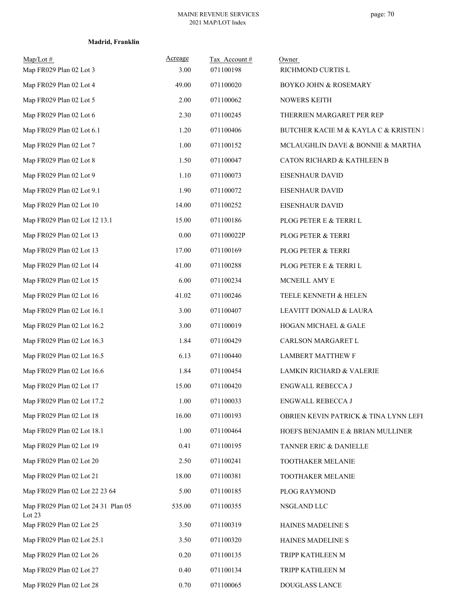## **Madrid, Franklin**

| $Map/Lot \#$<br>Map FR029 Plan 02 Lot 3       | Acreage<br>3.00 | Tax Account#<br>071100198 | Owner<br>RICHMOND CURTIS L            |
|-----------------------------------------------|-----------------|---------------------------|---------------------------------------|
| Map FR029 Plan 02 Lot 4                       | 49.00           | 071100020                 | <b>BOYKO JOHN &amp; ROSEMARY</b>      |
| Map FR029 Plan 02 Lot 5                       | 2.00            | 071100062                 | <b>NOWERS KEITH</b>                   |
| Map FR029 Plan 02 Lot 6                       | 2.30            | 071100245                 | THERRIEN MARGARET PER REP             |
| Map FR029 Plan 02 Lot 6.1                     | 1.20            | 071100406                 | BUTCHER KACIE M & KAYLA C & KRISTEN I |
| Map FR029 Plan 02 Lot 7                       | 1.00            | 071100152                 | MCLAUGHLIN DAVE & BONNIE & MARTHA     |
| Map FR029 Plan 02 Lot 8                       | 1.50            | 071100047                 | CATON RICHARD & KATHLEEN B            |
| Map FR029 Plan 02 Lot 9                       | 1.10            | 071100073                 | EISENHAUR DAVID                       |
| Map FR029 Plan 02 Lot 9.1                     | 1.90            | 071100072                 | EISENHAUR DAVID                       |
| Map FR029 Plan 02 Lot 10                      | 14.00           | 071100252                 | <b>EISENHAUR DAVID</b>                |
| Map FR029 Plan 02 Lot 12 13.1                 | 15.00           | 071100186                 | PLOG PETER E & TERRI L                |
| Map FR029 Plan 02 Lot 13                      | $0.00\,$        | 071100022P                | PLOG PETER & TERRI                    |
| Map FR029 Plan 02 Lot 13                      | 17.00           | 071100169                 | PLOG PETER & TERRI                    |
| Map FR029 Plan 02 Lot 14                      | 41.00           | 071100288                 | PLOG PETER E & TERRI L                |
| Map FR029 Plan 02 Lot 15                      | 6.00            | 071100234                 | MCNEILL AMY E                         |
| Map FR029 Plan 02 Lot 16                      | 41.02           | 071100246                 | TEELE KENNETH & HELEN                 |
| Map FR029 Plan 02 Lot 16.1                    | 3.00            | 071100407                 | LEAVITT DONALD & LAURA                |
| Map FR029 Plan 02 Lot 16.2                    | 3.00            | 071100019                 | HOGAN MICHAEL & GALE                  |
| Map FR029 Plan 02 Lot 16.3                    | 1.84            | 071100429                 | CARLSON MARGARET L                    |
| Map FR029 Plan 02 Lot 16.5                    | 6.13            | 071100440                 | <b>LAMBERT MATTHEW F</b>              |
| Map FR029 Plan 02 Lot 16.6                    | 1.84            | 071100454                 | LAMKIN RICHARD & VALERIE              |
| Map FR029 Plan 02 Lot 17                      | 15.00           | 071100420                 | ENGWALL REBECCA J                     |
| Map FR029 Plan 02 Lot 17.2                    | 1.00            | 071100033                 | <b>ENGWALL REBECCA J</b>              |
| Map FR029 Plan 02 Lot 18                      | 16.00           | 071100193                 | OBRIEN KEVIN PATRICK & TINA LYNN LEFE |
| Map FR029 Plan 02 Lot 18.1                    | 1.00            | 071100464                 | HOEFS BENJAMIN E & BRIAN MULLINER     |
| Map FR029 Plan 02 Lot 19                      | 0.41            | 071100195                 | TANNER ERIC & DANIELLE                |
| Map FR029 Plan 02 Lot 20                      | 2.50            | 071100241                 | TOOTHAKER MELANIE                     |
| Map FR029 Plan 02 Lot 21                      | 18.00           | 071100381                 | TOOTHAKER MELANIE                     |
| Map FR029 Plan 02 Lot 22 23 64                | 5.00            | 071100185                 | PLOG RAYMOND                          |
| Map FR029 Plan 02 Lot 24 31 Plan 05<br>Lot 23 | 535.00          | 071100355                 | NSGLAND LLC                           |
| Map FR029 Plan 02 Lot 25                      | 3.50            | 071100319                 | HAINES MADELINE S                     |
| Map FR029 Plan 02 Lot 25.1                    | 3.50            | 071100320                 | HAINES MADELINE S                     |
| Map FR029 Plan 02 Lot 26                      | 0.20            | 071100135                 | TRIPP KATHLEEN M                      |
| Map FR029 Plan 02 Lot 27                      | 0.40            | 071100134                 | TRIPP KATHLEEN M                      |
| Map FR029 Plan 02 Lot 28                      | 0.70            | 071100065                 | DOUGLASS LANCE                        |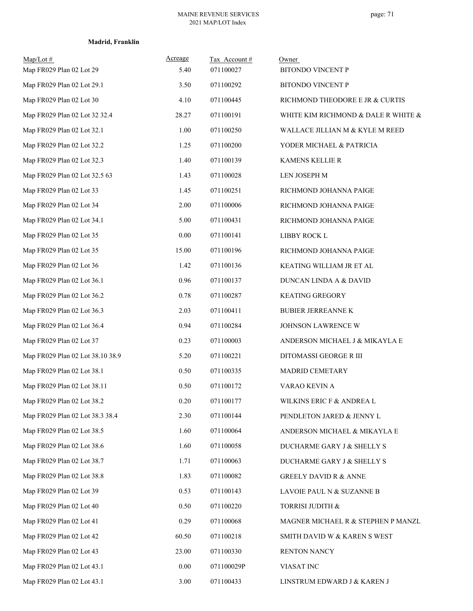## **Madrid, Franklin**

| $Map/Lot \#$<br>Map FR029 Plan 02 Lot 29 | Acreage<br>5.40 | Tax Account#<br>071100027 | Owner<br><b>BITONDO VINCENT P</b>   |
|------------------------------------------|-----------------|---------------------------|-------------------------------------|
| Map FR029 Plan 02 Lot 29.1               | 3.50            | 071100292                 | BITONDO VINCENT P                   |
| Map FR029 Plan 02 Lot 30                 | 4.10            | 071100445                 | RICHMOND THEODORE E JR & CURTIS     |
| Map FR029 Plan 02 Lot 32 32.4            | 28.27           | 071100191                 | WHITE KIM RICHMOND & DALE R WHITE & |
| Map FR029 Plan 02 Lot 32.1               | 1.00            | 071100250                 | WALLACE JILLIAN M & KYLE M REED     |
| Map FR029 Plan 02 Lot 32.2               | 1.25            | 071100200                 | YODER MICHAEL & PATRICIA            |
| Map FR029 Plan 02 Lot 32.3               | 1.40            | 071100139                 | KAMENS KELLIE R                     |
| Map FR029 Plan 02 Lot 32.5 63            | 1.43            | 071100028                 | LEN JOSEPH M                        |
| Map FR029 Plan 02 Lot 33                 | 1.45            | 071100251                 | RICHMOND JOHANNA PAIGE              |
| Map FR029 Plan 02 Lot 34                 | 2.00            | 071100006                 | RICHMOND JOHANNA PAIGE              |
| Map FR029 Plan 02 Lot 34.1               | 5.00            | 071100431                 | RICHMOND JOHANNA PAIGE              |
| Map FR029 Plan 02 Lot 35                 | $0.00\,$        | 071100141                 | LIBBY ROCK L                        |
| Map FR029 Plan 02 Lot 35                 | 15.00           | 071100196                 | RICHMOND JOHANNA PAIGE              |
| Map FR029 Plan 02 Lot 36                 | 1.42            | 071100136                 | KEATING WILLIAM JR ET AL            |
| Map FR029 Plan 02 Lot 36.1               | 0.96            | 071100137                 | DUNCAN LINDA A & DAVID              |
| Map FR029 Plan 02 Lot 36.2               | 0.78            | 071100287                 | <b>KEATING GREGORY</b>              |
| Map FR029 Plan 02 Lot 36.3               | 2.03            | 071100411                 | <b>BUBIER JERREANNE K</b>           |
| Map FR029 Plan 02 Lot 36.4               | 0.94            | 071100284                 | JOHNSON LAWRENCE W                  |
| Map FR029 Plan 02 Lot 37                 | 0.23            | 071100003                 | ANDERSON MICHAEL J & MIKAYLA E      |
| Map FR029 Plan 02 Lot 38.10 38.9         | 5.20            | 071100221                 | DITOMASSI GEORGE R III              |
| Map FR029 Plan 02 Lot 38.1               | 0.50            | 071100335                 | MADRID CEMETARY                     |
| Map FR029 Plan 02 Lot 38.11              | 0.50            | 071100172                 | VARAO KEVIN A                       |
| Map FR029 Plan 02 Lot 38.2               | 0.20            | 071100177                 | WILKINS ERIC F & ANDREA L           |
| Map FR029 Plan 02 Lot 38.3 38.4          | 2.30            | 071100144                 | PENDLETON JARED & JENNY L           |
| Map FR029 Plan 02 Lot 38.5               | 1.60            | 071100064                 | ANDERSON MICHAEL & MIKAYLA E        |
| Map FR029 Plan 02 Lot 38.6               | 1.60            | 071100058                 | DUCHARME GARY J & SHELLY S          |
| Map FR029 Plan 02 Lot 38.7               | 1.71            | 071100063                 | DUCHARME GARY J & SHELLY S          |
| Map FR029 Plan 02 Lot 38.8               | 1.83            | 071100082                 | <b>GREELY DAVID R &amp; ANNE</b>    |
| Map FR029 Plan 02 Lot 39                 | 0.53            | 071100143                 | LAVOIE PAUL N & SUZANNE B           |
| Map FR029 Plan 02 Lot 40                 | 0.50            | 071100220                 | TORRISI JUDITH &                    |
| Map FR029 Plan 02 Lot 41                 | 0.29            | 071100068                 | MAGNER MICHAEL R & STEPHEN P MANZL  |
| Map FR029 Plan 02 Lot 42                 | 60.50           | 071100218                 | SMITH DAVID W & KAREN S WEST        |
| Map FR029 Plan 02 Lot 43                 | 23.00           | 071100330                 | RENTON NANCY                        |
| Map FR029 Plan 02 Lot 43.1               | 0.00            | 071100029P                | VIASAT INC                          |
| Map FR029 Plan 02 Lot 43.1               | 3.00            | 071100433                 | LINSTRUM EDWARD J & KAREN J         |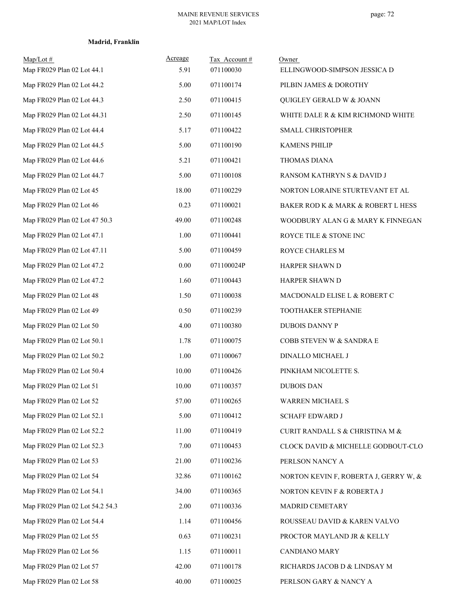| $Map/Lot \#$<br>Map FR029 Plan 02 Lot 44.1 | Acreage<br>5.91 | Tax Account#<br>071100030 | Owner<br>ELLINGWOOD-SIMPSON JESSICA D |
|--------------------------------------------|-----------------|---------------------------|---------------------------------------|
| Map FR029 Plan 02 Lot 44.2                 | 5.00            | 071100174                 | PILBIN JAMES & DOROTHY                |
| Map FR029 Plan 02 Lot 44.3                 | 2.50            | 071100415                 | QUIGLEY GERALD W & JOANN              |
| Map FR029 Plan 02 Lot 44.31                | 2.50            | 071100145                 | WHITE DALE R & KIM RICHMOND WHITE     |
| Map FR029 Plan 02 Lot 44.4                 | 5.17            | 071100422                 | <b>SMALL CHRISTOPHER</b>              |
| Map FR029 Plan 02 Lot 44.5                 | 5.00            | 071100190                 | <b>KAMENS PHILIP</b>                  |
| Map FR029 Plan 02 Lot 44.6                 | 5.21            | 071100421                 | THOMAS DIANA                          |
| Map FR029 Plan 02 Lot 44.7                 | 5.00            | 071100108                 | RANSOM KATHRYN S & DAVID J            |
| Map FR029 Plan 02 Lot 45                   | 18.00           | 071100229                 | NORTON LORAINE STURTEVANT ET AL       |
| Map FR029 Plan 02 Lot 46                   | 0.23            | 071100021                 | BAKER ROD K & MARK & ROBERT L HESS    |
| Map FR029 Plan 02 Lot 47 50.3              | 49.00           | 071100248                 | WOODBURY ALAN G & MARY K FINNEGAN     |
| Map FR029 Plan 02 Lot 47.1                 | 1.00            | 071100441                 | ROYCE TILE & STONE INC                |
| Map FR029 Plan 02 Lot 47.11                | 5.00            | 071100459                 | ROYCE CHARLES M                       |
| Map FR029 Plan 02 Lot 47.2                 | $0.00\,$        | 071100024P                | HARPER SHAWN D                        |
| Map FR029 Plan 02 Lot 47.2                 | 1.60            | 071100443                 | HARPER SHAWN D                        |
| Map FR029 Plan 02 Lot 48                   | 1.50            | 071100038                 | MACDONALD ELISE L & ROBERT C          |
| Map FR029 Plan 02 Lot 49                   | 0.50            | 071100239                 | TOOTHAKER STEPHANIE                   |
| Map FR029 Plan 02 Lot 50                   | 4.00            | 071100380                 | <b>DUBOIS DANNY P</b>                 |
| Map FR029 Plan 02 Lot 50.1                 | 1.78            | 071100075                 | COBB STEVEN W & SANDRA E              |
| Map FR029 Plan 02 Lot 50.2                 | 1.00            | 071100067                 | DINALLO MICHAEL J                     |
| Map FR029 Plan 02 Lot 50.4                 | 10.00           | 071100426                 | PINKHAM NICOLETTE S.                  |
| Map FR029 Plan 02 Lot 51                   | 10.00           | 071100357                 | <b>DUBOIS DAN</b>                     |
| Map FR029 Plan 02 Lot 52                   | 57.00           | 071100265                 | WARREN MICHAEL S                      |
| Map FR029 Plan 02 Lot 52.1                 | 5.00            | 071100412                 | <b>SCHAFF EDWARD J</b>                |
| Map FR029 Plan 02 Lot 52.2                 | 11.00           | 071100419                 | CURIT RANDALL S & CHRISTINA M $\&$    |
| Map FR029 Plan 02 Lot 52.3                 | 7.00            | 071100453                 | CLOCK DAVID & MICHELLE GODBOUT-CLO    |
| Map FR029 Plan 02 Lot 53                   | 21.00           | 071100236                 | PERLSON NANCY A                       |
| Map FR029 Plan 02 Lot 54                   | 32.86           | 071100162                 | NORTON KEVIN F, ROBERTA J, GERRY W, & |
| Map FR029 Plan 02 Lot 54.1                 | 34.00           | 071100365                 | NORTON KEVIN F & ROBERTA J            |
| Map FR029 Plan 02 Lot 54.2 54.3            | 2.00            | 071100336                 | MADRID CEMETARY                       |
| Map FR029 Plan 02 Lot 54.4                 | 1.14            | 071100456                 | ROUSSEAU DAVID & KAREN VALVO          |
| Map FR029 Plan 02 Lot 55                   | 0.63            | 071100231                 | PROCTOR MAYLAND JR & KELLY            |
| Map FR029 Plan 02 Lot 56                   | 1.15            | 071100011                 | CANDIANO MARY                         |
| Map FR029 Plan 02 Lot 57                   | 42.00           | 071100178                 | RICHARDS JACOB D & LINDSAY M          |
| Map FR029 Plan 02 Lot 58                   | 40.00           | 071100025                 | PERLSON GARY & NANCY A                |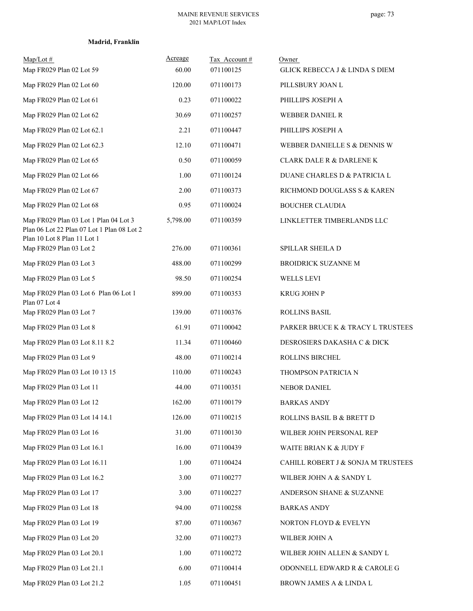|  | Madrid, Franklin |
|--|------------------|
|--|------------------|

| $Map/Lot \#$<br>Map FR029 Plan 02 Lot 59                                                                           | Acreage<br>60.00 | Tax Account #<br>071100125 | Owner<br><b>GLICK REBECCA J &amp; LINDA S DIEM</b> |
|--------------------------------------------------------------------------------------------------------------------|------------------|----------------------------|----------------------------------------------------|
| Map FR029 Plan 02 Lot 60                                                                                           | 120.00           | 071100173                  | PILLSBURY JOAN L                                   |
| Map FR029 Plan 02 Lot 61                                                                                           | 0.23             | 071100022                  | PHILLIPS JOSEPH A                                  |
| Map FR029 Plan 02 Lot 62                                                                                           | 30.69            | 071100257                  | <b>WEBBER DANIEL R</b>                             |
| Map FR029 Plan 02 Lot 62.1                                                                                         | 2.21             | 071100447                  | PHILLIPS JOSEPH A                                  |
| Map FR029 Plan 02 Lot 62.3                                                                                         | 12.10            | 071100471                  | WEBBER DANIELLE S & DENNIS W                       |
| Map FR029 Plan 02 Lot 65                                                                                           | 0.50             | 071100059                  | <b>CLARK DALE R &amp; DARLENE K</b>                |
| Map FR029 Plan 02 Lot 66                                                                                           | 1.00             | 071100124                  | DUANE CHARLES D & PATRICIA L                       |
| Map FR029 Plan 02 Lot 67                                                                                           | 2.00             | 071100373                  | RICHMOND DOUGLASS S & KAREN                        |
| Map FR029 Plan 02 Lot 68                                                                                           | 0.95             | 071100024                  | <b>BOUCHER CLAUDIA</b>                             |
| Map FR029 Plan 03 Lot 1 Plan 04 Lot 3<br>Plan 06 Lot 22 Plan 07 Lot 1 Plan 08 Lot 2<br>Plan 10 Lot 8 Plan 11 Lot 1 | 5,798.00         | 071100359                  | LINKLETTER TIMBERLANDS LLC                         |
| Map FR029 Plan 03 Lot 2                                                                                            | 276.00           | 071100361                  | SPILLAR SHEILA D                                   |
| Map FR029 Plan 03 Lot 3                                                                                            | 488.00           | 071100299                  | BROIDRICK SUZANNE M                                |
| Map FR029 Plan 03 Lot 5                                                                                            | 98.50            | 071100254                  | WELLS LEVI                                         |
| Map FR029 Plan 03 Lot 6 Plan 06 Lot 1<br>Plan 07 Lot 4                                                             | 899.00           | 071100353                  | <b>KRUG JOHN P</b>                                 |
| Map FR029 Plan 03 Lot 7                                                                                            | 139.00           | 071100376                  | <b>ROLLINS BASIL</b>                               |
| Map FR029 Plan 03 Lot 8                                                                                            | 61.91            | 071100042                  | PARKER BRUCE K & TRACY L TRUSTEES                  |
| Map FR029 Plan 03 Lot 8.11 8.2                                                                                     | 11.34            | 071100460                  | DESROSIERS DAKASHA C & DICK                        |
| Map FR029 Plan 03 Lot 9                                                                                            | 48.00            | 071100214                  | ROLLINS BIRCHEL                                    |
| Map FR029 Plan 03 Lot 10 13 15                                                                                     | 110.00           | 071100243                  | THOMPSON PATRICIA N                                |
| Map FR029 Plan 03 Lot 11                                                                                           | 44.00            | 071100351                  | <b>NEBOR DANIEL</b>                                |
| Map FR029 Plan 03 Lot 12                                                                                           | 162.00           | 071100179                  | <b>BARKAS ANDY</b>                                 |
| Map FR029 Plan 03 Lot 14 14.1                                                                                      | 126.00           | 071100215                  | ROLLINS BASIL B & BRETT D                          |
| Map FR029 Plan 03 Lot 16                                                                                           | 31.00            | 071100130                  | WILBER JOHN PERSONAL REP                           |
| Map FR029 Plan 03 Lot 16.1                                                                                         | 16.00            | 071100439                  | WAITE BRIAN K & JUDY F                             |
| Map FR029 Plan 03 Lot 16.11                                                                                        | 1.00             | 071100424                  | CAHILL ROBERT J & SONJA M TRUSTEES                 |
| Map FR029 Plan 03 Lot 16.2                                                                                         | 3.00             | 071100277                  | WILBER JOHN A & SANDY L                            |
| Map FR029 Plan 03 Lot 17                                                                                           | 3.00             | 071100227                  | ANDERSON SHANE & SUZANNE                           |
| Map FR029 Plan 03 Lot 18                                                                                           | 94.00            | 071100258                  | <b>BARKAS ANDY</b>                                 |
| Map FR029 Plan 03 Lot 19                                                                                           | 87.00            | 071100367                  | NORTON FLOYD & EVELYN                              |
| Map FR029 Plan 03 Lot 20                                                                                           | 32.00            | 071100273                  | WILBER JOHN A                                      |
| Map FR029 Plan 03 Lot 20.1                                                                                         | 1.00             | 071100272                  | WILBER JOHN ALLEN & SANDY L                        |
| Map FR029 Plan 03 Lot 21.1                                                                                         | 6.00             | 071100414                  | ODONNELL EDWARD R & CAROLE G                       |
| Map FR029 Plan 03 Lot 21.2                                                                                         | 1.05             | 071100451                  | BROWN JAMES A & LINDA L                            |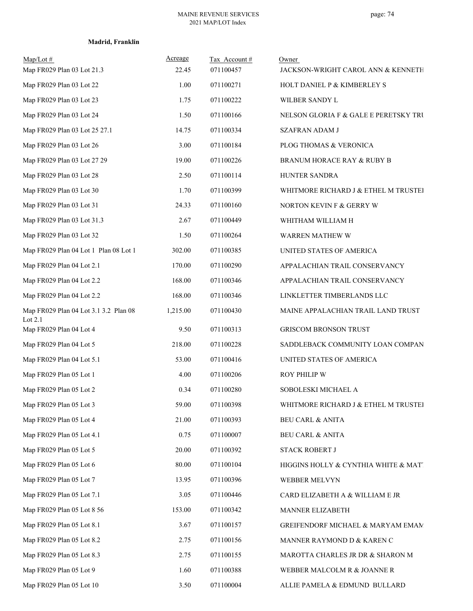| Map/Lot#<br>Map FR029 Plan 03 Lot 21.3 | Acreage<br>22.45 | Tax Account#<br>071100457 | Owner<br>JACKSON-WRIGHT CAROL ANN & KENNETH |
|----------------------------------------|------------------|---------------------------|---------------------------------------------|
| Map FR029 Plan 03 Lot 22               | 1.00             | 071100271                 | HOLT DANIEL P & KIMBERLEY S                 |
| Map FR029 Plan 03 Lot 23               | 1.75             | 071100222                 | WILBER SANDY L                              |
| Map FR029 Plan 03 Lot 24               | 1.50             | 071100166                 | NELSON GLORIA F & GALE E PERETSKY TRU       |
| Map FR029 Plan 03 Lot 25 27.1          | 14.75            | 071100334                 | <b>SZAFRAN ADAM J</b>                       |
| Map FR029 Plan 03 Lot 26               | 3.00             | 071100184                 | PLOG THOMAS & VERONICA                      |
| Map FR029 Plan 03 Lot 27 29            | 19.00            | 071100226                 | <b>BRANUM HORACE RAY &amp; RUBY B</b>       |
| Map FR029 Plan 03 Lot 28               | 2.50             | 071100114                 | HUNTER SANDRA                               |
| Map FR029 Plan 03 Lot 30               | 1.70             | 071100399                 | WHITMORE RICHARD J & ETHEL M TRUSTEI        |
| Map FR029 Plan 03 Lot 31               | 24.33            | 071100160                 | NORTON KEVIN F & GERRY W                    |
| Map FR029 Plan 03 Lot 31.3             | 2.67             | 071100449                 | WHITHAM WILLIAM H                           |
| Map FR029 Plan 03 Lot 32               | 1.50             | 071100264                 | <b>WARREN MATHEW W</b>                      |
| Map FR029 Plan 04 Lot 1 Plan 08 Lot 1  | 302.00           | 071100385                 | UNITED STATES OF AMERICA                    |
| Map FR029 Plan 04 Lot 2.1              | 170.00           | 071100290                 | APPALACHIAN TRAIL CONSERVANCY               |
| Map FR029 Plan 04 Lot 2.2              | 168.00           | 071100346                 | APPALACHIAN TRAIL CONSERVANCY               |
| Map FR029 Plan 04 Lot 2.2              | 168.00           | 071100346                 | LINKLETTER TIMBERLANDS LLC                  |
| Map FR029 Plan 04 Lot 3.1 3.2 Plan 08  | 1,215.00         | 071100430                 | MAINE APPALACHIAN TRAIL LAND TRUST          |
| Lot 2.1<br>Map FR029 Plan 04 Lot 4     | 9.50             | 071100313                 | <b>GRISCOM BRONSON TRUST</b>                |
| Map FR029 Plan 04 Lot 5                | 218.00           | 071100228                 | SADDLEBACK COMMUNITY LOAN COMPAN            |
| Map FR029 Plan 04 Lot 5.1              | 53.00            | 071100416                 | UNITED STATES OF AMERICA                    |
| Map FR029 Plan 05 Lot 1                | 4.00             | 071100206                 | ROY PHILIP W                                |
| Map FR029 Plan 05 Lot 2                | 0.34             | 071100280                 | SOBOLESKI MICHAEL A                         |
| Map FR029 Plan 05 Lot 3                | 59.00            | 071100398                 | WHITMORE RICHARD J & ETHEL M TRUSTEI        |
| Map FR029 Plan 05 Lot 4                | 21.00            | 071100393                 | <b>BEU CARL &amp; ANITA</b>                 |
| Map FR029 Plan 05 Lot 4.1              | 0.75             | 071100007                 | <b>BEU CARL &amp; ANITA</b>                 |
| Map FR029 Plan 05 Lot 5                | 20.00            | 071100392                 | <b>STACK ROBERT J</b>                       |
| Map FR029 Plan 05 Lot 6                | 80.00            | 071100104                 | HIGGINS HOLLY & CYNTHIA WHITE & MAT.        |
| Map FR029 Plan 05 Lot 7                | 13.95            | 071100396                 | WEBBER MELVYN                               |
| Map FR029 Plan 05 Lot 7.1              | 3.05             | 071100446                 | CARD ELIZABETH A & WILLIAM E JR             |
| Map FR029 Plan 05 Lot 8 56             | 153.00           | 071100342                 | MANNER ELIZABETH                            |
| Map FR029 Plan 05 Lot 8.1              | 3.67             | 071100157                 | GREIFENDORF MICHAEL & MARYAM EMAM           |
| Map FR029 Plan 05 Lot 8.2              | 2.75             | 071100156                 | MANNER RAYMOND D & KAREN C                  |
| Map FR029 Plan 05 Lot 8.3              | 2.75             | 071100155                 | MAROTTA CHARLES JR DR & SHARON M            |
| Map FR029 Plan 05 Lot 9                | 1.60             | 071100388                 | WEBBER MALCOLM R & JOANNE R                 |
| Map FR029 Plan 05 Lot 10               | 3.50             | 071100004                 | ALLIE PAMELA & EDMUND BULLARD               |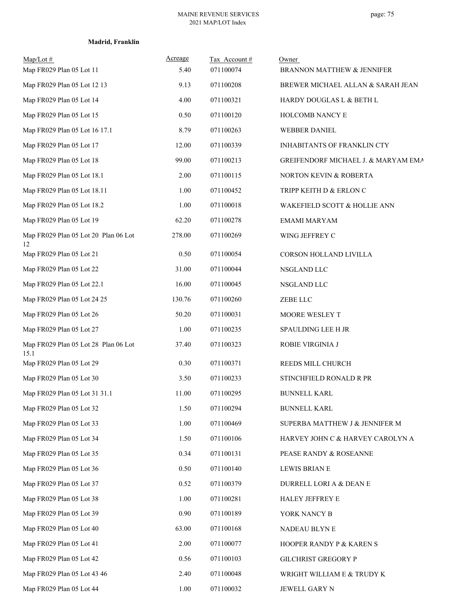|  | Madrid, Franklin |
|--|------------------|
|--|------------------|

| $Map/Lot \#$<br>Map FR029 Plan 05 Lot 11     | Acreage<br>5.40 | Tax Account#<br>071100074 | Owner<br>BRANNON MATTHEW & JENNIFER |
|----------------------------------------------|-----------------|---------------------------|-------------------------------------|
| Map FR029 Plan 05 Lot 12 13                  | 9.13            | 071100208                 | BREWER MICHAEL ALLAN & SARAH JEAN   |
| Map FR029 Plan 05 Lot 14                     | 4.00            | 071100321                 | HARDY DOUGLAS L & BETH L            |
| Map FR029 Plan 05 Lot 15                     | 0.50            | 071100120                 | HOLCOMB NANCY E                     |
| Map FR029 Plan 05 Lot 16 17.1                | 8.79            | 071100263                 | <b>WEBBER DANIEL</b>                |
| Map FR029 Plan 05 Lot 17                     | 12.00           | 071100339                 | INHABITANTS OF FRANKLIN CTY         |
| Map FR029 Plan 05 Lot 18                     | 99.00           | 071100213                 | GREIFENDORF MICHAEL J. & MARYAM EMA |
| Map FR029 Plan 05 Lot 18.1                   | 2.00            | 071100115                 | NORTON KEVIN & ROBERTA              |
| Map FR029 Plan 05 Lot 18.11                  | 1.00            | 071100452                 | TRIPP KEITH D & ERLON C             |
| Map FR029 Plan 05 Lot 18.2                   | 1.00            | 071100018                 | WAKEFIELD SCOTT & HOLLIE ANN        |
| Map FR029 Plan 05 Lot 19                     | 62.20           | 071100278                 | EMAMI MARYAM                        |
| Map FR029 Plan 05 Lot 20 Plan 06 Lot<br>12   | 278.00          | 071100269                 | WING JEFFREY C                      |
| Map FR029 Plan 05 Lot 21                     | 0.50            | 071100054                 | CORSON HOLLAND LIVILLA              |
| Map FR029 Plan 05 Lot 22                     | 31.00           | 071100044                 | NSGLAND LLC                         |
| Map FR029 Plan 05 Lot 22.1                   | 16.00           | 071100045                 | NSGLAND LLC                         |
| Map FR029 Plan 05 Lot 24 25                  | 130.76          | 071100260                 | ZEBE LLC                            |
| Map FR029 Plan 05 Lot 26                     | 50.20           | 071100031                 | MOORE WESLEY T                      |
| Map FR029 Plan 05 Lot 27                     | 1.00            | 071100235                 | SPAULDING LEE H JR                  |
| Map FR029 Plan 05 Lot 28 Plan 06 Lot<br>15.1 | 37.40           | 071100323                 | ROBIE VIRGINIA J                    |
| Map FR029 Plan 05 Lot 29                     | 0.30            | 071100371                 | REEDS MILL CHURCH                   |
| Map FR029 Plan 05 Lot 30                     | 3.50            | 071100233                 | STINCHFIELD RONALD R PR             |
| Map FR029 Plan 05 Lot 31 31.1                | 11.00           | 071100295                 | <b>BUNNELL KARL</b>                 |
| Map FR029 Plan 05 Lot 32                     | 1.50            | 071100294                 | <b>BUNNELL KARL</b>                 |
| Map FR029 Plan 05 Lot 33                     | 1.00            | 071100469                 | SUPERBA MATTHEW J & JENNIFER M      |
| Map FR029 Plan 05 Lot 34                     | 1.50            | 071100106                 | HARVEY JOHN C & HARVEY CAROLYN A    |
| Map FR029 Plan 05 Lot 35                     | 0.34            | 071100131                 | PEASE RANDY & ROSEANNE              |
| Map FR029 Plan 05 Lot 36                     | 0.50            | 071100140                 | <b>LEWIS BRIAN E</b>                |
| Map FR029 Plan 05 Lot 37                     | 0.52            | 071100379                 | DURRELL LORI A & DEAN E             |
| Map FR029 Plan 05 Lot 38                     | 1.00            | 071100281                 | <b>HALEY JEFFREY E</b>              |
| Map FR029 Plan 05 Lot 39                     | 0.90            | 071100189                 | YORK NANCY B                        |
| Map FR029 Plan 05 Lot 40                     | 63.00           | 071100168                 | NADEAU BLYN E                       |
| Map FR029 Plan 05 Lot 41                     | 2.00            | 071100077                 | HOOPER RANDY P & KAREN S            |
| Map FR029 Plan 05 Lot 42                     | 0.56            | 071100103                 | <b>GILCHRIST GREGORY P</b>          |
| Map FR029 Plan 05 Lot 43 46                  | 2.40            | 071100048                 | WRIGHT WILLIAM E & TRUDY K          |
| Map FR029 Plan 05 Lot 44                     | 1.00            | 071100032                 | JEWELL GARY N                       |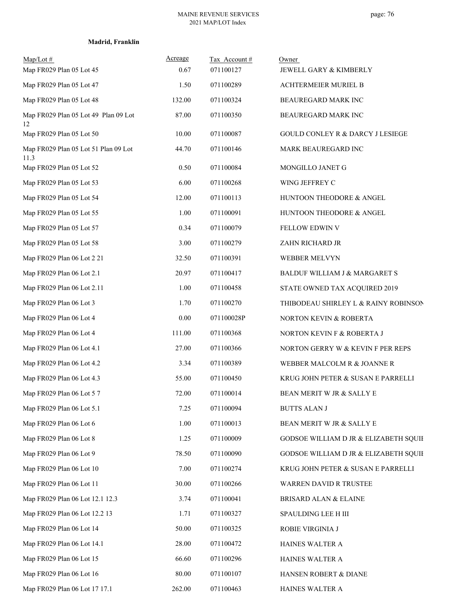|  | Madrid, Franklin |
|--|------------------|
|--|------------------|

| $Map/Lot \#$<br>Map FR029 Plan 05 Lot 45     | Acreage<br>0.67 | Tax Account#<br>071100127 | Owner<br>JEWELL GARY & KIMBERLY             |
|----------------------------------------------|-----------------|---------------------------|---------------------------------------------|
| Map FR029 Plan 05 Lot 47                     | 1.50            | 071100289                 | <b>ACHTERMEIER MURIEL B</b>                 |
| Map FR029 Plan 05 Lot 48                     | 132.00          | 071100324                 | BEAUREGARD MARK INC                         |
| Map FR029 Plan 05 Lot 49 Plan 09 Lot<br>12   | 87.00           | 071100350                 | BEAUREGARD MARK INC                         |
| Map FR029 Plan 05 Lot 50                     | 10.00           | 071100087                 | <b>GOULD CONLEY R &amp; DARCY J LESIEGE</b> |
| Map FR029 Plan 05 Lot 51 Plan 09 Lot<br>11.3 | 44.70           | 071100146                 | MARK BEAUREGARD INC                         |
| Map FR029 Plan 05 Lot 52                     | 0.50            | 071100084                 | MONGILLO JANET G                            |
| Map FR029 Plan 05 Lot 53                     | 6.00            | 071100268                 | WING JEFFREY C                              |
| Map FR029 Plan 05 Lot 54                     | 12.00           | 071100113                 | HUNTOON THEODORE & ANGEL                    |
| Map FR029 Plan 05 Lot 55                     | 1.00            | 071100091                 | HUNTOON THEODORE & ANGEL                    |
| Map FR029 Plan 05 Lot 57                     | 0.34            | 071100079                 | FELLOW EDWIN V                              |
| Map FR029 Plan 05 Lot 58                     | 3.00            | 071100279                 | ZAHN RICHARD JR                             |
| Map FR029 Plan 06 Lot 2 21                   | 32.50           | 071100391                 | WEBBER MELVYN                               |
| Map FR029 Plan 06 Lot 2.1                    | 20.97           | 071100417                 | BALDUF WILLIAM J & MARGARET S               |
| Map FR029 Plan 06 Lot 2.11                   | 1.00            | 071100458                 | STATE OWNED TAX ACQUIRED 2019               |
| Map FR029 Plan 06 Lot 3                      | 1.70            | 071100270                 | THIBODEAU SHIRLEY L & RAINY ROBINSON        |
| Map FR029 Plan 06 Lot 4                      | 0.00            | 071100028P                | NORTON KEVIN & ROBERTA                      |
| Map FR029 Plan 06 Lot 4                      | 111.00          | 071100368                 | NORTON KEVIN F & ROBERTA J                  |
| Map FR029 Plan 06 Lot 4.1                    | 27.00           | 071100366                 | NORTON GERRY W & KEVIN F PER REPS           |
| Map FR029 Plan 06 Lot 4.2                    | 3.34            | 071100389                 | WEBBER MALCOLM R & JOANNE R                 |
| Map FR029 Plan 06 Lot 4.3                    | 55.00           | 071100450                 | KRUG JOHN PETER & SUSAN E PARRELLI          |
| Map FR029 Plan 06 Lot 5 7                    | 72.00           | 071100014                 | BEAN MERIT W JR & SALLY E                   |
| Map FR029 Plan 06 Lot 5.1                    | 7.25            | 071100094                 | <b>BUTTS ALAN J</b>                         |
| Map FR029 Plan 06 Lot 6                      | 1.00            | 071100013                 | BEAN MERIT W JR & SALLY E                   |
| Map FR029 Plan 06 Lot 8                      | 1.25            | 071100009                 | GODSOE WILLIAM D JR & ELIZABETH SQUIF       |
| Map FR029 Plan 06 Lot 9                      | 78.50           | 071100090                 | GODSOE WILLIAM D JR & ELIZABETH SQUIF       |
| Map FR029 Plan 06 Lot 10                     | 7.00            | 071100274                 | KRUG JOHN PETER & SUSAN E PARRELLI          |
| Map FR029 Plan 06 Lot 11                     | 30.00           | 071100266                 | WARREN DAVID R TRUSTEE                      |
| Map FR029 Plan 06 Lot 12.1 12.3              | 3.74            | 071100041                 | <b>BRISARD ALAN &amp; ELAINE</b>            |
| Map FR029 Plan 06 Lot 12.2 13                | 1.71            | 071100327                 | SPAULDING LEE H III                         |
| Map FR029 Plan 06 Lot 14                     | 50.00           | 071100325                 | ROBIE VIRGINIA J                            |
| Map FR029 Plan 06 Lot 14.1                   | 28.00           | 071100472                 | HAINES WALTER A                             |
| Map FR029 Plan 06 Lot 15                     | 66.60           | 071100296                 | HAINES WALTER A                             |
| Map FR029 Plan 06 Lot 16                     | 80.00           | 071100107                 | HANSEN ROBERT & DIANE                       |
| Map FR029 Plan 06 Lot 17 17.1                | 262.00          | 071100463                 | HAINES WALTER A                             |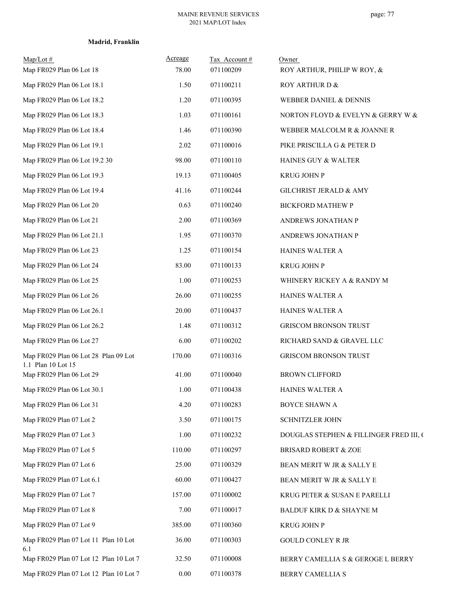| $Map/Lot \#$<br>Map FR029 Plan 06 Lot 18       | Acreage<br>78.00 | Tax Account #<br>071100209 | Owner<br>ROY ARTHUR, PHILIP W ROY, &    |
|------------------------------------------------|------------------|----------------------------|-----------------------------------------|
| Map FR029 Plan 06 Lot 18.1                     | 1.50             | 071100211                  | ROY ARTHUR D &                          |
| Map FR029 Plan 06 Lot 18.2                     | 1.20             | 071100395                  | <b>WEBBER DANIEL &amp; DENNIS</b>       |
| Map FR029 Plan 06 Lot 18.3                     | 1.03             | 071100161                  | NORTON FLOYD & EVELYN & GERRY W &       |
| Map FR029 Plan 06 Lot 18.4                     | 1.46             | 071100390                  | WEBBER MALCOLM R & JOANNE R             |
| Map FR029 Plan 06 Lot 19.1                     | 2.02             | 071100016                  | PIKE PRISCILLA G & PETER D              |
| Map FR029 Plan 06 Lot 19.2 30                  | 98.00            | 071100110                  | HAINES GUY & WALTER                     |
| Map FR029 Plan 06 Lot 19.3                     | 19.13            | 071100405                  | <b>KRUG JOHN P</b>                      |
| Map FR029 Plan 06 Lot 19.4                     | 41.16            | 071100244                  | GILCHRIST JERALD & AMY                  |
| Map FR029 Plan 06 Lot 20                       | 0.63             | 071100240                  | <b>BICKFORD MATHEW P</b>                |
| Map FR029 Plan 06 Lot 21                       | 2.00             | 071100369                  | ANDREWS JONATHAN P                      |
| Map FR029 Plan 06 Lot 21.1                     | 1.95             | 071100370                  | ANDREWS JONATHAN P                      |
| Map FR029 Plan 06 Lot 23                       | 1.25             | 071100154                  | HAINES WALTER A                         |
| Map FR029 Plan 06 Lot 24                       | 83.00            | 071100133                  | <b>KRUG JOHN P</b>                      |
| Map FR029 Plan 06 Lot 25                       | 1.00             | 071100253                  | WHINERY RICKEY A & RANDY M              |
| Map FR029 Plan 06 Lot 26                       | 26.00            | 071100255                  | HAINES WALTER A                         |
| Map FR029 Plan 06 Lot 26.1                     | 20.00            | 071100437                  | HAINES WALTER A                         |
| Map FR029 Plan 06 Lot 26.2                     | 1.48             | 071100312                  | <b>GRISCOM BRONSON TRUST</b>            |
| Map FR029 Plan 06 Lot 27                       | 6.00             | 071100202                  | RICHARD SAND & GRAVEL LLC               |
| Map FR029 Plan 06 Lot 28 Plan 09 Lot           | 170.00           | 071100316                  | <b>GRISCOM BRONSON TRUST</b>            |
| 1.1 Plan 10 Lot 15<br>Map FR029 Plan 06 Lot 29 | 41.00            | 071100040                  | <b>BROWN CLIFFORD</b>                   |
| Map FR029 Plan 06 Lot 30.1                     | 1.00             | 071100438                  | HAINES WALTER A                         |
| Map FR029 Plan 06 Lot 31                       | 4.20             | 071100283                  | BOYCE SHAWN A                           |
| Map FR029 Plan 07 Lot 2                        | 3.50             | 071100175                  | SCHNITZLER JOHN                         |
| Map FR029 Plan 07 Lot 3                        | 1.00             | 071100232                  | DOUGLAS STEPHEN & FILLINGER FRED III, O |
| Map FR029 Plan 07 Lot 5                        | 110.00           | 071100297                  | <b>BRISARD ROBERT &amp; ZOE</b>         |
| Map FR029 Plan 07 Lot 6                        | 25.00            | 071100329                  | BEAN MERIT W JR & SALLY E               |
| Map FR029 Plan 07 Lot 6.1                      | 60.00            | 071100427                  | BEAN MERIT W JR & SALLY E               |
| Map FR029 Plan 07 Lot 7                        | 157.00           | 071100002                  | KRUG PETER & SUSAN E PARELLI            |
| Map FR029 Plan 07 Lot 8                        | 7.00             | 071100017                  | BALDUF KIRK D & SHAYNE M                |
| Map FR029 Plan 07 Lot 9                        | 385.00           | 071100360                  | <b>KRUG JOHN P</b>                      |
| Map FR029 Plan 07 Lot 11 Plan 10 Lot<br>6.1    | 36.00            | 071100303                  | <b>GOULD CONLEY R JR</b>                |
| Map FR029 Plan 07 Lot 12 Plan 10 Lot 7         | 32.50            | 071100008                  | BERRY CAMELLIA S $\&$ GEROGE L BERRY    |
| Map FR029 Plan 07 Lot 12 Plan 10 Lot 7         | $0.00\,$         | 071100378                  | BERRY CAMELLIA S                        |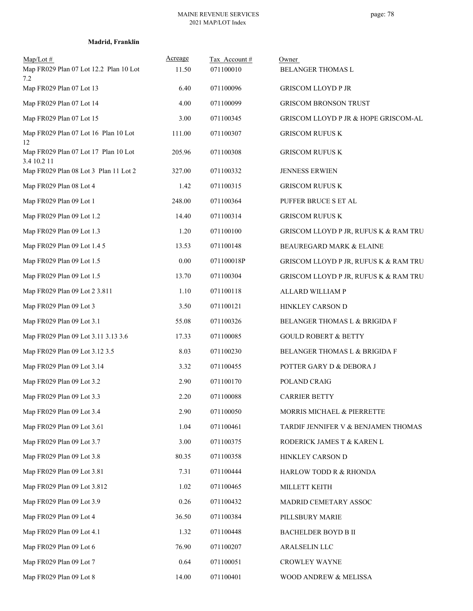| $Map/Lot \#$<br>Map FR029 Plan 07 Lot 12.2 Plan 10 Lot | Acreage<br>11.50 | Tax Account#<br>071100010 | Owner<br>BELANGER THOMAS L            |
|--------------------------------------------------------|------------------|---------------------------|---------------------------------------|
| 7.2<br>Map FR029 Plan 07 Lot 13                        | 6.40             | 071100096                 | <b>GRISCOM LLOYD P JR</b>             |
| Map FR029 Plan 07 Lot 14                               | 4.00             | 071100099                 | <b>GRISCOM BRONSON TRUST</b>          |
| Map FR029 Plan 07 Lot 15                               | 3.00             | 071100345                 | GRISCOM LLOYD P JR & HOPE GRISCOM-AL  |
| Map FR029 Plan 07 Lot 16 Plan 10 Lot<br>12             | 111.00           | 071100307                 | <b>GRISCOM RUFUS K</b>                |
| Map FR029 Plan 07 Lot 17 Plan 10 Lot<br>3.4 10.2 11    | 205.96           | 071100308                 | <b>GRISCOM RUFUS K</b>                |
| Map FR029 Plan 08 Lot 3 Plan 11 Lot 2                  | 327.00           | 071100332                 | JENNESS ERWIEN                        |
| Map FR029 Plan 08 Lot 4                                | 1.42             | 071100315                 | <b>GRISCOM RUFUS K</b>                |
| Map FR029 Plan 09 Lot 1                                | 248.00           | 071100364                 | PUFFER BRUCE S ET AL                  |
| Map FR029 Plan 09 Lot 1.2                              | 14.40            | 071100314                 | <b>GRISCOM RUFUS K</b>                |
| Map FR029 Plan 09 Lot 1.3                              | 1.20             | 071100100                 | GRISCOM LLOYD P JR, RUFUS K & RAM TRU |
| Map FR029 Plan 09 Lot 1.4 5                            | 13.53            | 071100148                 | BEAUREGARD MARK & ELAINE              |
| Map FR029 Plan 09 Lot 1.5                              | $0.00\,$         | 071100018P                | GRISCOM LLOYD P JR, RUFUS K & RAM TRU |
| Map FR029 Plan 09 Lot 1.5                              | 13.70            | 071100304                 | GRISCOM LLOYD P JR, RUFUS K & RAM TRU |
| Map FR029 Plan 09 Lot 2 3.811                          | 1.10             | 071100118                 | ALLARD WILLIAM P                      |
| Map FR029 Plan 09 Lot 3                                | 3.50             | 071100121                 | HINKLEY CARSON D                      |
| Map FR029 Plan 09 Lot 3.1                              | 55.08            | 071100326                 | BELANGER THOMAS L & BRIGIDA F         |
| Map FR029 Plan 09 Lot 3.11 3.13 3.6                    | 17.33            | 071100085                 | <b>GOULD ROBERT &amp; BETTY</b>       |
| Map FR029 Plan 09 Lot 3.12 3.5                         | 8.03             | 071100230                 | BELANGER THOMAS L & BRIGIDA F         |
| Map FR029 Plan 09 Lot 3.14                             | 3.32             | 071100455                 | POTTER GARY D & DEBORA J              |
| Map FR029 Plan 09 Lot 3.2                              | 2.90             | 071100170                 | POLAND CRAIG                          |
| Map FR029 Plan 09 Lot 3.3                              | 2.20             | 071100088                 | <b>CARRIER BETTY</b>                  |
| Map FR029 Plan 09 Lot 3.4                              | 2.90             | 071100050                 | MORRIS MICHAEL & PIERRETTE            |
| Map FR029 Plan 09 Lot 3.61                             | 1.04             | 071100461                 | TARDIF JENNIFER V & BENJAMEN THOMAS   |
| Map FR029 Plan 09 Lot 3.7                              | 3.00             | 071100375                 | RODERICK JAMES T & KAREN L            |
| Map FR029 Plan 09 Lot 3.8                              | 80.35            | 071100358                 | HINKLEY CARSON D                      |
| Map FR029 Plan 09 Lot 3.81                             | 7.31             | 071100444                 | HARLOW TODD R & RHONDA                |
| Map FR029 Plan 09 Lot 3.812                            | 1.02             | 071100465                 | MILLETT KEITH                         |
| Map FR029 Plan 09 Lot 3.9                              | 0.26             | 071100432                 | MADRID CEMETARY ASSOC                 |
| Map FR029 Plan 09 Lot 4                                | 36.50            | 071100384                 | PILLSBURY MARIE                       |
| Map FR029 Plan 09 Lot 4.1                              | 1.32             | 071100448                 | BACHELDER BOYD B II                   |
| Map FR029 Plan 09 Lot 6                                | 76.90            | 071100207                 | ARALSELIN LLC                         |
| Map FR029 Plan 09 Lot 7                                | 0.64             | 071100051                 | CROWLEY WAYNE                         |
| Map FR029 Plan 09 Lot 8                                | 14.00            | 071100401                 | WOOD ANDREW & MELISSA                 |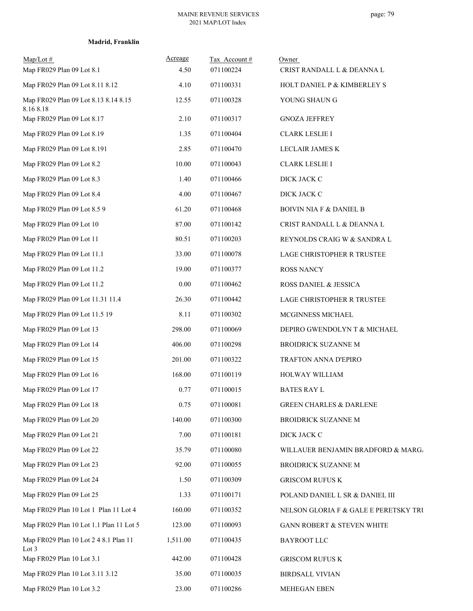| $Map/Lot \#$<br>Map FR029 Plan 09 Lot 8.1         | Acreage<br>4.50 | Tax Account#<br>071100224 | Owner<br>CRIST RANDALL L & DEANNA L   |
|---------------------------------------------------|-----------------|---------------------------|---------------------------------------|
| Map FR029 Plan 09 Lot 8.11 8.12                   | 4.10            | 071100331                 | HOLT DANIEL P & KIMBERLEY S           |
| Map FR029 Plan 09 Lot 8.13 8.14 8.15<br>8.16 8.18 | 12.55           | 071100328                 | YOUNG SHAUN G                         |
| Map FR029 Plan 09 Lot 8.17                        | 2.10            | 071100317                 | <b>GNOZA JEFFREY</b>                  |
| Map FR029 Plan 09 Lot 8.19                        | 1.35            | 071100404                 | <b>CLARK LESLIE I</b>                 |
| Map FR029 Plan 09 Lot 8.191                       | 2.85            | 071100470                 | LECLAIR JAMES K                       |
| Map FR029 Plan 09 Lot 8.2                         | 10.00           | 071100043                 | <b>CLARK LESLIE I</b>                 |
| Map FR029 Plan 09 Lot 8.3                         | 1.40            | 071100466                 | DICK JACK C                           |
| Map FR029 Plan 09 Lot 8.4                         | 4.00            | 071100467                 | DICK JACK C                           |
| Map FR029 Plan 09 Lot 8.5 9                       | 61.20           | 071100468                 | <b>BOIVIN NIA F &amp; DANIEL B</b>    |
| Map FR029 Plan 09 Lot 10                          | 87.00           | 071100142                 | CRIST RANDALL L & DEANNA L            |
| Map FR029 Plan 09 Lot 11                          | 80.51           | 071100203                 | REYNOLDS CRAIG W & SANDRA L           |
| Map FR029 Plan 09 Lot 11.1                        | 33.00           | 071100078                 | LAGE CHRISTOPHER R TRUSTEE            |
| Map FR029 Plan 09 Lot 11.2                        | 19.00           | 071100377                 | <b>ROSS NANCY</b>                     |
| Map FR029 Plan 09 Lot 11.2                        | 0.00            | 071100462                 | ROSS DANIEL & JESSICA                 |
| Map FR029 Plan 09 Lot 11.31 11.4                  | 26.30           | 071100442                 | LAGE CHRISTOPHER R TRUSTEE            |
| Map FR029 Plan 09 Lot 11.5 19                     | 8.11            | 071100302                 | MCGINNESS MICHAEL                     |
| Map FR029 Plan 09 Lot 13                          | 298.00          | 071100069                 | DEPIRO GWENDOLYN T & MICHAEL          |
| Map FR029 Plan 09 Lot 14                          | 406.00          | 071100298                 | BROIDRICK SUZANNE M                   |
| Map FR029 Plan 09 Lot 15                          | 201.00          | 071100322                 | TRAFTON ANNA D'EPIRO                  |
| Map FR029 Plan 09 Lot 16                          | 168.00          | 071100119                 | HOLWAY WILLIAM                        |
| Map FR029 Plan 09 Lot 17                          | 0.77            | 071100015                 | <b>BATES RAY L</b>                    |
| Map FR029 Plan 09 Lot 18                          | 0.75            | 071100081                 | <b>GREEN CHARLES &amp; DARLENE</b>    |
| Map FR029 Plan 09 Lot 20                          | 140.00          | 071100300                 | BROIDRICK SUZANNE M                   |
| Map FR029 Plan 09 Lot 21                          | 7.00            | 071100181                 | DICK JACK C                           |
| Map FR029 Plan 09 Lot 22                          | 35.79           | 071100080                 | WILLAUER BENJAMIN BRADFORD & MARG     |
| Map FR029 Plan 09 Lot 23                          | 92.00           | 071100055                 | BROIDRICK SUZANNE M                   |
| Map FR029 Plan 09 Lot 24                          | 1.50            | 071100309                 | <b>GRISCOM RUFUS K</b>                |
| Map FR029 Plan 09 Lot 25                          | 1.33            | 071100171                 | POLAND DANIEL L SR & DANIEL III       |
| Map FR029 Plan 10 Lot 1 Plan 11 Lot 4             | 160.00          | 071100352                 | NELSON GLORIA F & GALE E PERETSKY TRU |
| Map FR029 Plan 10 Lot 1.1 Plan 11 Lot 5           | 123.00          | 071100093                 | GANN ROBERT & STEVEN WHITE            |
| Map FR029 Plan 10 Lot 2 4 8.1 Plan 11<br>Lot 3    | 1,511.00        | 071100435                 | <b>BAYROOT LLC</b>                    |
| Map FR029 Plan 10 Lot 3.1                         | 442.00          | 071100428                 | <b>GRISCOM RUFUS K</b>                |
| Map FR029 Plan 10 Lot 3.11 3.12                   | 35.00           | 071100035                 | <b>BIRDSALL VIVIAN</b>                |
| Map FR029 Plan 10 Lot 3.2                         | 23.00           | 071100286                 | MEHEGAN EBEN                          |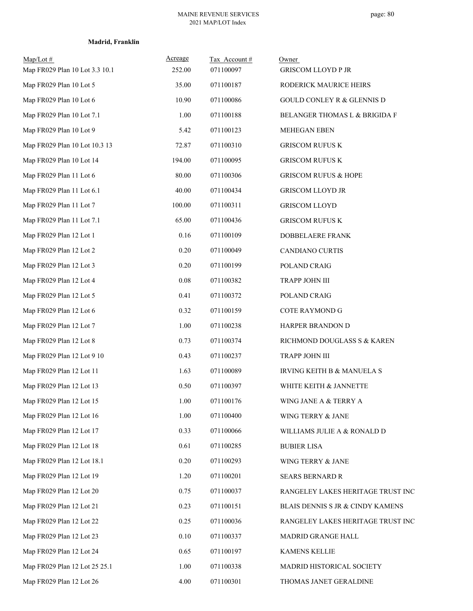| Map/Lot#<br>Map FR029 Plan 10 Lot 3.3 10.1 | Acreage<br>252.00 | Tax Account#<br>071100097 | Owner<br><b>GRISCOM LLOYD P JR</b>    |
|--------------------------------------------|-------------------|---------------------------|---------------------------------------|
| Map FR029 Plan 10 Lot 5                    | 35.00             | 071100187                 | RODERICK MAURICE HEIRS                |
| Map FR029 Plan 10 Lot 6                    | 10.90             | 071100086                 | <b>GOULD CONLEY R &amp; GLENNIS D</b> |
| Map FR029 Plan 10 Lot 7.1                  | 1.00              | 071100188                 | BELANGER THOMAS L & BRIGIDA F         |
| Map FR029 Plan 10 Lot 9                    | 5.42              | 071100123                 | <b>MEHEGAN EBEN</b>                   |
| Map FR029 Plan 10 Lot 10.3 13              | 72.87             | 071100310                 | <b>GRISCOM RUFUS K</b>                |
| Map FR029 Plan 10 Lot 14                   | 194.00            | 071100095                 | <b>GRISCOM RUFUS K</b>                |
| Map FR029 Plan 11 Lot 6                    | 80.00             | 071100306                 | <b>GRISCOM RUFUS &amp; HOPE</b>       |
| Map FR029 Plan 11 Lot 6.1                  | 40.00             | 071100434                 | <b>GRISCOM LLOYD JR</b>               |
| Map FR029 Plan 11 Lot 7                    | 100.00            | 071100311                 | <b>GRISCOM LLOYD</b>                  |
| Map FR029 Plan 11 Lot 7.1                  | 65.00             | 071100436                 | <b>GRISCOM RUFUS K</b>                |
| Map FR029 Plan 12 Lot 1                    | 0.16              | 071100109                 | DOBBELAERE FRANK                      |
| Map FR029 Plan 12 Lot 2                    | 0.20              | 071100049                 | CANDIANO CURTIS                       |
| Map FR029 Plan 12 Lot 3                    | 0.20              | 071100199                 | POLAND CRAIG                          |
| Map FR029 Plan 12 Lot 4                    | $0.08\,$          | 071100382                 | TRAPP JOHN III                        |
| Map FR029 Plan 12 Lot 5                    | 0.41              | 071100372                 | POLAND CRAIG                          |
| Map FR029 Plan 12 Lot 6                    | 0.32              | 071100159                 | <b>COTE RAYMOND G</b>                 |
| Map FR029 Plan 12 Lot 7                    | 1.00              | 071100238                 | HARPER BRANDON D                      |
| Map FR029 Plan 12 Lot 8                    | 0.73              | 071100374                 | RICHMOND DOUGLASS S & KAREN           |
| Map FR029 Plan 12 Lot 9 10                 | 0.43              | 071100237                 | TRAPP JOHN III                        |
| Map FR029 Plan 12 Lot 11                   | 1.63              | 071100089                 | IRVING KEITH B & MANUELA S            |
| Map FR029 Plan 12 Lot 13                   | 0.50              | 071100397                 | WHITE KEITH & JANNETTE                |
| Map FR029 Plan 12 Lot 15                   | 1.00              | 071100176                 | WING JANE A & TERRY A                 |
| Map FR029 Plan 12 Lot 16                   | 1.00              | 071100400                 | WING TERRY & JANE                     |
| Map FR029 Plan 12 Lot 17                   | 0.33              | 071100066                 | WILLIAMS JULIE A & RONALD D           |
| Map FR029 Plan 12 Lot 18                   | 0.61              | 071100285                 | <b>BUBIER LISA</b>                    |
| Map FR029 Plan 12 Lot 18.1                 | 0.20              | 071100293                 | WING TERRY & JANE                     |
| Map FR029 Plan 12 Lot 19                   | 1.20              | 071100201                 | SEARS BERNARD R                       |
| Map FR029 Plan 12 Lot 20                   | 0.75              | 071100037                 | RANGELEY LAKES HERITAGE TRUST INC     |
| Map FR029 Plan 12 Lot 21                   | 0.23              | 071100151                 | BLAIS DENNIS S JR & CINDY KAMENS      |
| Map FR029 Plan 12 Lot 22                   | 0.25              | 071100036                 | RANGELEY LAKES HERITAGE TRUST INC     |
| Map FR029 Plan 12 Lot 23                   | $0.10\,$          | 071100337                 | MADRID GRANGE HALL                    |
| Map FR029 Plan 12 Lot 24                   | 0.65              | 071100197                 | KAMENS KELLIE                         |
| Map FR029 Plan 12 Lot 25 25.1              | 1.00              | 071100338                 | MADRID HISTORICAL SOCIETY             |
| Map FR029 Plan 12 Lot 26                   | 4.00              | 071100301                 | THOMAS JANET GERALDINE                |